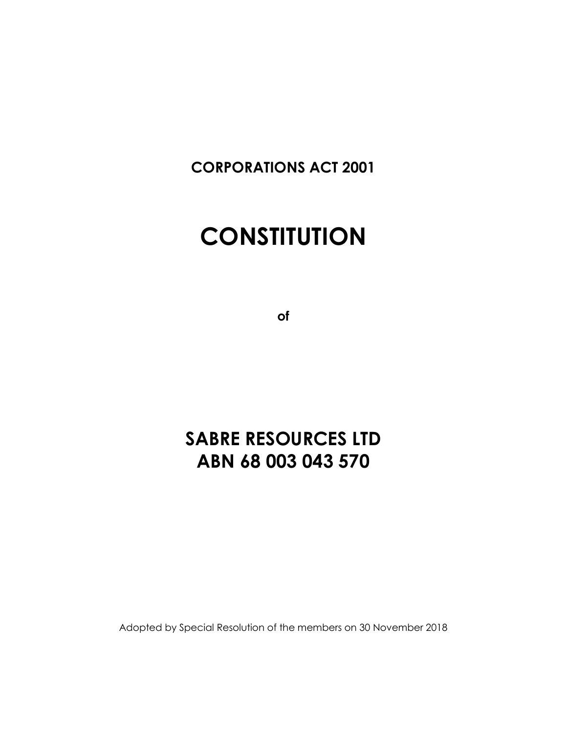**CORPORATIONS ACT 2001**

# **CONSTITUTION**

**of**

## **SABRE RESOURCES LTD ABN 68 003 043 570**

Adopted by Special Resolution of the members on 30 November 2018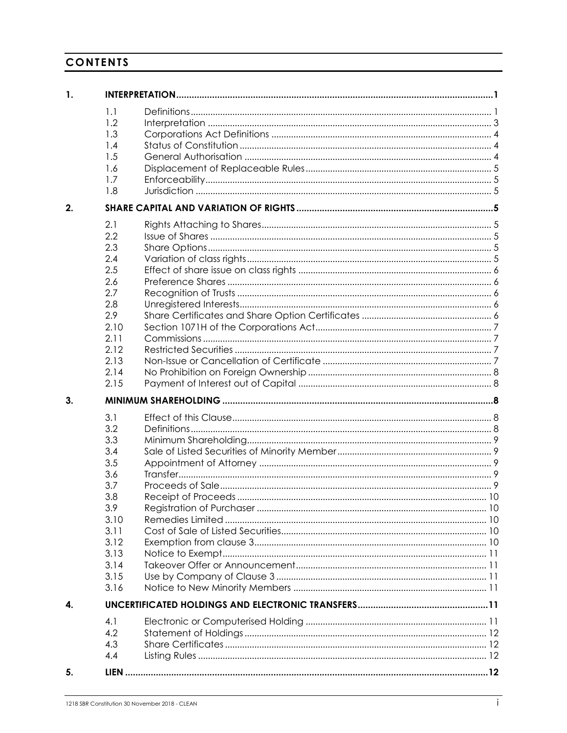## **CONTENTS**

| 1. |                                                                                                                     |  |
|----|---------------------------------------------------------------------------------------------------------------------|--|
|    | 1.1<br>1.2<br>1.3<br>1.4<br>1.5<br>1.6<br>1.7<br>1.8                                                                |  |
| 2. |                                                                                                                     |  |
|    | 2.1<br>2.2<br>2.3<br>2.4<br>2.5<br>2.6<br>2.7<br>2.8<br>2.9<br>2.10<br>2.11<br>2.12<br>2.13<br>2.14<br>2.15         |  |
| 3. |                                                                                                                     |  |
|    | 3.1<br>3.2<br>3.3<br>3.4<br>3.5<br>3.6<br>3.7<br>3.8<br>3.9<br>3.10<br>3.11<br>3.12<br>3.13<br>3.14<br>3.15<br>3.16 |  |
| 4. |                                                                                                                     |  |
|    | 4.1<br>4.2<br>4.3<br>4.4                                                                                            |  |
| 5. |                                                                                                                     |  |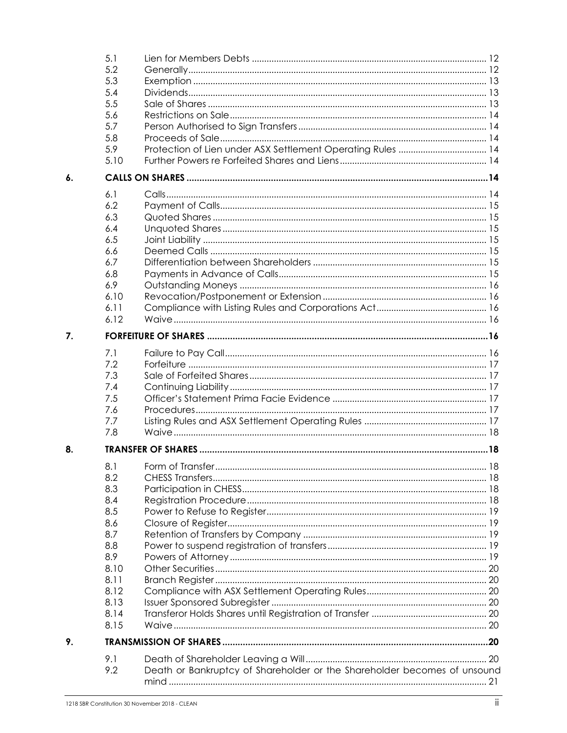|                    | 5.1  |                                                                          |  |
|--------------------|------|--------------------------------------------------------------------------|--|
|                    | 5.2  |                                                                          |  |
|                    | 5.3  |                                                                          |  |
|                    | 5.4  |                                                                          |  |
|                    | 5.5  |                                                                          |  |
|                    | 5.6  |                                                                          |  |
|                    | 5.7  |                                                                          |  |
|                    | 5.8  |                                                                          |  |
|                    | 5.9  |                                                                          |  |
|                    | 5.10 |                                                                          |  |
| $\boldsymbol{6}$ . |      |                                                                          |  |
|                    | 6.1  |                                                                          |  |
|                    | 6.2  |                                                                          |  |
|                    | 6.3  |                                                                          |  |
|                    | 6.4  |                                                                          |  |
|                    | 6.5  |                                                                          |  |
|                    | 6.6  |                                                                          |  |
|                    | 6.7  |                                                                          |  |
|                    | 6.8  |                                                                          |  |
|                    | 6.9  |                                                                          |  |
|                    | 6.10 |                                                                          |  |
|                    | 6.11 |                                                                          |  |
|                    | 6.12 |                                                                          |  |
| 7.                 |      |                                                                          |  |
|                    | 7.1  |                                                                          |  |
|                    | 7.2  |                                                                          |  |
|                    | 7.3  |                                                                          |  |
|                    | 7.4  |                                                                          |  |
|                    | 7.5  |                                                                          |  |
|                    | 7.6  |                                                                          |  |
|                    | 7.7  |                                                                          |  |
|                    | 7.8  |                                                                          |  |
| 8.                 |      |                                                                          |  |
|                    | 8.1  |                                                                          |  |
|                    | 8.2  |                                                                          |  |
|                    | 8.3  |                                                                          |  |
|                    | 8.4  |                                                                          |  |
|                    | 8.5  |                                                                          |  |
|                    | 8.6  |                                                                          |  |
|                    | 8.7  |                                                                          |  |
|                    | 8.8  |                                                                          |  |
|                    | 8.9  |                                                                          |  |
|                    | 8.10 |                                                                          |  |
|                    | 8.11 |                                                                          |  |
|                    | 8.12 |                                                                          |  |
|                    | 8.13 |                                                                          |  |
|                    | 8.14 |                                                                          |  |
|                    | 8.15 |                                                                          |  |
| 9.                 |      |                                                                          |  |
|                    |      |                                                                          |  |
|                    | 9.1  |                                                                          |  |
|                    | 9.2  | Death or Bankruptcy of Shareholder or the Shareholder becomes of unsound |  |
|                    |      |                                                                          |  |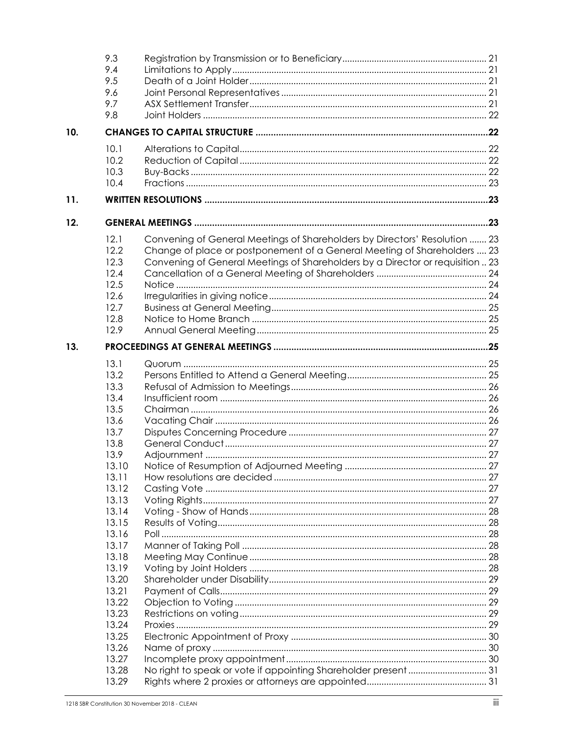|     | 9.3            |                                                                                |  |
|-----|----------------|--------------------------------------------------------------------------------|--|
|     | 9.4            |                                                                                |  |
|     | 9.5            |                                                                                |  |
|     | 9.6            |                                                                                |  |
|     | 9.7            |                                                                                |  |
|     | 9.8            |                                                                                |  |
| 10. |                |                                                                                |  |
|     | 10.1           |                                                                                |  |
|     | 10.2           |                                                                                |  |
|     | 10.3           |                                                                                |  |
|     | 10.4           |                                                                                |  |
| 11. |                |                                                                                |  |
| 12. |                |                                                                                |  |
|     | 12.1           | Convening of General Meetings of Shareholders by Directors' Resolution  23     |  |
|     | 12.2           | Change of place or postponement of a General Meeting of Shareholders  23       |  |
|     | 12.3           | Convening of General Meetings of Shareholders by a Director or requisition  23 |  |
|     | 12.4           |                                                                                |  |
|     | 12.5           |                                                                                |  |
|     | 12.6           |                                                                                |  |
|     | 12.7           |                                                                                |  |
|     | 12.8           |                                                                                |  |
|     | 12.9           |                                                                                |  |
| 13. |                |                                                                                |  |
|     | 13.1           |                                                                                |  |
|     | 13.2           |                                                                                |  |
|     | 13.3           |                                                                                |  |
|     | 13.4           |                                                                                |  |
|     | 13.5           |                                                                                |  |
|     | 13.6           |                                                                                |  |
|     | 13.7           |                                                                                |  |
|     | 13.8           |                                                                                |  |
|     | 13.9           |                                                                                |  |
|     |                |                                                                                |  |
|     | 13.10<br>13.11 |                                                                                |  |
|     | 13.12          |                                                                                |  |
|     | 13.13          |                                                                                |  |
|     | 13.14          |                                                                                |  |
|     | 13.15          |                                                                                |  |
|     | 13.16          |                                                                                |  |
|     | 13.17          |                                                                                |  |
|     | 13.18          |                                                                                |  |
|     | 13.19          |                                                                                |  |
|     | 13.20          |                                                                                |  |
|     | 13.21          |                                                                                |  |
|     | 13.22          |                                                                                |  |
|     | 13.23          |                                                                                |  |
|     | 13.24          |                                                                                |  |
|     | 13.25          |                                                                                |  |
|     | 13.26          |                                                                                |  |
|     | 13.27          |                                                                                |  |
|     | 13.28          |                                                                                |  |
|     | 13.29          |                                                                                |  |
|     |                |                                                                                |  |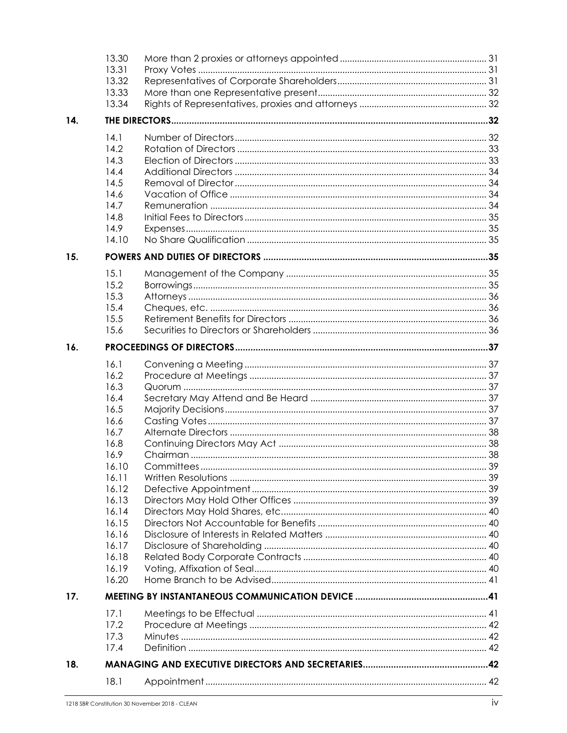|     | 13.30 |  |  |
|-----|-------|--|--|
|     | 13.31 |  |  |
|     | 13.32 |  |  |
|     | 13.33 |  |  |
|     | 13.34 |  |  |
| 14. |       |  |  |
|     | 14.1  |  |  |
|     | 14.2  |  |  |
|     | 14.3  |  |  |
|     | 14.4  |  |  |
|     | 14.5  |  |  |
|     | 14.6  |  |  |
|     | 14.7  |  |  |
|     | 14.8  |  |  |
|     | 14.9  |  |  |
|     | 14.10 |  |  |
| 15. |       |  |  |
|     | 15.1  |  |  |
|     | 15.2  |  |  |
|     | 15.3  |  |  |
|     | 15.4  |  |  |
|     | 15.5  |  |  |
|     | 15.6  |  |  |
| 16. |       |  |  |
|     | 16.1  |  |  |
|     | 16.2  |  |  |
|     | 16.3  |  |  |
|     | 16.4  |  |  |
|     | 16.5  |  |  |
|     | 16.6  |  |  |
|     | 16.7  |  |  |
|     | 16.8  |  |  |
|     | 16.9  |  |  |
|     | 16.10 |  |  |
|     | 16.11 |  |  |
|     | 16.12 |  |  |
|     | 16.13 |  |  |
|     | 16.14 |  |  |
|     | 16.15 |  |  |
|     | 16.16 |  |  |
|     | 16.17 |  |  |
|     | 16.18 |  |  |
|     | 16.19 |  |  |
|     | 16.20 |  |  |
| 17. |       |  |  |
|     | 17.1  |  |  |
|     | 17.2  |  |  |
|     | 17.3  |  |  |
|     | 17.4  |  |  |
| 18. |       |  |  |
|     | 18.1  |  |  |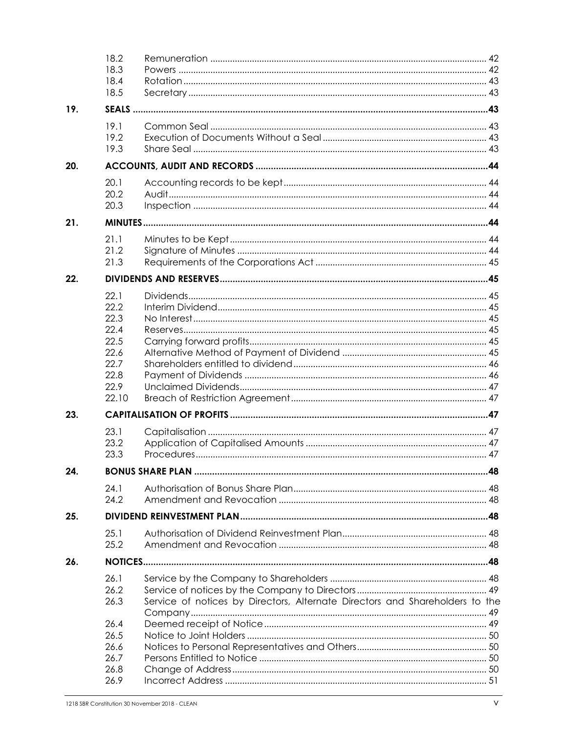|     | 18.2<br>18.3<br>18.4<br>18.5                                                  |                                                                              |  |  |
|-----|-------------------------------------------------------------------------------|------------------------------------------------------------------------------|--|--|
| 19. |                                                                               |                                                                              |  |  |
|     | 19.1<br>19.2<br>19.3                                                          |                                                                              |  |  |
| 20. |                                                                               |                                                                              |  |  |
|     | 20.1<br>20.2<br>20.3                                                          |                                                                              |  |  |
| 21. |                                                                               |                                                                              |  |  |
|     | 21.1<br>21.2<br>21.3                                                          |                                                                              |  |  |
| 22. |                                                                               |                                                                              |  |  |
|     | 22.1<br>22.2<br>22.3<br>22.4<br>22.5<br>22.6<br>22.7<br>22.8<br>22.9<br>22.10 |                                                                              |  |  |
| 23. |                                                                               |                                                                              |  |  |
|     | 23.1<br>23.2<br>23.3                                                          |                                                                              |  |  |
| 24. |                                                                               |                                                                              |  |  |
|     | 24.1<br>24.2                                                                  |                                                                              |  |  |
| 25. |                                                                               |                                                                              |  |  |
|     | 25.1<br>25.2                                                                  |                                                                              |  |  |
| 26. |                                                                               |                                                                              |  |  |
|     | 26.1<br>26.2<br>26.3<br>26.4<br>26.5<br>26.6<br>26.7<br>26.8                  | Service of notices by Directors, Alternate Directors and Shareholders to the |  |  |
|     | 26.9                                                                          |                                                                              |  |  |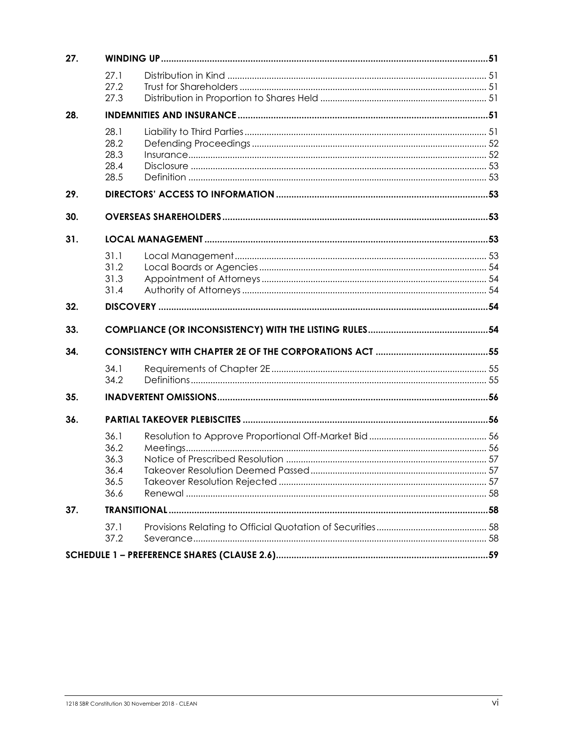| 27. |                                              |  |  |  |
|-----|----------------------------------------------|--|--|--|
|     | 27.1<br>27.2                                 |  |  |  |
|     | 27.3                                         |  |  |  |
| 28. |                                              |  |  |  |
|     | 28.1<br>28.2<br>28.3<br>28.4<br>28.5         |  |  |  |
| 29. |                                              |  |  |  |
| 30. |                                              |  |  |  |
| 31. |                                              |  |  |  |
|     | 31.1<br>31.2<br>31.3<br>31.4                 |  |  |  |
| 32. |                                              |  |  |  |
| 33. |                                              |  |  |  |
| 34. |                                              |  |  |  |
|     | 34.1<br>34.2                                 |  |  |  |
| 35. |                                              |  |  |  |
| 36. |                                              |  |  |  |
|     | 36.1<br>36.2<br>36.3<br>36.4<br>36.5<br>36.6 |  |  |  |
| 37. |                                              |  |  |  |
|     | 37.1<br>37.2                                 |  |  |  |
|     |                                              |  |  |  |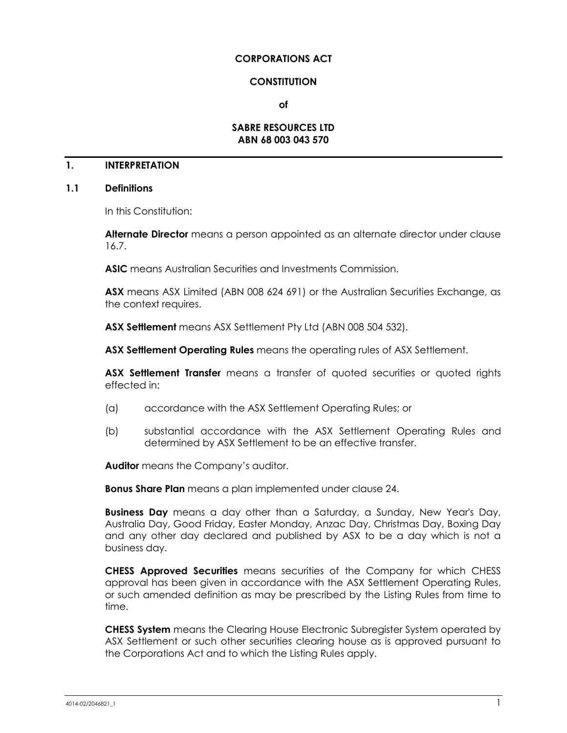#### **CORPORATIONS ACT**

#### **CONSTITUTION**

**of**

#### **SABRE RESOURCES LTD ABN 68 003 043 570**

## **1. INTERPRETATION**

#### <span id="page-7-0"></span>**1.1 Definitions**

In this Constitution:

**Alternate Director** means a person appointed as an alternate director under clause [16.7.](#page-44-0)

**ASIC** means Australian Securities and Investments Commission.

**ASX** means ASX Limited (ABN 008 624 691) or the Australian Securities Exchange, as the context requires.

**ASX Settlement** means ASX Settlement Pty Ltd (ABN 008 504 532).

**ASX Settlement Operating Rules** means the operating rules of ASX Settlement.

**ASX Settlement Transfer** means a transfer of quoted securities or quoted rights effected in:

- (a) accordance with the ASX Settlement Operating Rules; or
- (b) substantial accordance with the ASX Settlement Operating Rules and determined by ASX Settlement to be an effective transfer.

**Auditor** means the Company's auditor.

**Bonus Share Plan** means a plan implemented under clause [24.](#page-54-0)

**Business Day** means a day other than a Saturday, a Sunday, New Year's Day, Australia Day, Good Friday, Easter Monday, Anzac Day, Christmas Day, Boxing Day and any other day declared and published by ASX to be a day which is not a business day.

**CHESS Approved Securities** means securities of the Company for which CHESS approval has been given in accordance with the ASX Settlement Operating Rules, or such amended definition as may be prescribed by the Listing Rules from time to time.

**CHESS System** means the Clearing House Electronic Subregister System operated by ASX Settlement or such other securities clearing house as is approved pursuant to the Corporations Act and to which the Listing Rules apply.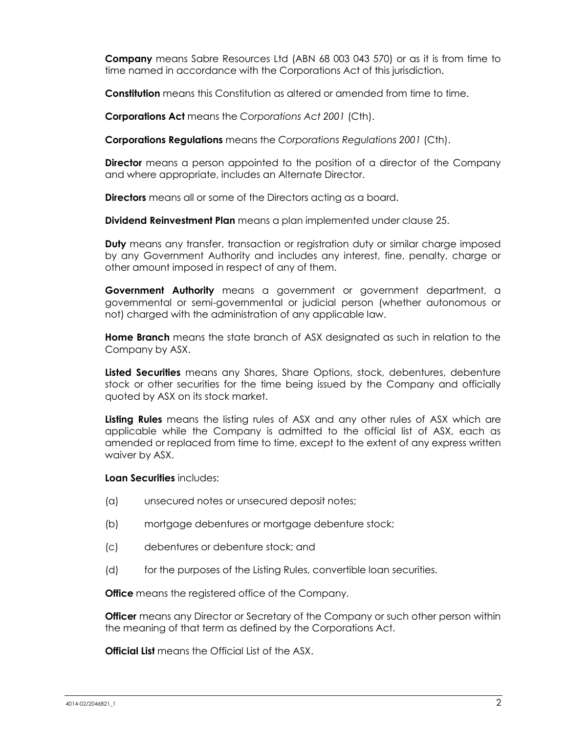**Company** means Sabre Resources Ltd (ABN 68 003 043 570) or as it is from time to time named in accordance with the Corporations Act of this jurisdiction.

**Constitution** means this Constitution as altered or amended from time to time.

**Corporations Act** means the *Corporations Act 2001* (Cth).

**Corporations Regulations** means the *Corporations Regulations 2001* (Cth).

**Director** means a person appointed to the position of a director of the Company and where appropriate, includes an Alternate Director.

**Directors** means all or some of the Directors acting as a board.

**Dividend Reinvestment Plan** means a plan implemented under clause [25.](#page-54-1)

**Duty** means any transfer, transaction or registration duty or similar charge imposed by any Government Authority and includes any interest, fine, penalty, charge or other amount imposed in respect of any of them.

**Government Authority** means a government or government department, a governmental or semi-governmental or judicial person (whether autonomous or not) charged with the administration of any applicable law.

**Home Branch** means the state branch of ASX designated as such in relation to the Company by ASX.

**Listed Securities** means any Shares, Share Options, stock, debentures, debenture stock or other securities for the time being issued by the Company and officially quoted by ASX on its stock market.

**Listing Rules** means the listing rules of ASX and any other rules of ASX which are applicable while the Company is admitted to the official list of ASX, each as amended or replaced from time to time, except to the extent of any express written waiver by ASX.

**Loan Securities** includes:

- (a) unsecured notes or unsecured deposit notes;
- (b) mortgage debentures or mortgage debenture stock;
- (c) debentures or debenture stock; and
- (d) for the purposes of the Listing Rules, convertible loan securities.

**Office** means the registered office of the Company.

**Officer** means any Director or Secretary of the Company or such other person within the meaning of that term as defined by the Corporations Act.

**Official List** means the Official List of the ASX.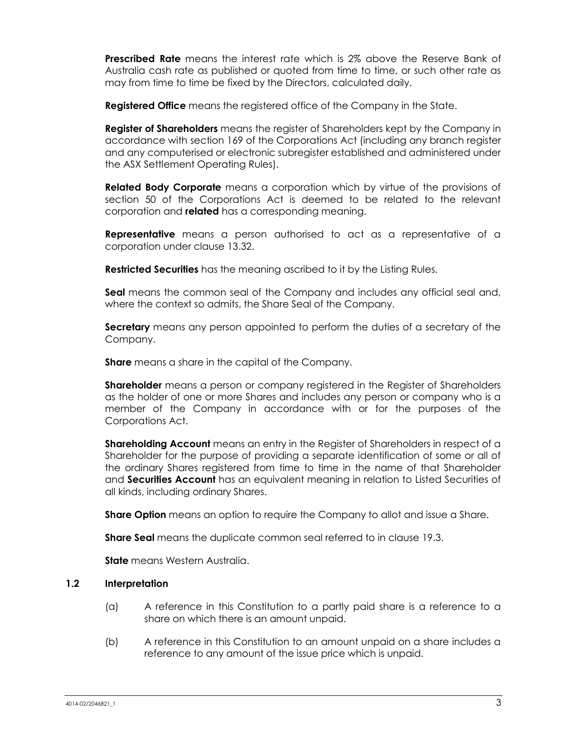**Prescribed Rate** means the interest rate which is 2% above the Reserve Bank of Australia cash rate as published or quoted from time to time, or such other rate as may from time to time be fixed by the Directors, calculated daily.

**Registered Office** means the registered office of the Company in the State.

**Register of Shareholders** means the register of Shareholders kept by the Company in accordance with section 169 of the Corporations Act (including any branch register and any computerised or electronic subregister established and administered under the ASX Settlement Operating Rules).

**Related Body Corporate** means a corporation which by virtue of the provisions of section 50 of the Corporations Act is deemed to be related to the relevant corporation and **related** has a corresponding meaning.

**Representative** means a person authorised to act as a representative of a corporation under clause [13.32.](#page-37-0)

**Restricted Securities** has the meaning ascribed to it by the Listing Rules.

**Seal** means the common seal of the Company and includes any official seal and, where the context so admits, the Share Seal of the Company.

**Secretary** means any person appointed to perform the duties of a secretary of the Company.

**Share** means a share in the capital of the Company.

**Shareholder** means a person or company registered in the Register of Shareholders as the holder of one or more Shares and includes any person or company who is a member of the Company in accordance with or for the purposes of the Corporations Act.

**Shareholding Account** means an entry in the Register of Shareholders in respect of a Shareholder for the purpose of providing a separate identification of some or all of the ordinary Shares registered from time to time in the name of that Shareholder and **Securities Account** has an equivalent meaning in relation to Listed Securities of all kinds, including ordinary Shares.

**Share Option** means an option to require the Company to allot and issue a Share.

**Share Seal** means the duplicate common seal referred to in clause [19.3.](#page-49-0)

**State** means Western Australia.

#### **1.2 Interpretation**

- (a) A reference in this Constitution to a partly paid share is a reference to a share on which there is an amount unpaid.
- (b) A reference in this Constitution to an amount unpaid on a share includes a reference to any amount of the issue price which is unpaid.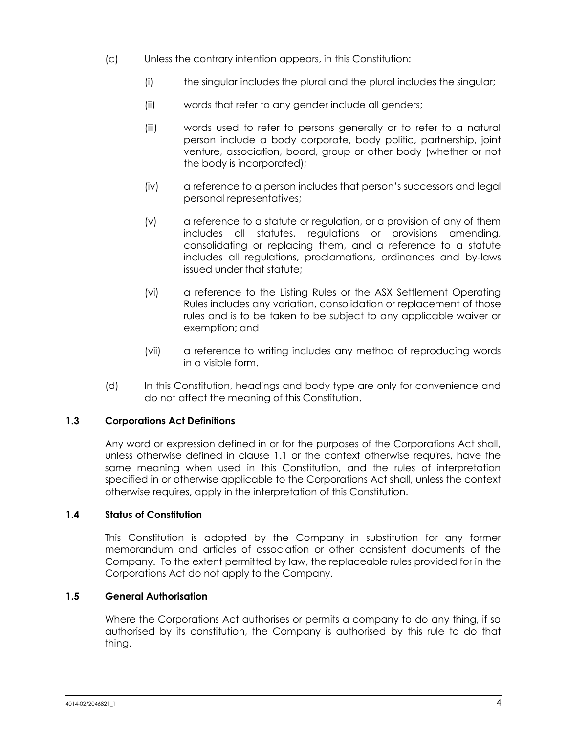- (c) Unless the contrary intention appears, in this Constitution:
	- (i) the singular includes the plural and the plural includes the singular;
	- (ii) words that refer to any gender include all genders;
	- (iii) words used to refer to persons generally or to refer to a natural person include a body corporate, body politic, partnership, joint venture, association, board, group or other body (whether or not the body is incorporated);
	- (iv) a reference to a person includes that person's successors and legal personal representatives;
	- (v) a reference to a statute or regulation, or a provision of any of them includes all statutes, regulations or provisions amending, consolidating or replacing them, and a reference to a statute includes all regulations, proclamations, ordinances and by-laws issued under that statute;
	- (vi) a reference to the Listing Rules or the ASX Settlement Operating Rules includes any variation, consolidation or replacement of those rules and is to be taken to be subject to any applicable waiver or exemption; and
	- (vii) a reference to writing includes any method of reproducing words in a visible form.
- (d) In this Constitution, headings and body type are only for convenience and do not affect the meaning of this Constitution.

## **1.3 Corporations Act Definitions**

Any word or expression defined in or for the purposes of the Corporations Act shall, unless otherwise defined in clause [1.1](#page-7-0) or the context otherwise requires, have the same meaning when used in this Constitution, and the rules of interpretation specified in or otherwise applicable to the Corporations Act shall, unless the context otherwise requires, apply in the interpretation of this Constitution.

## **1.4 Status of Constitution**

This Constitution is adopted by the Company in substitution for any former memorandum and articles of association or other consistent documents of the Company. To the extent permitted by law, the replaceable rules provided for in the Corporations Act do not apply to the Company.

## **1.5 General Authorisation**

Where the Corporations Act authorises or permits a company to do any thing, if so authorised by its constitution, the Company is authorised by this rule to do that thing.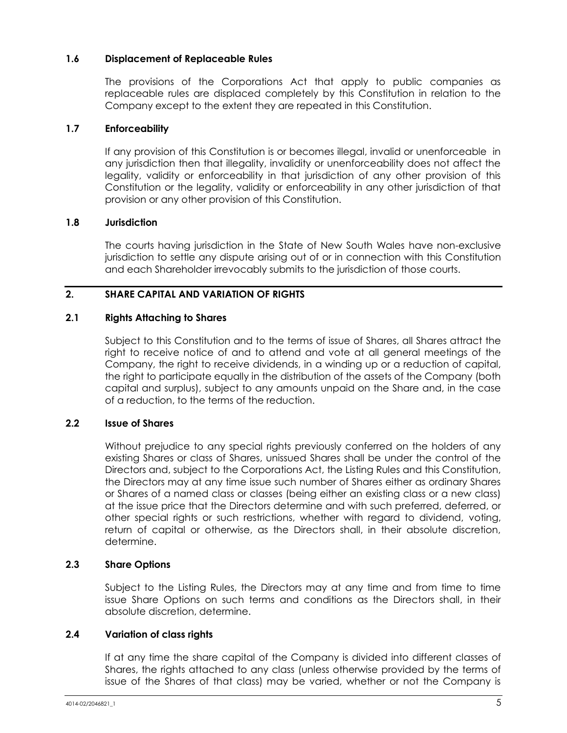## **1.6 Displacement of Replaceable Rules**

The provisions of the Corporations Act that apply to public companies as replaceable rules are displaced completely by this Constitution in relation to the Company except to the extent they are repeated in this Constitution.

## **1.7 Enforceability**

If any provision of this Constitution is or becomes illegal, invalid or unenforceable in any jurisdiction then that illegality, invalidity or unenforceability does not affect the legality, validity or enforceability in that jurisdiction of any other provision of this Constitution or the legality, validity or enforceability in any other jurisdiction of that provision or any other provision of this Constitution.

## **1.8 Jurisdiction**

The courts having jurisdiction in the State of New South Wales have non-exclusive jurisdiction to settle any dispute arising out of or in connection with this Constitution and each Shareholder irrevocably submits to the jurisdiction of those courts.

## <span id="page-11-1"></span>**2. SHARE CAPITAL AND VARIATION OF RIGHTS**

#### **2.1 Rights Attaching to Shares**

Subject to this Constitution and to the terms of issue of Shares, all Shares attract the right to receive notice of and to attend and vote at all general meetings of the Company, the right to receive dividends, in a winding up or a reduction of capital, the right to participate equally in the distribution of the assets of the Company (both capital and surplus), subject to any amounts unpaid on the Share and, in the case of a reduction, to the terms of the reduction.

## **2.2 Issue of Shares**

Without prejudice to any special rights previously conferred on the holders of any existing Shares or class of Shares, unissued Shares shall be under the control of the Directors and, subject to the Corporations Act, the Listing Rules and this Constitution, the Directors may at any time issue such number of Shares either as ordinary Shares or Shares of a named class or classes (being either an existing class or a new class) at the issue price that the Directors determine and with such preferred, deferred, or other special rights or such restrictions, whether with regard to dividend, voting, return of capital or otherwise, as the Directors shall, in their absolute discretion, determine.

## **2.3 Share Options**

Subject to the Listing Rules, the Directors may at any time and from time to time issue Share Options on such terms and conditions as the Directors shall, in their absolute discretion, determine.

## <span id="page-11-0"></span>**2.4 Variation of class rights**

If at any time the share capital of the Company is divided into different classes of Shares, the rights attached to any class (unless otherwise provided by the terms of issue of the Shares of that class) may be varied, whether or not the Company is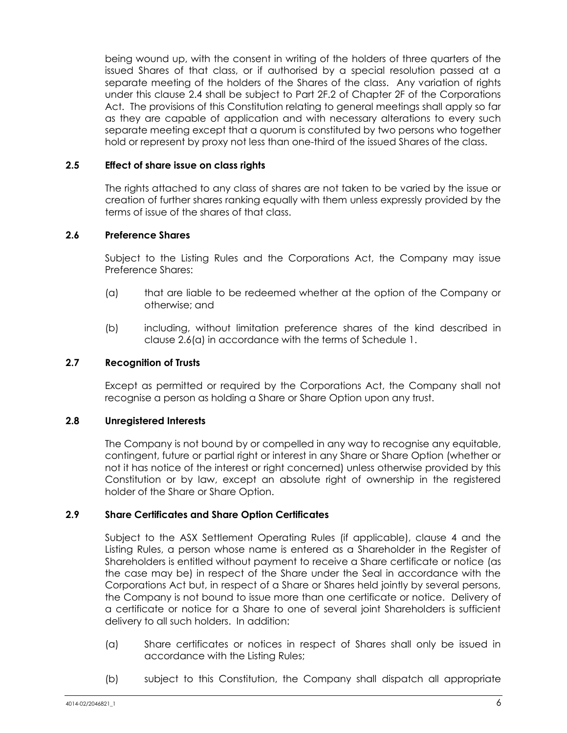being wound up, with the consent in writing of the holders of three quarters of the issued Shares of that class, or if authorised by a special resolution passed at a separate meeting of the holders of the Shares of the class. Any variation of rights under this clause [2.4](#page-11-0) shall be subject to Part 2F.2 of Chapter 2F of the Corporations Act. The provisions of this Constitution relating to general meetings shall apply so far as they are capable of application and with necessary alterations to every such separate meeting except that a quorum is constituted by two persons who together hold or represent by proxy not less than one-third of the issued Shares of the class.

## **2.5 Effect of share issue on class rights**

The rights attached to any class of shares are not taken to be varied by the issue or creation of further shares ranking equally with them unless expressly provided by the terms of issue of the shares of that class.

#### <span id="page-12-2"></span>**2.6 Preference Shares**

Subject to the Listing Rules and the Corporations Act, the Company may issue Preference Shares:

- <span id="page-12-0"></span>(a) that are liable to be redeemed whether at the option of the Company or otherwise; and
- (b) including, without limitation preference shares of the kind described in clause [2.6\(a\)](#page-12-0) in accordance with the terms of [Schedule](#page-65-0) 1.

#### **2.7 Recognition of Trusts**

Except as permitted or required by the Corporations Act, the Company shall not recognise a person as holding a Share or Share Option upon any trust.

#### **2.8 Unregistered Interests**

The Company is not bound by or compelled in any way to recognise any equitable, contingent, future or partial right or interest in any Share or Share Option (whether or not it has notice of the interest or right concerned) unless otherwise provided by this Constitution or by law, except an absolute right of ownership in the registered holder of the Share or Share Option.

## <span id="page-12-1"></span>**2.9 Share Certificates and Share Option Certificates**

Subject to the ASX Settlement Operating Rules (if applicable), clause [4](#page-17-0) and the Listing Rules, a person whose name is entered as a Shareholder in the Register of Shareholders is entitled without payment to receive a Share certificate or notice (as the case may be) in respect of the Share under the Seal in accordance with the Corporations Act but, in respect of a Share or Shares held jointly by several persons, the Company is not bound to issue more than one certificate or notice. Delivery of a certificate or notice for a Share to one of several joint Shareholders is sufficient delivery to all such holders. In addition:

- (a) Share certificates or notices in respect of Shares shall only be issued in accordance with the Listing Rules;
- (b) subject to this Constitution, the Company shall dispatch all appropriate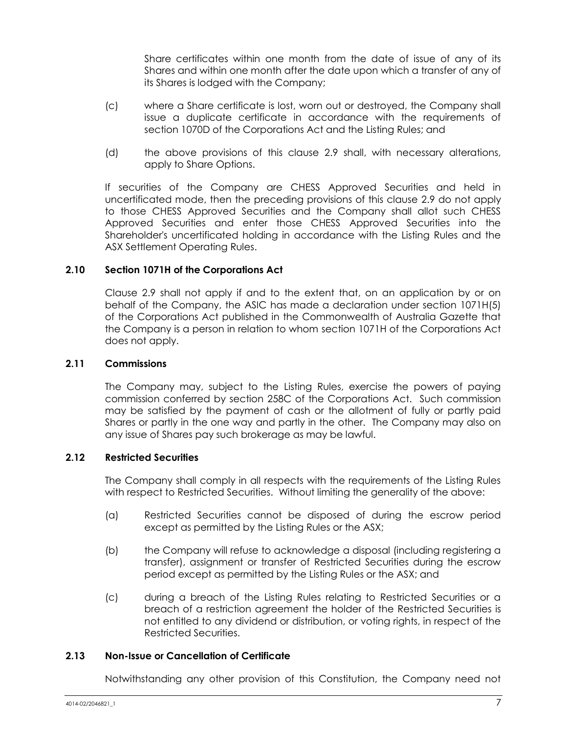Share certificates within one month from the date of issue of any of its Shares and within one month after the date upon which a transfer of any of its Shares is lodged with the Company;

- (c) where a Share certificate is lost, worn out or destroyed, the Company shall issue a duplicate certificate in accordance with the requirements of section 1070D of the Corporations Act and the Listing Rules; and
- (d) the above provisions of this clause [2.9](#page-12-1) shall, with necessary alterations, apply to Share Options.

If securities of the Company are CHESS Approved Securities and held in uncertificated mode, then the preceding provisions of this clause [2.9](#page-12-1) do not apply to those CHESS Approved Securities and the Company shall allot such CHESS Approved Securities and enter those CHESS Approved Securities into the Shareholder's uncertificated holding in accordance with the Listing Rules and the ASX Settlement Operating Rules.

## **2.10 Section 1071H of the Corporations Act**

Clause [2.9](#page-12-1) shall not apply if and to the extent that, on an application by or on behalf of the Company, the ASIC has made a declaration under section 1071H(5) of the Corporations Act published in the Commonwealth of Australia Gazette that the Company is a person in relation to whom section 1071H of the Corporations Act does not apply.

#### **2.11 Commissions**

The Company may, subject to the Listing Rules, exercise the powers of paying commission conferred by section 258C of the Corporations Act. Such commission may be satisfied by the payment of cash or the allotment of fully or partly paid Shares or partly in the one way and partly in the other. The Company may also on any issue of Shares pay such brokerage as may be lawful.

#### **2.12 Restricted Securities**

The Company shall comply in all respects with the requirements of the Listing Rules with respect to Restricted Securities. Without limiting the generality of the above:

- (a) Restricted Securities cannot be disposed of during the escrow period except as permitted by the Listing Rules or the ASX;
- (b) the Company will refuse to acknowledge a disposal (including registering a transfer), assignment or transfer of Restricted Securities during the escrow period except as permitted by the Listing Rules or the ASX; and
- (c) during a breach of the Listing Rules relating to Restricted Securities or a breach of a restriction agreement the holder of the Restricted Securities is not entitled to any dividend or distribution, or voting rights, in respect of the Restricted Securities.

#### **2.13 Non-Issue or Cancellation of Certificate**

Notwithstanding any other provision of this Constitution, the Company need not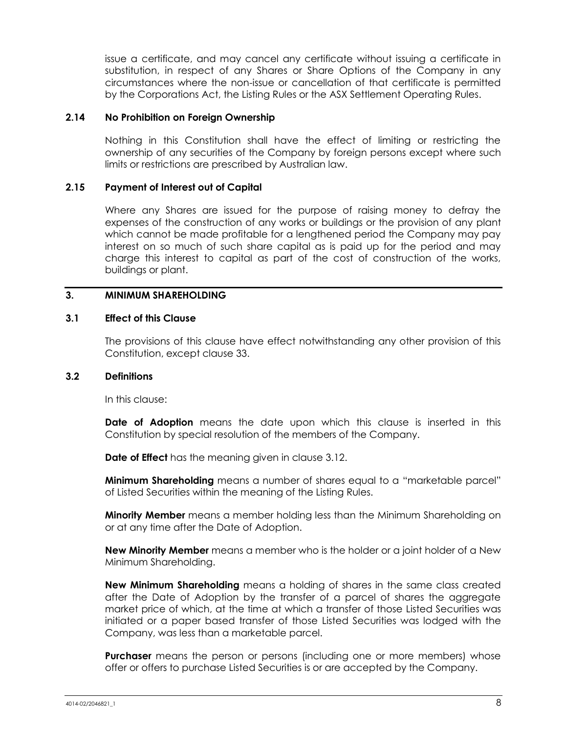issue a certificate, and may cancel any certificate without issuing a certificate in substitution, in respect of any Shares or Share Options of the Company in any circumstances where the non-issue or cancellation of that certificate is permitted by the Corporations Act, the Listing Rules or the ASX Settlement Operating Rules.

#### **2.14 No Prohibition on Foreign Ownership**

Nothing in this Constitution shall have the effect of limiting or restricting the ownership of any securities of the Company by foreign persons except where such limits or restrictions are prescribed by Australian law.

#### **2.15 Payment of Interest out of Capital**

Where any Shares are issued for the purpose of raising money to defray the expenses of the construction of any works or buildings or the provision of any plant which cannot be made profitable for a lengthened period the Company may pay interest on so much of such share capital as is paid up for the period and may charge this interest to capital as part of the cost of construction of the works, buildings or plant.

#### <span id="page-14-0"></span>**3. MINIMUM SHAREHOLDING**

#### **3.1 Effect of this Clause**

The provisions of this clause have effect notwithstanding any other provision of this Constitution, except clause [33.](#page-60-0)

#### **3.2 Definitions**

In this clause:

**Date of Adoption** means the date upon which this clause is inserted in this Constitution by special resolution of the members of the Company.

**Date of Effect** has the meaning given in clause [3.12.](#page-16-0)

**Minimum Shareholding** means a number of shares equal to a "marketable parcel" of Listed Securities within the meaning of the Listing Rules.

**Minority Member** means a member holding less than the Minimum Shareholding on or at any time after the Date of Adoption.

**New Minority Member** means a member who is the holder or a joint holder of a New Minimum Shareholding.

**New Minimum Shareholding** means a holding of shares in the same class created after the Date of Adoption by the transfer of a parcel of shares the aggregate market price of which, at the time at which a transfer of those Listed Securities was initiated or a paper based transfer of those Listed Securities was lodged with the Company, was less than a marketable parcel.

**Purchaser** means the person or persons (including one or more members) whose offer or offers to purchase Listed Securities is or are accepted by the Company.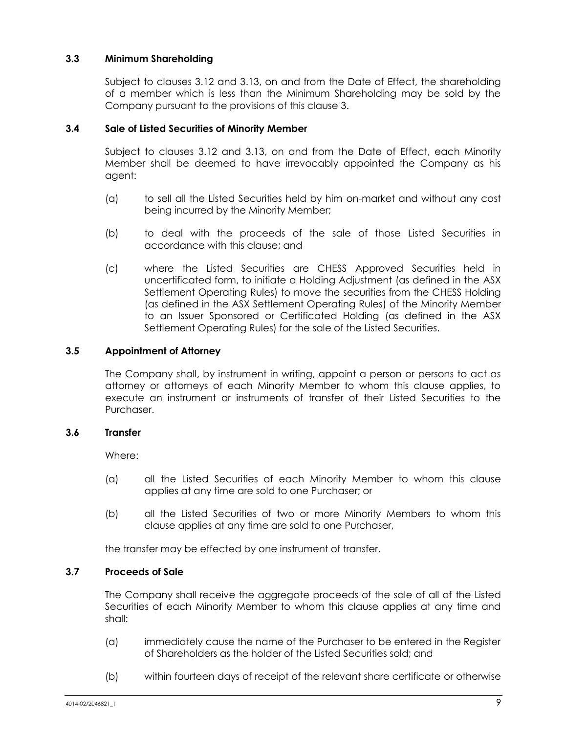## **3.3 Minimum Shareholding**

Subject to clauses [3.12](#page-16-0) and [3.13,](#page-17-1) on and from the Date of Effect, the shareholding of a member which is less than the Minimum Shareholding may be sold by the Company pursuant to the provisions of this clause [3.](#page-14-0)

## **3.4 Sale of Listed Securities of Minority Member**

Subject to clauses [3.12](#page-16-0) and [3.13,](#page-17-1) on and from the Date of Effect, each Minority Member shall be deemed to have irrevocably appointed the Company as his agent:

- (a) to sell all the Listed Securities held by him on-market and without any cost being incurred by the Minority Member;
- (b) to deal with the proceeds of the sale of those Listed Securities in accordance with this clause; and
- (c) where the Listed Securities are CHESS Approved Securities held in uncertificated form, to initiate a Holding Adjustment (as defined in the ASX Settlement Operating Rules) to move the securities from the CHESS Holding (as defined in the ASX Settlement Operating Rules) of the Minority Member to an Issuer Sponsored or Certificated Holding (as defined in the ASX Settlement Operating Rules) for the sale of the Listed Securities.

## **3.5 Appointment of Attorney**

The Company shall, by instrument in writing, appoint a person or persons to act as attorney or attorneys of each Minority Member to whom this clause applies, to execute an instrument or instruments of transfer of their Listed Securities to the Purchaser.

## **3.6 Transfer**

Where:

- (a) all the Listed Securities of each Minority Member to whom this clause applies at any time are sold to one Purchaser; or
- (b) all the Listed Securities of two or more Minority Members to whom this clause applies at any time are sold to one Purchaser,

the transfer may be effected by one instrument of transfer.

## <span id="page-15-0"></span>**3.7 Proceeds of Sale**

The Company shall receive the aggregate proceeds of the sale of all of the Listed Securities of each Minority Member to whom this clause applies at any time and shall:

- (a) immediately cause the name of the Purchaser to be entered in the Register of Shareholders as the holder of the Listed Securities sold; and
- (b) within fourteen days of receipt of the relevant share certificate or otherwise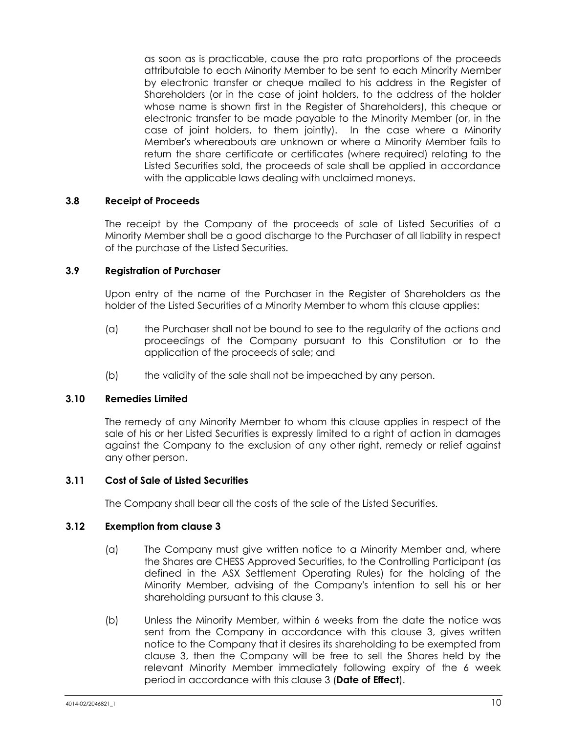as soon as is practicable, cause the pro rata proportions of the proceeds attributable to each Minority Member to be sent to each Minority Member by electronic transfer or cheque mailed to his address in the Register of Shareholders (or in the case of joint holders, to the address of the holder whose name is shown first in the Register of Shareholders), this cheque or electronic transfer to be made payable to the Minority Member (or, in the case of joint holders, to them jointly). In the case where a Minority Member's whereabouts are unknown or where a Minority Member fails to return the share certificate or certificates (where required) relating to the Listed Securities sold, the proceeds of sale shall be applied in accordance with the applicable laws dealing with unclaimed moneys.

## **3.8 Receipt of Proceeds**

The receipt by the Company of the proceeds of sale of Listed Securities of a Minority Member shall be a good discharge to the Purchaser of all liability in respect of the purchase of the Listed Securities.

## **3.9 Registration of Purchaser**

Upon entry of the name of the Purchaser in the Register of Shareholders as the holder of the Listed Securities of a Minority Member to whom this clause applies:

- (a) the Purchaser shall not be bound to see to the regularity of the actions and proceedings of the Company pursuant to this Constitution or to the application of the proceeds of sale; and
- (b) the validity of the sale shall not be impeached by any person.

#### **3.10 Remedies Limited**

The remedy of any Minority Member to whom this clause applies in respect of the sale of his or her Listed Securities is expressly limited to a right of action in damages against the Company to the exclusion of any other right, remedy or relief against any other person.

## **3.11 Cost of Sale of Listed Securities**

The Company shall bear all the costs of the sale of the Listed Securities.

#### <span id="page-16-0"></span>**3.12 Exemption from clause [3](#page-14-0)**

- (a) The Company must give written notice to a Minority Member and, where the Shares are CHESS Approved Securities, to the Controlling Participant (as defined in the ASX Settlement Operating Rules) for the holding of the Minority Member, advising of the Company's intention to sell his or her shareholding pursuant to this clause [3.](#page-14-0)
- (b) Unless the Minority Member, within 6 weeks from the date the notice was sent from the Company in accordance with this clause [3,](#page-14-0) gives written notice to the Company that it desires its shareholding to be exempted from clause [3,](#page-14-0) then the Company will be free to sell the Shares held by the relevant Minority Member immediately following expiry of the 6 week period in accordance with this clause [3](#page-14-0) (**Date of Effect**).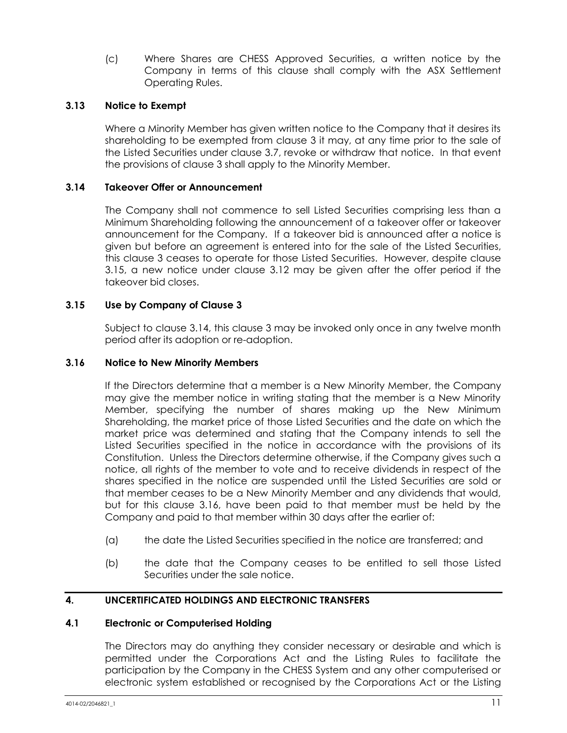(c) Where Shares are CHESS Approved Securities, a written notice by the Company in terms of this clause shall comply with the ASX Settlement Operating Rules.

## <span id="page-17-1"></span>**3.13 Notice to Exempt**

Where a Minority Member has given written notice to the Company that it desires its shareholding to be exempted from clause [3](#page-14-0) it may, at any time prior to the sale of the Listed Securities under clause [3.7,](#page-15-0) revoke or withdraw that notice. In that event the provisions of clause [3](#page-14-0) shall apply to the Minority Member.

#### <span id="page-17-3"></span>**3.14 Takeover Offer or Announcement**

The Company shall not commence to sell Listed Securities comprising less than a Minimum Shareholding following the announcement of a takeover offer or takeover announcement for the Company. If a takeover bid is announced after a notice is given but before an agreement is entered into for the sale of the Listed Securities, this clause [3](#page-14-0) ceases to operate for those Listed Securities. However, despite clause [3.15,](#page-17-2) a new notice under clause [3.12](#page-16-0) may be given after the offer period if the takeover bid closes.

#### <span id="page-17-2"></span>**3.15 Use by Company of Clause [3](#page-14-0)**

Subject to clause [3.14,](#page-17-3) this clause [3](#page-14-0) may be invoked only once in any twelve month period after its adoption or re-adoption.

#### <span id="page-17-4"></span>**3.16 Notice to New Minority Members**

If the Directors determine that a member is a New Minority Member, the Company may give the member notice in writing stating that the member is a New Minority Member, specifying the number of shares making up the New Minimum Shareholding, the market price of those Listed Securities and the date on which the market price was determined and stating that the Company intends to sell the Listed Securities specified in the notice in accordance with the provisions of its Constitution. Unless the Directors determine otherwise, if the Company gives such a notice, all rights of the member to vote and to receive dividends in respect of the shares specified in the notice are suspended until the Listed Securities are sold or that member ceases to be a New Minority Member and any dividends that would, but for this clause [3.16,](#page-17-4) have been paid to that member must be held by the Company and paid to that member within 30 days after the earlier of:

- (a) the date the Listed Securities specified in the notice are transferred; and
- (b) the date that the Company ceases to be entitled to sell those Listed Securities under the sale notice.

## <span id="page-17-0"></span>**4. UNCERTIFICATED HOLDINGS AND ELECTRONIC TRANSFERS**

#### **4.1 Electronic or Computerised Holding**

The Directors may do anything they consider necessary or desirable and which is permitted under the Corporations Act and the Listing Rules to facilitate the participation by the Company in the CHESS System and any other computerised or electronic system established or recognised by the Corporations Act or the Listing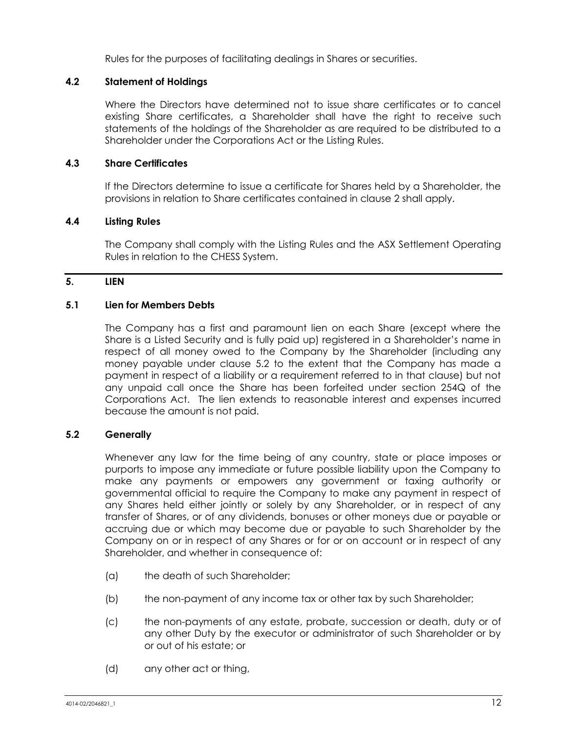Rules for the purposes of facilitating dealings in Shares or securities.

## **4.2 Statement of Holdings**

Where the Directors have determined not to issue share certificates or to cancel existing Share certificates, a Shareholder shall have the right to receive such statements of the holdings of the Shareholder as are required to be distributed to a Shareholder under the Corporations Act or the Listing Rules.

## **4.3 Share Certificates**

If the Directors determine to issue a certificate for Shares held by a Shareholder, the provisions in relation to Share certificates contained in clause [2](#page-11-1) shall apply.

## **4.4 Listing Rules**

The Company shall comply with the Listing Rules and the ASX Settlement Operating Rules in relation to the CHESS System.

## <span id="page-18-1"></span>**5. LIEN**

#### **5.1 Lien for Members Debts**

The Company has a first and paramount lien on each Share (except where the Share is a Listed Security and is fully paid up) registered in a Shareholder's name in respect of all money owed to the Company by the Shareholder (including any money payable under clause [5.2](#page-18-0) to the extent that the Company has made a payment in respect of a liability or a requirement referred to in that clause) but not any unpaid call once the Share has been forfeited under section 254Q of the Corporations Act. The lien extends to reasonable interest and expenses incurred because the amount is not paid.

## <span id="page-18-0"></span>**5.2 Generally**

Whenever any law for the time being of any country, state or place imposes or purports to impose any immediate or future possible liability upon the Company to make any payments or empowers any government or taxing authority or governmental official to require the Company to make any payment in respect of any Shares held either jointly or solely by any Shareholder, or in respect of any transfer of Shares, or of any dividends, bonuses or other moneys due or payable or accruing due or which may become due or payable to such Shareholder by the Company on or in respect of any Shares or for or on account or in respect of any Shareholder, and whether in consequence of:

- (a) the death of such Shareholder;
- (b) the non-payment of any income tax or other tax by such Shareholder;
- (c) the non-payments of any estate, probate, succession or death, duty or of any other Duty by the executor or administrator of such Shareholder or by or out of his estate; or
- (d) any other act or thing,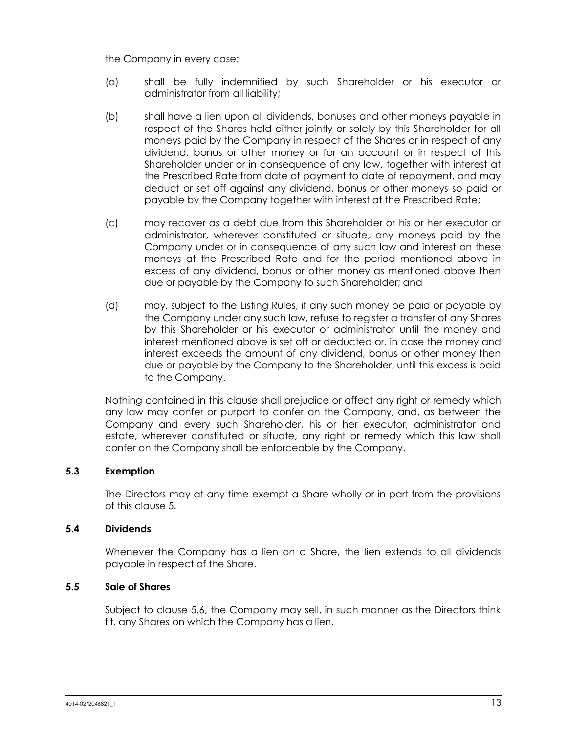the Company in every case:

- (a) shall be fully indemnified by such Shareholder or his executor or administrator from all liability;
- (b) shall have a lien upon all dividends, bonuses and other moneys payable in respect of the Shares held either jointly or solely by this Shareholder for all moneys paid by the Company in respect of the Shares or in respect of any dividend, bonus or other money or for an account or in respect of this Shareholder under or in consequence of any law, together with interest at the Prescribed Rate from date of payment to date of repayment, and may deduct or set off against any dividend, bonus or other moneys so paid or payable by the Company together with interest at the Prescribed Rate;
- (c) may recover as a debt due from this Shareholder or his or her executor or administrator, wherever constituted or situate, any moneys paid by the Company under or in consequence of any such law and interest on these moneys at the Prescribed Rate and for the period mentioned above in excess of any dividend, bonus or other money as mentioned above then due or payable by the Company to such Shareholder; and
- (d) may, subject to the Listing Rules, if any such money be paid or payable by the Company under any such law, refuse to register a transfer of any Shares by this Shareholder or his executor or administrator until the money and interest mentioned above is set off or deducted or, in case the money and interest exceeds the amount of any dividend, bonus or other money then due or payable by the Company to the Shareholder, until this excess is paid to the Company.

Nothing contained in this clause shall prejudice or affect any right or remedy which any law may confer or purport to confer on the Company, and, as between the Company and every such Shareholder, his or her executor, administrator and estate, wherever constituted or situate, any right or remedy which this law shall confer on the Company shall be enforceable by the Company.

## **5.3 Exemption**

The Directors may at any time exempt a Share wholly or in part from the provisions of this clause [5.](#page-18-1)

## **5.4 Dividends**

Whenever the Company has a lien on a Share, the lien extends to all dividends payable in respect of the Share.

## <span id="page-19-0"></span>**5.5 Sale of Shares**

Subject to clause [5.6,](#page-20-0) the Company may sell, in such manner as the Directors think fit, any Shares on which the Company has a lien.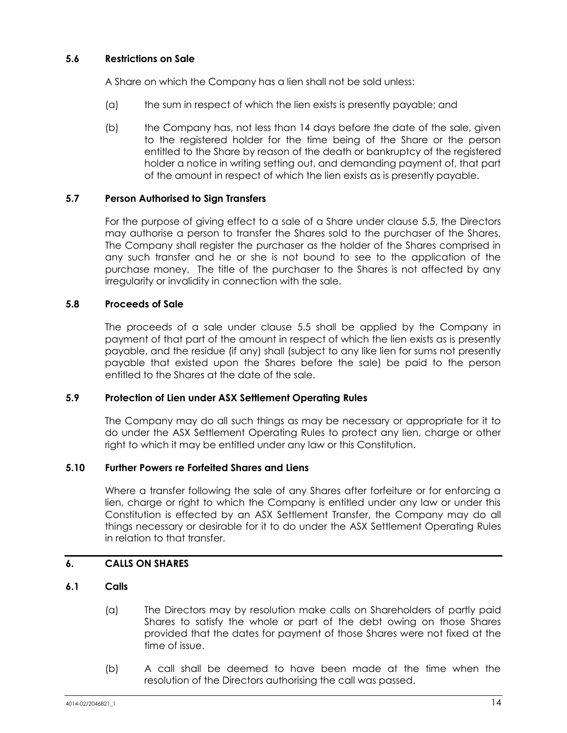## <span id="page-20-0"></span>**5.6 Restrictions on Sale**

A Share on which the Company has a lien shall not be sold unless:

- (a) the sum in respect of which the lien exists is presently payable; and
- (b) the Company has, not less than 14 days before the date of the sale, given to the registered holder for the time being of the Share or the person entitled to the Share by reason of the death or bankruptcy of the registered holder a notice in writing setting out, and demanding payment of, that part of the amount in respect of which the lien exists as is presently payable.

## **5.7 Person Authorised to Sign Transfers**

For the purpose of giving effect to a sale of a Share under clause [5.5,](#page-19-0) the Directors may authorise a person to transfer the Shares sold to the purchaser of the Shares. The Company shall register the purchaser as the holder of the Shares comprised in any such transfer and he or she is not bound to see to the application of the purchase money. The title of the purchaser to the Shares is not affected by any irregularity or invalidity in connection with the sale.

## **5.8 Proceeds of Sale**

The proceeds of a sale under clause [5.5](#page-19-0) shall be applied by the Company in payment of that part of the amount in respect of which the lien exists as is presently payable, and the residue (if any) shall (subject to any like lien for sums not presently payable that existed upon the Shares before the sale) be paid to the person entitled to the Shares at the date of the sale.

## **5.9 Protection of Lien under ASX Settlement Operating Rules**

The Company may do all such things as may be necessary or appropriate for it to do under the ASX Settlement Operating Rules to protect any lien, charge or other right to which it may be entitled under any law or this Constitution.

## **5.10 Further Powers re Forfeited Shares and Liens**

Where a transfer following the sale of any Shares after forfeiture or for enforcing a lien, charge or right to which the Company is entitled under any law or under this Constitution is effected by an ASX Settlement Transfer, the Company may do all things necessary or desirable for it to do under the ASX Settlement Operating Rules in relation to that transfer.

## <span id="page-20-1"></span>**6. CALLS ON SHARES**

## **6.1 Calls**

- (a) The Directors may by resolution make calls on Shareholders of partly paid Shares to satisfy the whole or part of the debt owing on those Shares provided that the dates for payment of those Shares were not fixed at the time of issue.
- (b) A call shall be deemed to have been made at the time when the resolution of the Directors authorising the call was passed.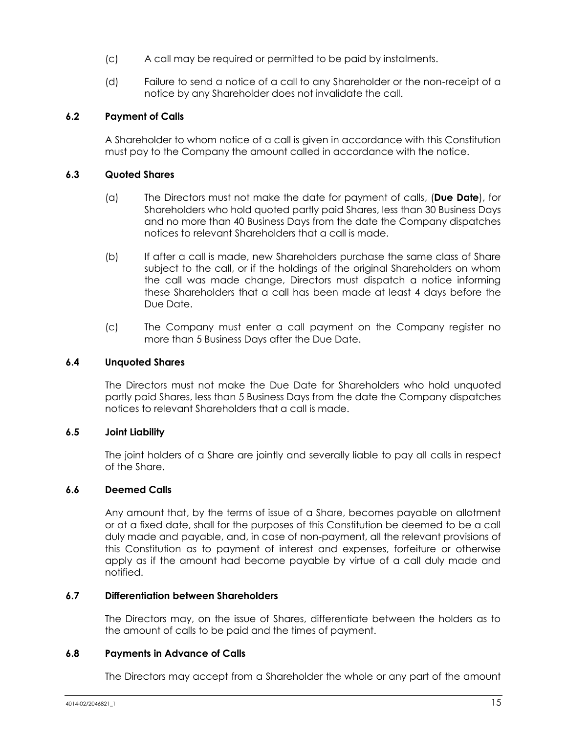- (c) A call may be required or permitted to be paid by instalments.
- (d) Failure to send a notice of a call to any Shareholder or the non-receipt of a notice by any Shareholder does not invalidate the call.

## **6.2 Payment of Calls**

A Shareholder to whom notice of a call is given in accordance with this Constitution must pay to the Company the amount called in accordance with the notice.

## **6.3 Quoted Shares**

- (a) The Directors must not make the date for payment of calls, (**Due Date**), for Shareholders who hold quoted partly paid Shares, less than 30 Business Days and no more than 40 Business Days from the date the Company dispatches notices to relevant Shareholders that a call is made.
- (b) If after a call is made, new Shareholders purchase the same class of Share subject to the call, or if the holdings of the original Shareholders on whom the call was made change, Directors must dispatch a notice informing these Shareholders that a call has been made at least 4 days before the Due Date.
- (c) The Company must enter a call payment on the Company register no more than 5 Business Days after the Due Date.

## **6.4 Unquoted Shares**

The Directors must not make the Due Date for Shareholders who hold unquoted partly paid Shares, less than 5 Business Days from the date the Company dispatches notices to relevant Shareholders that a call is made.

## **6.5 Joint Liability**

The joint holders of a Share are jointly and severally liable to pay all calls in respect of the Share.

## **6.6 Deemed Calls**

Any amount that, by the terms of issue of a Share, becomes payable on allotment or at a fixed date, shall for the purposes of this Constitution be deemed to be a call duly made and payable, and, in case of non-payment, all the relevant provisions of this Constitution as to payment of interest and expenses, forfeiture or otherwise apply as if the amount had become payable by virtue of a call duly made and notified.

## **6.7 Differentiation between Shareholders**

The Directors may, on the issue of Shares, differentiate between the holders as to the amount of calls to be paid and the times of payment.

## **6.8 Payments in Advance of Calls**

The Directors may accept from a Shareholder the whole or any part of the amount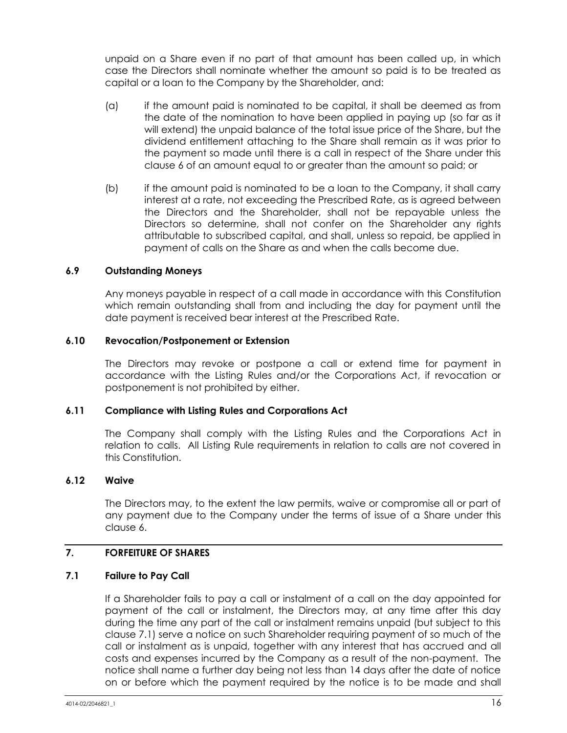unpaid on a Share even if no part of that amount has been called up, in which case the Directors shall nominate whether the amount so paid is to be treated as capital or a loan to the Company by the Shareholder, and:

- (a) if the amount paid is nominated to be capital, it shall be deemed as from the date of the nomination to have been applied in paying up (so far as it will extend) the unpaid balance of the total issue price of the Share, but the dividend entitlement attaching to the Share shall remain as it was prior to the payment so made until there is a call in respect of the Share under this clause [6](#page-20-1) of an amount equal to or greater than the amount so paid; or
- (b) if the amount paid is nominated to be a loan to the Company, it shall carry interest at a rate, not exceeding the Prescribed Rate, as is agreed between the Directors and the Shareholder, shall not be repayable unless the Directors so determine, shall not confer on the Shareholder any rights attributable to subscribed capital, and shall, unless so repaid, be applied in payment of calls on the Share as and when the calls become due.

## **6.9 Outstanding Moneys**

Any moneys payable in respect of a call made in accordance with this Constitution which remain outstanding shall from and including the day for payment until the date payment is received bear interest at the Prescribed Rate.

#### **6.10 Revocation/Postponement or Extension**

The Directors may revoke or postpone a call or extend time for payment in accordance with the Listing Rules and/or the Corporations Act, if revocation or postponement is not prohibited by either.

#### **6.11 Compliance with Listing Rules and Corporations Act**

The Company shall comply with the Listing Rules and the Corporations Act in relation to calls. All Listing Rule requirements in relation to calls are not covered in this Constitution.

#### **6.12 Waive**

The Directors may, to the extent the law permits, waive or compromise all or part of any payment due to the Company under the terms of issue of a Share under this claus[e 6.](#page-20-1)

## <span id="page-22-1"></span>**7. FORFEITURE OF SHARES**

## <span id="page-22-0"></span>**7.1 Failure to Pay Call**

If a Shareholder fails to pay a call or instalment of a call on the day appointed for payment of the call or instalment, the Directors may, at any time after this day during the time any part of the call or instalment remains unpaid (but subject to this clause [7.1\)](#page-22-0) serve a notice on such Shareholder requiring payment of so much of the call or instalment as is unpaid, together with any interest that has accrued and all costs and expenses incurred by the Company as a result of the non-payment. The notice shall name a further day being not less than 14 days after the date of notice on or before which the payment required by the notice is to be made and shall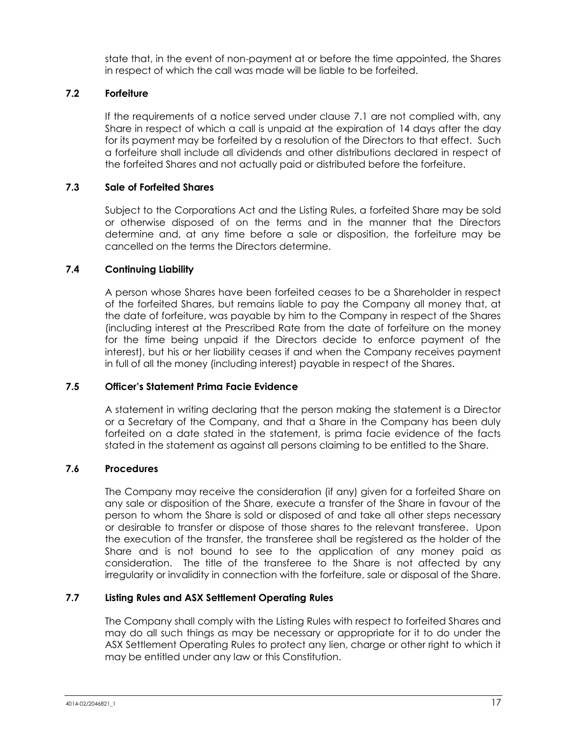state that, in the event of non-payment at or before the time appointed, the Shares in respect of which the call was made will be liable to be forfeited.

## **7.2 Forfeiture**

If the requirements of a notice served under clause [7.1](#page-22-0) are not complied with, any Share in respect of which a call is unpaid at the expiration of 14 days after the day for its payment may be forfeited by a resolution of the Directors to that effect. Such a forfeiture shall include all dividends and other distributions declared in respect of the forfeited Shares and not actually paid or distributed before the forfeiture.

## **7.3 Sale of Forfeited Shares**

Subject to the Corporations Act and the Listing Rules, a forfeited Share may be sold or otherwise disposed of on the terms and in the manner that the Directors determine and, at any time before a sale or disposition, the forfeiture may be cancelled on the terms the Directors determine.

## **7.4 Continuing Liability**

A person whose Shares have been forfeited ceases to be a Shareholder in respect of the forfeited Shares, but remains liable to pay the Company all money that, at the date of forfeiture, was payable by him to the Company in respect of the Shares (including interest at the Prescribed Rate from the date of forfeiture on the money for the time being unpaid if the Directors decide to enforce payment of the interest), but his or her liability ceases if and when the Company receives payment in full of all the money (including interest) payable in respect of the Shares.

## **7.5 Officer's Statement Prima Facie Evidence**

A statement in writing declaring that the person making the statement is a Director or a Secretary of the Company, and that a Share in the Company has been duly forfeited on a date stated in the statement, is prima facie evidence of the facts stated in the statement as against all persons claiming to be entitled to the Share.

## **7.6 Procedures**

The Company may receive the consideration (if any) given for a forfeited Share on any sale or disposition of the Share, execute a transfer of the Share in favour of the person to whom the Share is sold or disposed of and take all other steps necessary or desirable to transfer or dispose of those shares to the relevant transferee. Upon the execution of the transfer, the transferee shall be registered as the holder of the Share and is not bound to see to the application of any money paid as consideration. The title of the transferee to the Share is not affected by any irregularity or invalidity in connection with the forfeiture, sale or disposal of the Share.

## **7.7 Listing Rules and ASX Settlement Operating Rules**

The Company shall comply with the Listing Rules with respect to forfeited Shares and may do all such things as may be necessary or appropriate for it to do under the ASX Settlement Operating Rules to protect any lien, charge or other right to which it may be entitled under any law or this Constitution.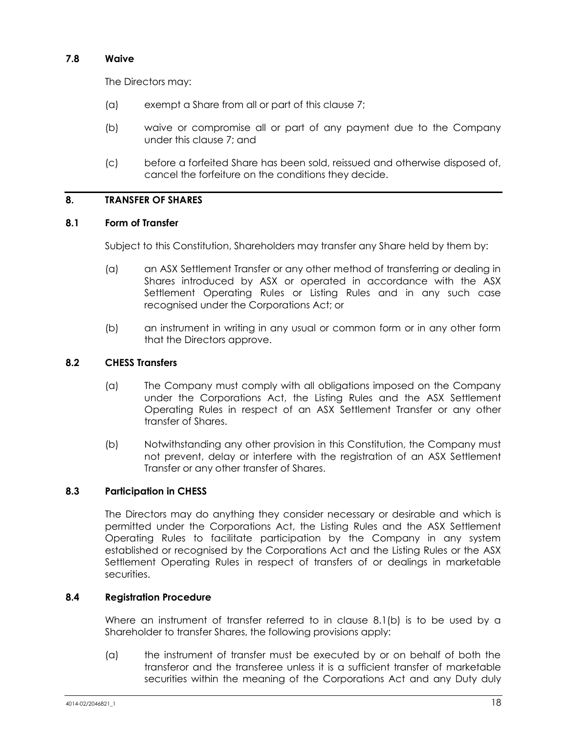## **7.8 Waive**

The Directors may:

- (a) exempt a Share from all or part of this clause [7;](#page-22-1)
- (b) waive or compromise all or part of any payment due to the Company under this clause [7;](#page-22-1) and
- (c) before a forfeited Share has been sold, reissued and otherwise disposed of, cancel the forfeiture on the conditions they decide.

## <span id="page-24-1"></span>**8. TRANSFER OF SHARES**

## **8.1 Form of Transfer**

Subject to this Constitution, Shareholders may transfer any Share held by them by:

- (a) an ASX Settlement Transfer or any other method of transferring or dealing in Shares introduced by ASX or operated in accordance with the ASX Settlement Operating Rules or Listing Rules and in any such case recognised under the Corporations Act; or
- (b) an instrument in writing in any usual or common form or in any other form that the Directors approve.

## <span id="page-24-0"></span>**8.2 CHESS Transfers**

- (a) The Company must comply with all obligations imposed on the Company under the Corporations Act, the Listing Rules and the ASX Settlement Operating Rules in respect of an ASX Settlement Transfer or any other transfer of Shares.
- (b) Notwithstanding any other provision in this Constitution, the Company must not prevent, delay or interfere with the registration of an ASX Settlement Transfer or any other transfer of Shares.

## **8.3 Participation in CHESS**

The Directors may do anything they consider necessary or desirable and which is permitted under the Corporations Act, the Listing Rules and the ASX Settlement Operating Rules to facilitate participation by the Company in any system established or recognised by the Corporations Act and the Listing Rules or the ASX Settlement Operating Rules in respect of transfers of or dealings in marketable securities.

## **8.4 Registration Procedure**

Where an instrument of transfer referred to in clause [8.1\(b\)](#page-24-0) is to be used by a Shareholder to transfer Shares, the following provisions apply:

(a) the instrument of transfer must be executed by or on behalf of both the transferor and the transferee unless it is a sufficient transfer of marketable securities within the meaning of the Corporations Act and any Duty duly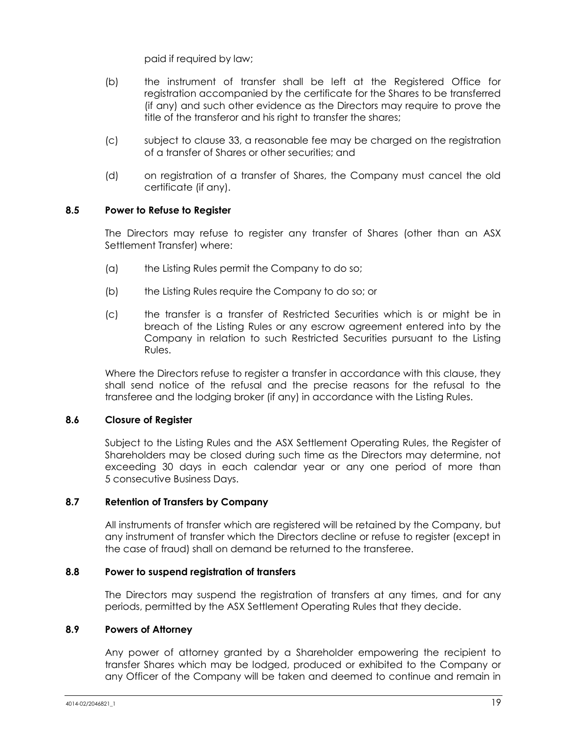paid if required by law;

- (b) the instrument of transfer shall be left at the Registered Office for registration accompanied by the certificate for the Shares to be transferred (if any) and such other evidence as the Directors may require to prove the title of the transferor and his right to transfer the shares;
- (c) subject to clause [33,](#page-60-0) a reasonable fee may be charged on the registration of a transfer of Shares or other securities; and
- (d) on registration of a transfer of Shares, the Company must cancel the old certificate (if any).

#### **8.5 Power to Refuse to Register**

The Directors may refuse to register any transfer of Shares (other than an ASX Settlement Transfer) where:

- (a) the Listing Rules permit the Company to do so;
- (b) the Listing Rules require the Company to do so; or
- (c) the transfer is a transfer of Restricted Securities which is or might be in breach of the Listing Rules or any escrow agreement entered into by the Company in relation to such Restricted Securities pursuant to the Listing Rules.

Where the Directors refuse to register a transfer in accordance with this clause, they shall send notice of the refusal and the precise reasons for the refusal to the transferee and the lodging broker (if any) in accordance with the Listing Rules.

#### **8.6 Closure of Register**

Subject to the Listing Rules and the ASX Settlement Operating Rules, the Register of Shareholders may be closed during such time as the Directors may determine, not exceeding 30 days in each calendar year or any one period of more than 5 consecutive Business Days.

## **8.7 Retention of Transfers by Company**

All instruments of transfer which are registered will be retained by the Company, but any instrument of transfer which the Directors decline or refuse to register (except in the case of fraud) shall on demand be returned to the transferee.

#### **8.8 Power to suspend registration of transfers**

The Directors may suspend the registration of transfers at any times, and for any periods, permitted by the ASX Settlement Operating Rules that they decide.

#### **8.9 Powers of Attorney**

Any power of attorney granted by a Shareholder empowering the recipient to transfer Shares which may be lodged, produced or exhibited to the Company or any Officer of the Company will be taken and deemed to continue and remain in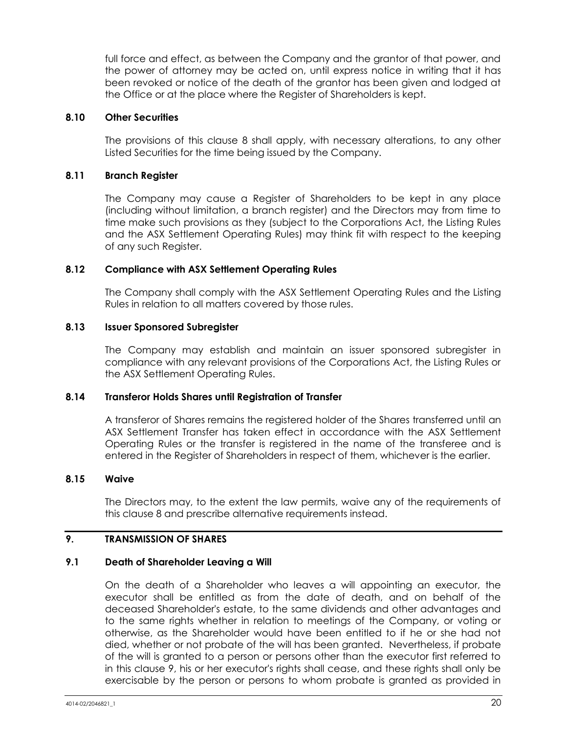full force and effect, as between the Company and the grantor of that power, and the power of attorney may be acted on, until express notice in writing that it has been revoked or notice of the death of the grantor has been given and lodged at the Office or at the place where the Register of Shareholders is kept.

#### **8.10 Other Securities**

The provisions of this clause [8](#page-24-1) shall apply, with necessary alterations, to any other Listed Securities for the time being issued by the Company.

## **8.11 Branch Register**

The Company may cause a Register of Shareholders to be kept in any place (including without limitation, a branch register) and the Directors may from time to time make such provisions as they (subject to the Corporations Act, the Listing Rules and the ASX Settlement Operating Rules) may think fit with respect to the keeping of any such Register.

#### **8.12 Compliance with ASX Settlement Operating Rules**

The Company shall comply with the ASX Settlement Operating Rules and the Listing Rules in relation to all matters covered by those rules.

## **8.13 Issuer Sponsored Subregister**

The Company may establish and maintain an issuer sponsored subregister in compliance with any relevant provisions of the Corporations Act, the Listing Rules or the ASX Settlement Operating Rules.

#### **8.14 Transferor Holds Shares until Registration of Transfer**

A transferor of Shares remains the registered holder of the Shares transferred until an ASX Settlement Transfer has taken effect in accordance with the ASX Settlement Operating Rules or the transfer is registered in the name of the transferee and is entered in the Register of Shareholders in respect of them, whichever is the earlier.

## **8.15 Waive**

The Directors may, to the extent the law permits, waive any of the requirements of this clause [8](#page-24-1) and prescribe alternative requirements instead.

## <span id="page-26-0"></span>**9. TRANSMISSION OF SHARES**

## <span id="page-26-1"></span>**9.1 Death of Shareholder Leaving a Will**

On the death of a Shareholder who leaves a will appointing an executor, the executor shall be entitled as from the date of death, and on behalf of the deceased Shareholder's estate, to the same dividends and other advantages and to the same rights whether in relation to meetings of the Company, or voting or otherwise, as the Shareholder would have been entitled to if he or she had not died, whether or not probate of the will has been granted. Nevertheless, if probate of the will is granted to a person or persons other than the executor first referred to in this clause [9,](#page-26-0) his or her executor's rights shall cease, and these rights shall only be exercisable by the person or persons to whom probate is granted as provided in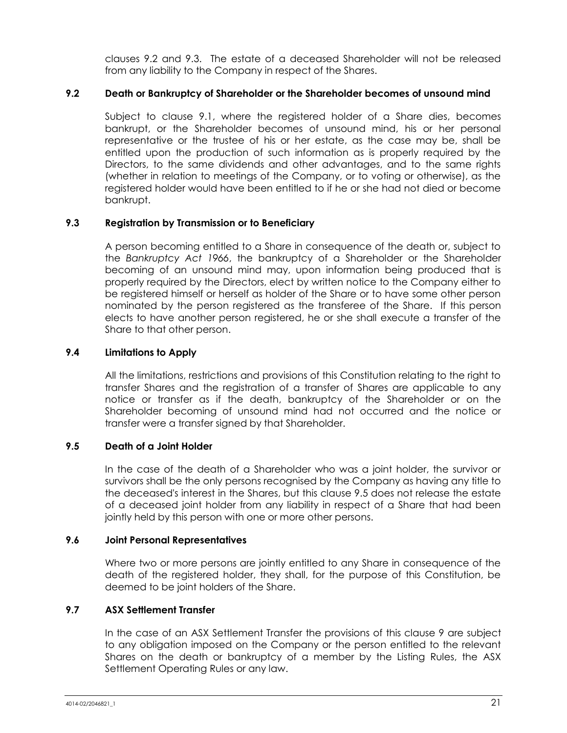clauses [9.2](#page-27-0) and [9.3.](#page-27-1) The estate of a deceased Shareholder will not be released from any liability to the Company in respect of the Shares.

## <span id="page-27-0"></span>**9.2 Death or Bankruptcy of Shareholder or the Shareholder becomes of unsound mind**

Subject to clause [9.1,](#page-26-1) where the registered holder of a Share dies, becomes bankrupt, or the Shareholder becomes of unsound mind, his or her personal representative or the trustee of his or her estate, as the case may be, shall be entitled upon the production of such information as is properly required by the Directors, to the same dividends and other advantages, and to the same rights (whether in relation to meetings of the Company, or to voting or otherwise), as the registered holder would have been entitled to if he or she had not died or become bankrupt.

## <span id="page-27-1"></span>**9.3 Registration by Transmission or to Beneficiary**

A person becoming entitled to a Share in consequence of the death or, subject to the *Bankruptcy Act 1966*, the bankruptcy of a Shareholder or the Shareholder becoming of an unsound mind may, upon information being produced that is properly required by the Directors, elect by written notice to the Company either to be registered himself or herself as holder of the Share or to have some other person nominated by the person registered as the transferee of the Share. If this person elects to have another person registered, he or she shall execute a transfer of the Share to that other person.

#### **9.4 Limitations to Apply**

All the limitations, restrictions and provisions of this Constitution relating to the right to transfer Shares and the registration of a transfer of Shares are applicable to any notice or transfer as if the death, bankruptcy of the Shareholder or on the Shareholder becoming of unsound mind had not occurred and the notice or transfer were a transfer signed by that Shareholder.

## <span id="page-27-2"></span>**9.5 Death of a Joint Holder**

In the case of the death of a Shareholder who was a joint holder, the survivor or survivors shall be the only persons recognised by the Company as having any title to the deceased's interest in the Shares, but this clause [9.5](#page-27-2) does not release the estate of a deceased joint holder from any liability in respect of a Share that had been jointly held by this person with one or more other persons.

## **9.6 Joint Personal Representatives**

Where two or more persons are jointly entitled to any Share in consequence of the death of the registered holder, they shall, for the purpose of this Constitution, be deemed to be joint holders of the Share.

## **9.7 ASX Settlement Transfer**

In the case of an ASX Settlement Transfer the provisions of this clause [9](#page-26-0) are subject to any obligation imposed on the Company or the person entitled to the relevant Shares on the death or bankruptcy of a member by the Listing Rules, the ASX Settlement Operating Rules or any law.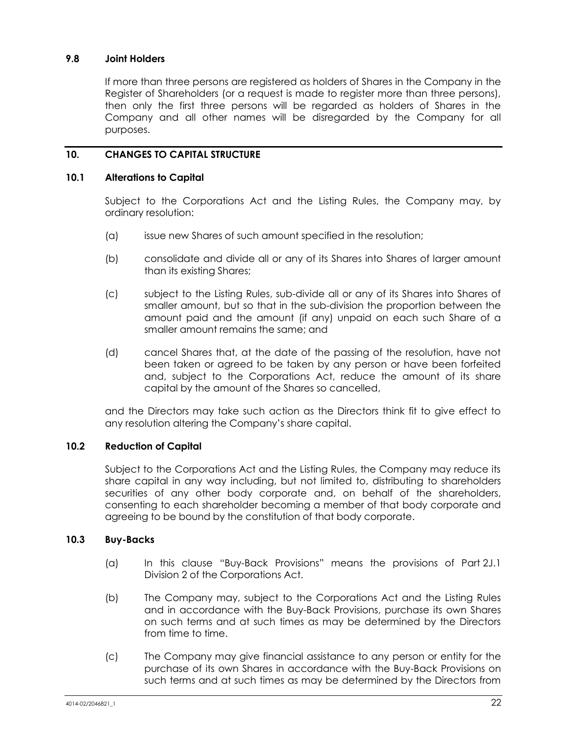## **9.8 Joint Holders**

If more than three persons are registered as holders of Shares in the Company in the Register of Shareholders (or a request is made to register more than three persons), then only the first three persons will be regarded as holders of Shares in the Company and all other names will be disregarded by the Company for all purposes.

## **10. CHANGES TO CAPITAL STRUCTURE**

## **10.1 Alterations to Capital**

Subject to the Corporations Act and the Listing Rules, the Company may, by ordinary resolution:

- (a) issue new Shares of such amount specified in the resolution;
- (b) consolidate and divide all or any of its Shares into Shares of larger amount than its existing Shares;
- (c) subject to the Listing Rules, sub-divide all or any of its Shares into Shares of smaller amount, but so that in the sub-division the proportion between the amount paid and the amount (if any) unpaid on each such Share of a smaller amount remains the same; and
- (d) cancel Shares that, at the date of the passing of the resolution, have not been taken or agreed to be taken by any person or have been forfeited and, subject to the Corporations Act, reduce the amount of its share capital by the amount of the Shares so cancelled,

and the Directors may take such action as the Directors think fit to give effect to any resolution altering the Company's share capital.

## **10.2 Reduction of Capital**

Subject to the Corporations Act and the Listing Rules, the Company may reduce its share capital in any way including, but not limited to, distributing to shareholders securities of any other body corporate and, on behalf of the shareholders, consenting to each shareholder becoming a member of that body corporate and agreeing to be bound by the constitution of that body corporate.

## **10.3 Buy-Backs**

- (a) In this clause "Buy-Back Provisions" means the provisions of Part 2J.1 Division 2 of the Corporations Act.
- (b) The Company may, subject to the Corporations Act and the Listing Rules and in accordance with the Buy-Back Provisions, purchase its own Shares on such terms and at such times as may be determined by the Directors from time to time.
- (c) The Company may give financial assistance to any person or entity for the purchase of its own Shares in accordance with the Buy-Back Provisions on such terms and at such times as may be determined by the Directors from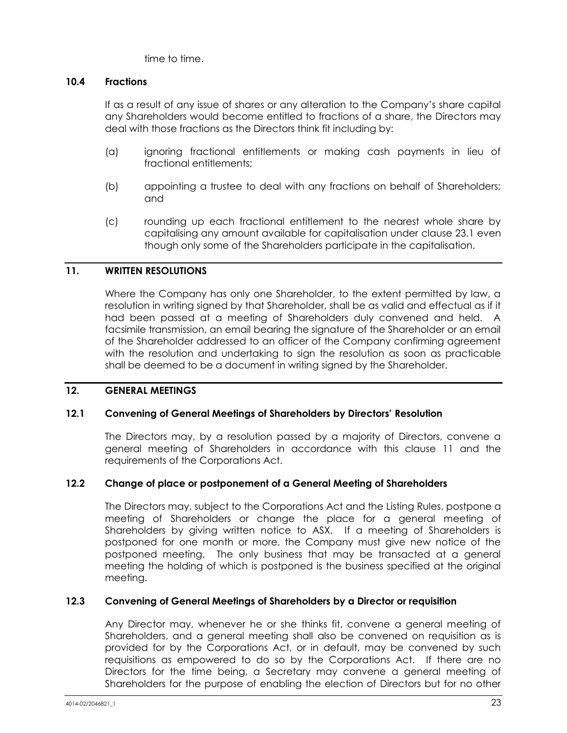time to time.

## **10.4 Fractions**

If as a result of any issue of shares or any alteration to the Company's share capital any Shareholders would become entitled to fractions of a share, the Directors may deal with those fractions as the Directors think fit including by:

- (a) ignoring fractional entitlements or making cash payments in lieu of fractional entitlements;
- (b) appointing a trustee to deal with any fractions on behalf of Shareholders; and
- (c) rounding up each fractional entitlement to the nearest whole share by capitalising any amount available for capitalisation under clause [23.1](#page-53-0) even though only some of the Shareholders participate in the capitalisation.

## <span id="page-29-0"></span>**11. WRITTEN RESOLUTIONS**

Where the Company has only one Shareholder, to the extent permitted by law, a resolution in writing signed by that Shareholder, shall be as valid and effectual as if it had been passed at a meeting of Shareholders duly convened and held. A facsimile transmission, an email bearing the signature of the Shareholder or an email of the Shareholder addressed to an officer of the Company confirming agreement with the resolution and undertaking to sign the resolution as soon as practicable shall be deemed to be a document in writing signed by the Shareholder.

## **12. GENERAL MEETINGS**

## <span id="page-29-1"></span>**12.1 Convening of General Meetings of Shareholders by Directors' Resolution**

The Directors may, by a resolution passed by a majority of Directors, convene a general meeting of Shareholders in accordance with this clause [11](#page-29-0) and the requirements of the Corporations Act.

## **12.2 Change of place or postponement of a General Meeting of Shareholders**

The Directors may, subject to the Corporations Act and the Listing Rules, postpone a meeting of Shareholders or change the place for a general meeting of Shareholders by giving written notice to ASX. If a meeting of Shareholders is postponed for one month or more, the Company must give new notice of the postponed meeting. The only business that may be transacted at a general meeting the holding of which is postponed is the business specified at the original meeting.

## **12.3 Convening of General Meetings of Shareholders by a Director or requisition**

Any Director may, whenever he or she thinks fit, convene a general meeting of Shareholders, and a general meeting shall also be convened on requisition as is provided for by the Corporations Act, or in default, may be convened by such requisitions as empowered to do so by the Corporations Act. If there are no Directors for the time being, a Secretary may convene a general meeting of Shareholders for the purpose of enabling the election of Directors but for no other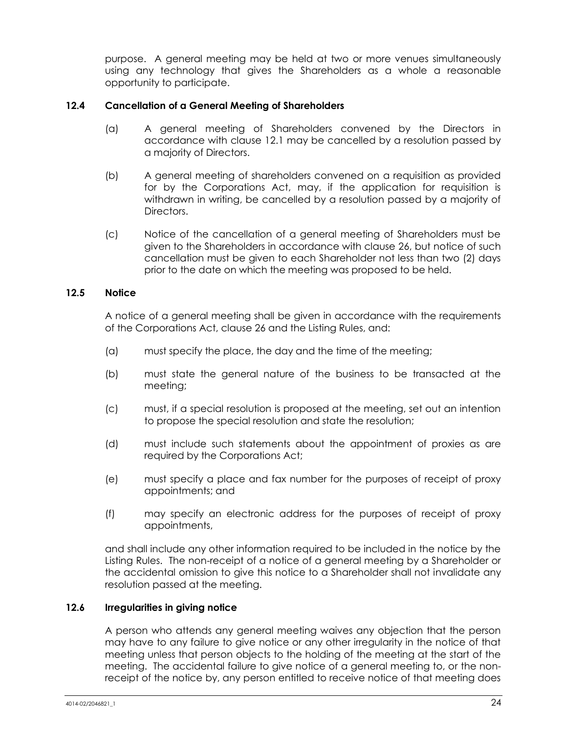purpose. A general meeting may be held at two or more venues simultaneously using any technology that gives the Shareholders as a whole a reasonable opportunity to participate.

## **12.4 Cancellation of a General Meeting of Shareholders**

- (a) A general meeting of Shareholders convened by the Directors in accordance with clause [12.1](#page-29-1) may be cancelled by a resolution passed by a majority of Directors.
- (b) A general meeting of shareholders convened on a requisition as provided for by the Corporations Act, may, if the application for requisition is withdrawn in writing, be cancelled by a resolution passed by a majority of **Directors**
- (c) Notice of the cancellation of a general meeting of Shareholders must be given to the Shareholders in accordance with clause [26,](#page-54-2) but notice of such cancellation must be given to each Shareholder not less than two (2) days prior to the date on which the meeting was proposed to be held.

## **12.5 Notice**

A notice of a general meeting shall be given in accordance with the requirements of the Corporations Act, clause [26](#page-54-2) and the Listing Rules, and:

- (a) must specify the place, the day and the time of the meeting;
- (b) must state the general nature of the business to be transacted at the meeting;
- (c) must, if a special resolution is proposed at the meeting, set out an intention to propose the special resolution and state the resolution;
- (d) must include such statements about the appointment of proxies as are required by the Corporations Act;
- (e) must specify a place and fax number for the purposes of receipt of proxy appointments; and
- (f) may specify an electronic address for the purposes of receipt of proxy appointments,

and shall include any other information required to be included in the notice by the Listing Rules. The non-receipt of a notice of a general meeting by a Shareholder or the accidental omission to give this notice to a Shareholder shall not invalidate any resolution passed at the meeting.

## **12.6 Irregularities in giving notice**

A person who attends any general meeting waives any objection that the person may have to any failure to give notice or any other irregularity in the notice of that meeting unless that person objects to the holding of the meeting at the start of the meeting. The accidental failure to give notice of a general meeting to, or the nonreceipt of the notice by, any person entitled to receive notice of that meeting does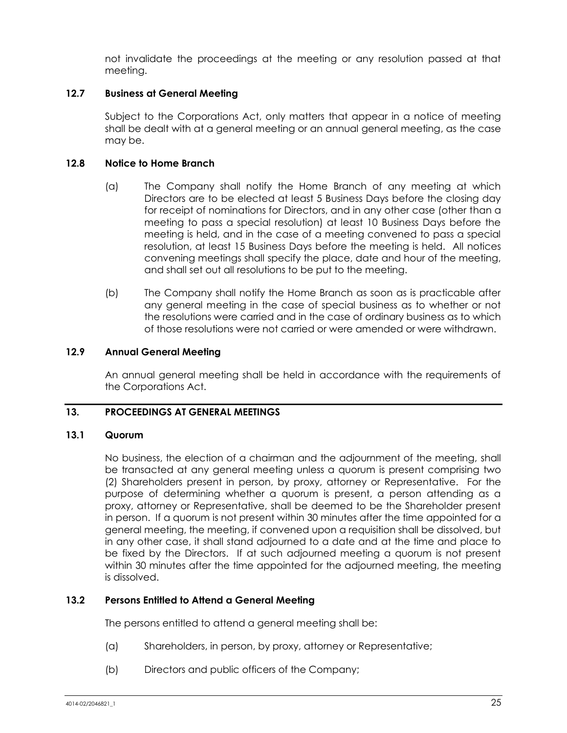not invalidate the proceedings at the meeting or any resolution passed at that meeting.

## **12.7 Business at General Meeting**

Subject to the Corporations Act, only matters that appear in a notice of meeting shall be dealt with at a general meeting or an annual general meeting, as the case may be.

## **12.8 Notice to Home Branch**

- (a) The Company shall notify the Home Branch of any meeting at which Directors are to be elected at least 5 Business Days before the closing day for receipt of nominations for Directors, and in any other case (other than a meeting to pass a special resolution) at least 10 Business Days before the meeting is held, and in the case of a meeting convened to pass a special resolution, at least 15 Business Days before the meeting is held. All notices convening meetings shall specify the place, date and hour of the meeting, and shall set out all resolutions to be put to the meeting.
- (b) The Company shall notify the Home Branch as soon as is practicable after any general meeting in the case of special business as to whether or not the resolutions were carried and in the case of ordinary business as to which of those resolutions were not carried or were amended or were withdrawn.

## **12.9 Annual General Meeting**

An annual general meeting shall be held in accordance with the requirements of the Corporations Act.

## **13. PROCEEDINGS AT GENERAL MEETINGS**

## **13.1 Quorum**

No business, the election of a chairman and the adjournment of the meeting, shall be transacted at any general meeting unless a quorum is present comprising two (2) Shareholders present in person, by proxy, attorney or Representative. For the purpose of determining whether a quorum is present, a person attending as a proxy, attorney or Representative, shall be deemed to be the Shareholder present in person. If a quorum is not present within 30 minutes after the time appointed for a general meeting, the meeting, if convened upon a requisition shall be dissolved, but in any other case, it shall stand adjourned to a date and at the time and place to be fixed by the Directors. If at such adjourned meeting a quorum is not present within 30 minutes after the time appointed for the adjourned meeting, the meeting is dissolved.

## **13.2 Persons Entitled to Attend a General Meeting**

The persons entitled to attend a general meeting shall be:

- (a) Shareholders, in person, by proxy, attorney or Representative;
- (b) Directors and public officers of the Company;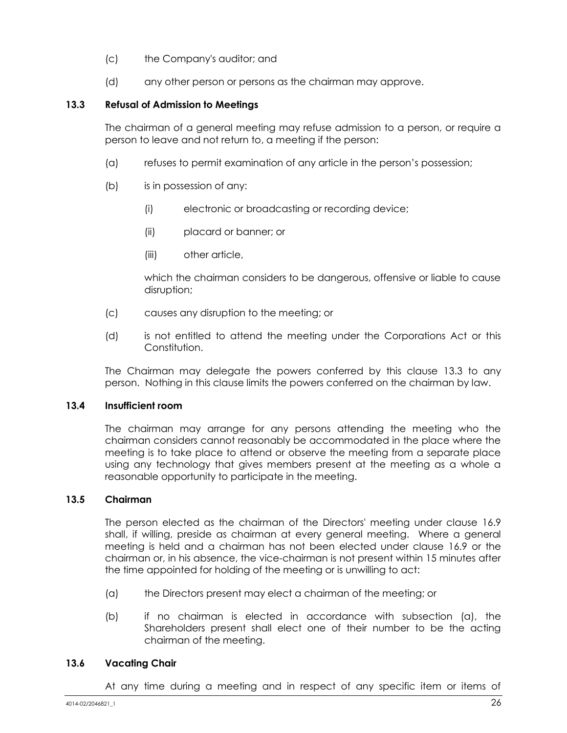- (c) the Company's auditor; and
- (d) any other person or persons as the chairman may approve.

## <span id="page-32-0"></span>**13.3 Refusal of Admission to Meetings**

The chairman of a general meeting may refuse admission to a person, or require a person to leave and not return to, a meeting if the person:

- (a) refuses to permit examination of any article in the person's possession;
- (b) is in possession of any:
	- (i) electronic or broadcasting or recording device;
	- (ii) placard or banner; or
	- (iii) other article,

which the chairman considers to be dangerous, offensive or liable to cause disruption;

- (c) causes any disruption to the meeting; or
- (d) is not entitled to attend the meeting under the Corporations Act or this Constitution.

The Chairman may delegate the powers conferred by this clause [13.3](#page-32-0) to any person. Nothing in this clause limits the powers conferred on the chairman by law.

## **13.4 Insufficient room**

The chairman may arrange for any persons attending the meeting who the chairman considers cannot reasonably be accommodated in the place where the meeting is to take place to attend or observe the meeting from a separate place using any technology that gives members present at the meeting as a whole a reasonable opportunity to participate in the meeting.

## **13.5 Chairman**

The person elected as the chairman of the Directors' meeting under clause [16.9](#page-44-1) shall, if willing, preside as chairman at every general meeting. Where a general meeting is held and a chairman has not been elected under clause [16.9](#page-44-1) or the chairman or, in his absence, the vice-chairman is not present within 15 minutes after the time appointed for holding of the meeting or is unwilling to act:

- (a) the Directors present may elect a chairman of the meeting; or
- (b) if no chairman is elected in accordance with subsection (a), the Shareholders present shall elect one of their number to be the acting chairman of the meeting.

## **13.6 Vacating Chair**

At any time during a meeting and in respect of any specific item or items of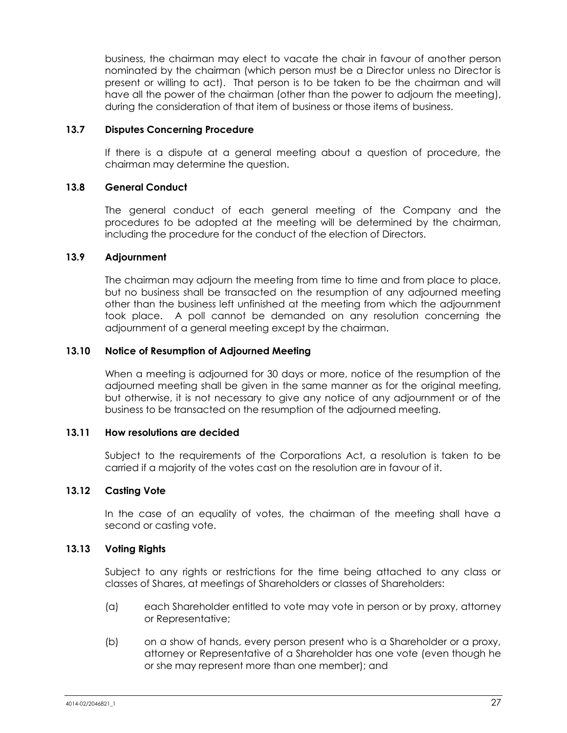business, the chairman may elect to vacate the chair in favour of another person nominated by the chairman (which person must be a Director unless no Director is present or willing to act). That person is to be taken to be the chairman and will have all the power of the chairman (other than the power to adjourn the meeting), during the consideration of that item of business or those items of business.

#### **13.7 Disputes Concerning Procedure**

If there is a dispute at a general meeting about a question of procedure, the chairman may determine the question.

#### **13.8 General Conduct**

The general conduct of each general meeting of the Company and the procedures to be adopted at the meeting will be determined by the chairman, including the procedure for the conduct of the election of Directors.

#### **13.9 Adjournment**

The chairman may adjourn the meeting from time to time and from place to place, but no business shall be transacted on the resumption of any adjourned meeting other than the business left unfinished at the meeting from which the adjournment took place. A poll cannot be demanded on any resolution concerning the adjournment of a general meeting except by the chairman.

#### <span id="page-33-0"></span>**13.10 Notice of Resumption of Adjourned Meeting**

When a meeting is adjourned for 30 days or more, notice of the resumption of the adjourned meeting shall be given in the same manner as for the original meeting, but otherwise, it is not necessary to give any notice of any adjournment or of the business to be transacted on the resumption of the adjourned meeting.

#### **13.11 How resolutions are decided**

Subject to the requirements of the Corporations Act, a resolution is taken to be carried if a majority of the votes cast on the resolution are in favour of it.

#### **13.12 Casting Vote**

In the case of an equality of votes, the chairman of the meeting shall have a second or casting vote.

#### **13.13 Voting Rights**

Subject to any rights or restrictions for the time being attached to any class or classes of Shares, at meetings of Shareholders or classes of Shareholders:

- (a) each Shareholder entitled to vote may vote in person or by proxy, attorney or Representative;
- (b) on a show of hands, every person present who is a Shareholder or a proxy, attorney or Representative of a Shareholder has one vote (even though he or she may represent more than one member); and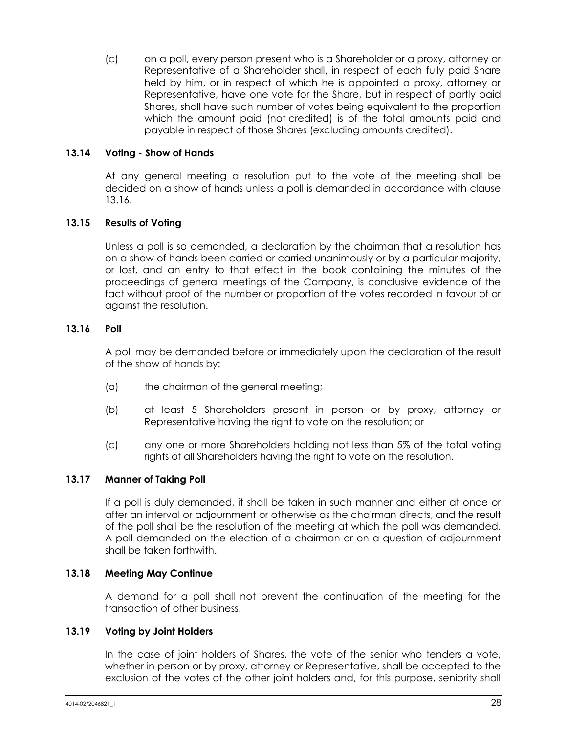(c) on a poll, every person present who is a Shareholder or a proxy, attorney or Representative of a Shareholder shall, in respect of each fully paid Share held by him, or in respect of which he is appointed a proxy, attorney or Representative, have one vote for the Share, but in respect of partly paid Shares, shall have such number of votes being equivalent to the proportion which the amount paid (not credited) is of the total amounts paid and payable in respect of those Shares (excluding amounts credited).

## **13.14 Voting - Show of Hands**

At any general meeting a resolution put to the vote of the meeting shall be decided on a show of hands unless a poll is demanded in accordance with clause [13.16.](#page-34-0)

#### **13.15 Results of Voting**

Unless a poll is so demanded, a declaration by the chairman that a resolution has on a show of hands been carried or carried unanimously or by a particular majority, or lost, and an entry to that effect in the book containing the minutes of the proceedings of general meetings of the Company, is conclusive evidence of the fact without proof of the number or proportion of the votes recorded in favour of or against the resolution.

#### <span id="page-34-0"></span>**13.16 Poll**

A poll may be demanded before or immediately upon the declaration of the result of the show of hands by:

- (a) the chairman of the general meeting;
- (b) at least 5 Shareholders present in person or by proxy, attorney or Representative having the right to vote on the resolution; or
- (c) any one or more Shareholders holding not less than 5% of the total voting rights of all Shareholders having the right to vote on the resolution.

#### **13.17 Manner of Taking Poll**

If a poll is duly demanded, it shall be taken in such manner and either at once or after an interval or adjournment or otherwise as the chairman directs, and the result of the poll shall be the resolution of the meeting at which the poll was demanded. A poll demanded on the election of a chairman or on a question of adjournment shall be taken forthwith.

#### **13.18 Meeting May Continue**

A demand for a poll shall not prevent the continuation of the meeting for the transaction of other business.

#### **13.19 Voting by Joint Holders**

In the case of joint holders of Shares, the vote of the senior who tenders a vote, whether in person or by proxy, attorney or Representative, shall be accepted to the exclusion of the votes of the other joint holders and, for this purpose, seniority shall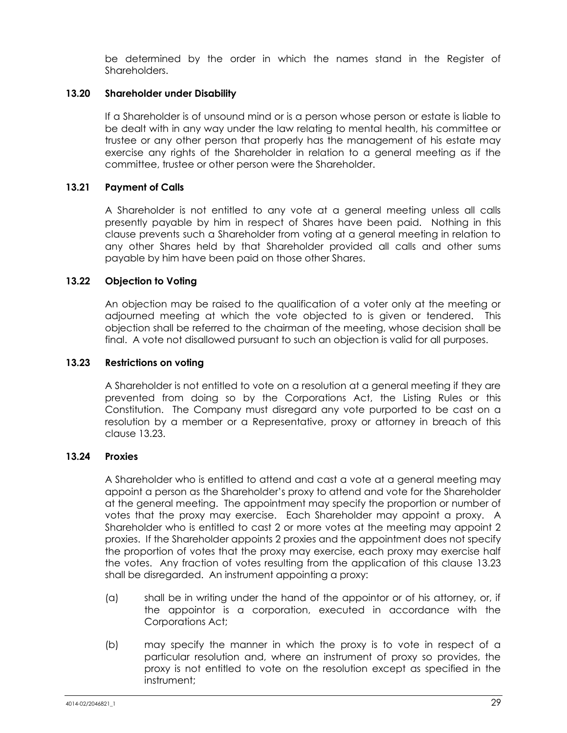be determined by the order in which the names stand in the Register of Shareholders.

## **13.20 Shareholder under Disability**

If a Shareholder is of unsound mind or is a person whose person or estate is liable to be dealt with in any way under the law relating to mental health, his committee or trustee or any other person that properly has the management of his estate may exercise any rights of the Shareholder in relation to a general meeting as if the committee, trustee or other person were the Shareholder.

#### **13.21 Payment of Calls**

A Shareholder is not entitled to any vote at a general meeting unless all calls presently payable by him in respect of Shares have been paid. Nothing in this clause prevents such a Shareholder from voting at a general meeting in relation to any other Shares held by that Shareholder provided all calls and other sums payable by him have been paid on those other Shares.

#### **13.22 Objection to Voting**

An objection may be raised to the qualification of a voter only at the meeting or adjourned meeting at which the vote objected to is given or tendered. This objection shall be referred to the chairman of the meeting, whose decision shall be final. A vote not disallowed pursuant to such an objection is valid for all purposes.

#### <span id="page-35-0"></span>**13.23 Restrictions on voting**

A Shareholder is not entitled to vote on a resolution at a general meeting if they are prevented from doing so by the Corporations Act, the Listing Rules or this Constitution. The Company must disregard any vote purported to be cast on a resolution by a member or a Representative, proxy or attorney in breach of this clause [13.23.](#page-35-0)

## **13.24 Proxies**

A Shareholder who is entitled to attend and cast a vote at a general meeting may appoint a person as the Shareholder's proxy to attend and vote for the Shareholder at the general meeting. The appointment may specify the proportion or number of votes that the proxy may exercise. Each Shareholder may appoint a proxy. A Shareholder who is entitled to cast 2 or more votes at the meeting may appoint 2 proxies. If the Shareholder appoints 2 proxies and the appointment does not specify the proportion of votes that the proxy may exercise, each proxy may exercise half the votes. Any fraction of votes resulting from the application of this clause [13.23](#page-35-0) shall be disregarded. An instrument appointing a proxy:

- (a) shall be in writing under the hand of the appointor or of his attorney, or, if the appointor is a corporation, executed in accordance with the Corporations Act;
- (b) may specify the manner in which the proxy is to vote in respect of a particular resolution and, where an instrument of proxy so provides, the proxy is not entitled to vote on the resolution except as specified in the instrument;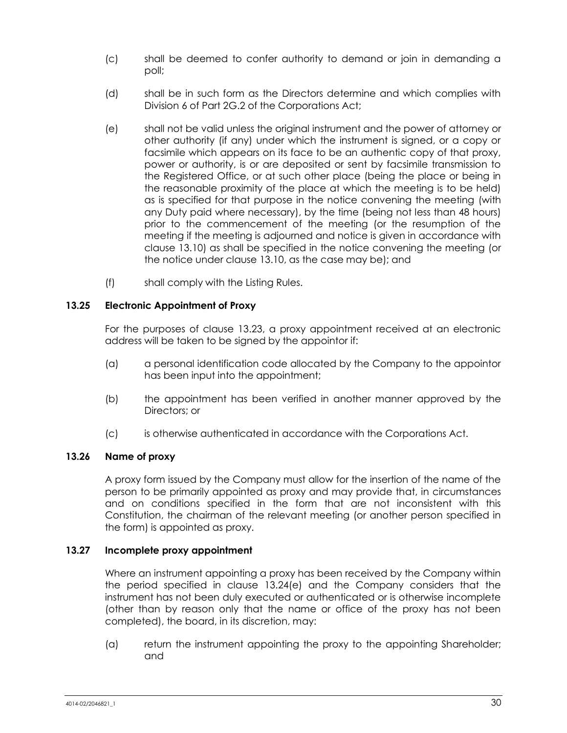- (c) shall be deemed to confer authority to demand or join in demanding a poll;
- (d) shall be in such form as the Directors determine and which complies with Division 6 of Part 2G.2 of the Corporations Act;
- <span id="page-36-0"></span>(e) shall not be valid unless the original instrument and the power of attorney or other authority (if any) under which the instrument is signed, or a copy or facsimile which appears on its face to be an authentic copy of that proxy, power or authority, is or are deposited or sent by facsimile transmission to the Registered Office, or at such other place (being the place or being in the reasonable proximity of the place at which the meeting is to be held) as is specified for that purpose in the notice convening the meeting (with any Duty paid where necessary), by the time (being not less than 48 hours) prior to the commencement of the meeting (or the resumption of the meeting if the meeting is adjourned and notice is given in accordance with clause [13.10\)](#page-33-0) as shall be specified in the notice convening the meeting (or the notice under clause [13.10,](#page-33-0) as the case may be); and
- (f) shall comply with the Listing Rules.

## **13.25 Electronic Appointment of Proxy**

For the purposes of clause [13.23,](#page-35-0) a proxy appointment received at an electronic address will be taken to be signed by the appointor if:

- (a) a personal identification code allocated by the Company to the appointor has been input into the appointment;
- (b) the appointment has been verified in another manner approved by the Directors; or
- (c) is otherwise authenticated in accordance with the Corporations Act.

## **13.26 Name of proxy**

A proxy form issued by the Company must allow for the insertion of the name of the person to be primarily appointed as proxy and may provide that, in circumstances and on conditions specified in the form that are not inconsistent with this Constitution, the chairman of the relevant meeting (or another person specified in the form) is appointed as proxy.

## **13.27 Incomplete proxy appointment**

Where an instrument appointing a proxy has been received by the Company within the period specified in clause [13.24\(e\)](#page-36-0) and the Company considers that the instrument has not been duly executed or authenticated or is otherwise incomplete (other than by reason only that the name or office of the proxy has not been completed), the board, in its discretion, may:

(a) return the instrument appointing the proxy to the appointing Shareholder; and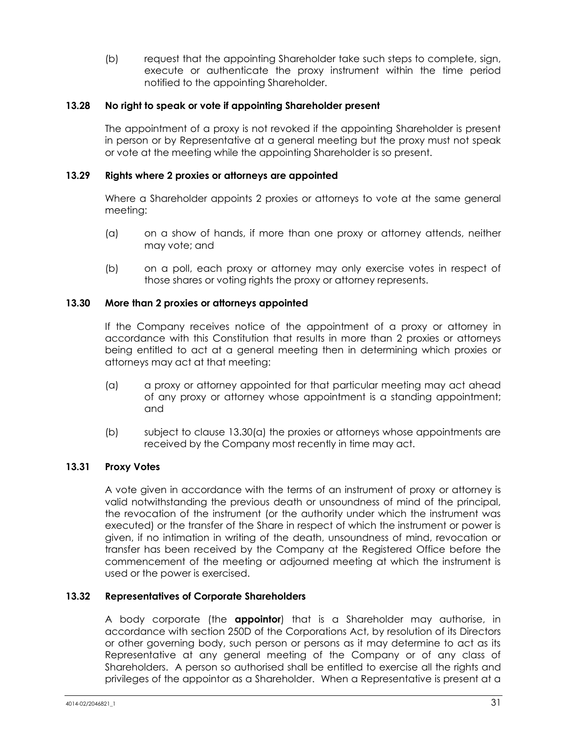(b) request that the appointing Shareholder take such steps to complete, sign, execute or authenticate the proxy instrument within the time period notified to the appointing Shareholder.

## **13.28 No right to speak or vote if appointing Shareholder present**

The appointment of a proxy is not revoked if the appointing Shareholder is present in person or by Representative at a general meeting but the proxy must not speak or vote at the meeting while the appointing Shareholder is so present.

## **13.29 Rights where 2 proxies or attorneys are appointed**

Where a Shareholder appoints 2 proxies or attorneys to vote at the same general meeting:

- (a) on a show of hands, if more than one proxy or attorney attends, neither may vote; and
- (b) on a poll, each proxy or attorney may only exercise votes in respect of those shares or voting rights the proxy or attorney represents.

#### <span id="page-37-1"></span>**13.30 More than 2 proxies or attorneys appointed**

If the Company receives notice of the appointment of a proxy or attorney in accordance with this Constitution that results in more than 2 proxies or attorneys being entitled to act at a general meeting then in determining which proxies or attorneys may act at that meeting:

- <span id="page-37-2"></span>(a) a proxy or attorney appointed for that particular meeting may act ahead of any proxy or attorney whose appointment is a standing appointment; and
- (b) subject to clause [13.30](#page-37-1)[\(a\)](#page-37-2) the proxies or attorneys whose appointments are received by the Company most recently in time may act.

#### **13.31 Proxy Votes**

A vote given in accordance with the terms of an instrument of proxy or attorney is valid notwithstanding the previous death or unsoundness of mind of the principal, the revocation of the instrument (or the authority under which the instrument was executed) or the transfer of the Share in respect of which the instrument or power is given, if no intimation in writing of the death, unsoundness of mind, revocation or transfer has been received by the Company at the Registered Office before the commencement of the meeting or adjourned meeting at which the instrument is used or the power is exercised.

## <span id="page-37-0"></span>**13.32 Representatives of Corporate Shareholders**

A body corporate (the **appointor**) that is a Shareholder may authorise, in accordance with section 250D of the Corporations Act, by resolution of its Directors or other governing body, such person or persons as it may determine to act as its Representative at any general meeting of the Company or of any class of Shareholders. A person so authorised shall be entitled to exercise all the rights and privileges of the appointor as a Shareholder. When a Representative is present at a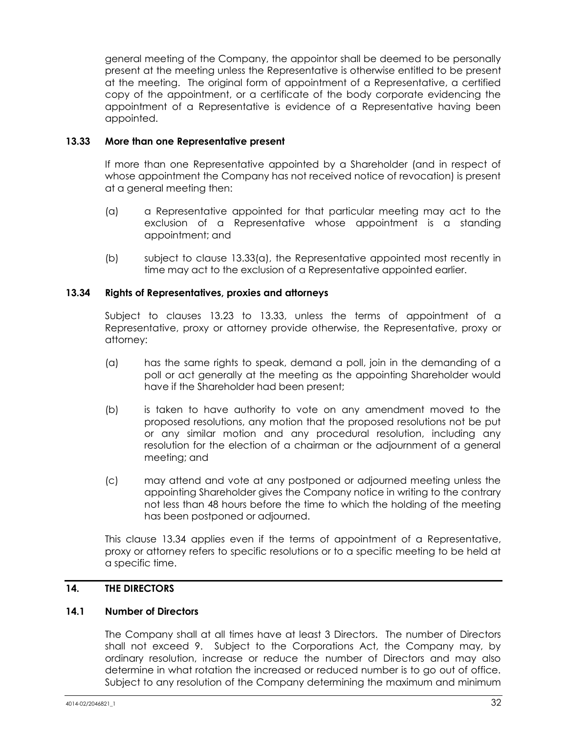general meeting of the Company, the appointor shall be deemed to be personally present at the meeting unless the Representative is otherwise entitled to be present at the meeting. The original form of appointment of a Representative, a certified copy of the appointment, or a certificate of the body corporate evidencing the appointment of a Representative is evidence of a Representative having been appointed.

## <span id="page-38-0"></span>**13.33 More than one Representative present**

If more than one Representative appointed by a Shareholder (and in respect of whose appointment the Company has not received notice of revocation) is present at a general meeting then:

- <span id="page-38-1"></span>(a) a Representative appointed for that particular meeting may act to the exclusion of a Representative whose appointment is a standing appointment; and
- (b) subject to clause [13.33](#page-38-0)[\(a\),](#page-38-1) the Representative appointed most recently in time may act to the exclusion of a Representative appointed earlier.

#### <span id="page-38-2"></span>**13.34 Rights of Representatives, proxies and attorneys**

Subject to clauses [13.23](#page-35-0) to [13.33,](#page-38-0) unless the terms of appointment of a Representative, proxy or attorney provide otherwise, the Representative, proxy or attorney:

- (a) has the same rights to speak, demand a poll, join in the demanding of a poll or act generally at the meeting as the appointing Shareholder would have if the Shareholder had been present;
- (b) is taken to have authority to vote on any amendment moved to the proposed resolutions, any motion that the proposed resolutions not be put or any similar motion and any procedural resolution, including any resolution for the election of a chairman or the adjournment of a general meeting; and
- (c) may attend and vote at any postponed or adjourned meeting unless the appointing Shareholder gives the Company notice in writing to the contrary not less than 48 hours before the time to which the holding of the meeting has been postponed or adjourned.

This clause [13.34](#page-38-2) applies even if the terms of appointment of a Representative, proxy or attorney refers to specific resolutions or to a specific meeting to be held at a specific time.

#### **14. THE DIRECTORS**

#### <span id="page-38-3"></span>**14.1 Number of Directors**

The Company shall at all times have at least 3 Directors. The number of Directors shall not exceed 9. Subject to the Corporations Act, the Company may, by ordinary resolution, increase or reduce the number of Directors and may also determine in what rotation the increased or reduced number is to go out of office. Subject to any resolution of the Company determining the maximum and minimum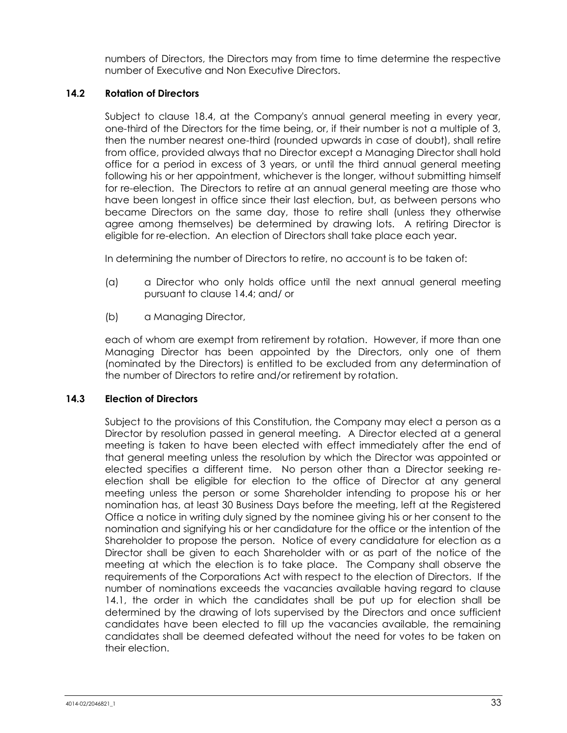numbers of Directors, the Directors may from time to time determine the respective number of Executive and Non Executive Directors.

## <span id="page-39-0"></span>**14.2 Rotation of Directors**

Subject to clause [18.4,](#page-49-1) at the Company's annual general meeting in every year, one-third of the Directors for the time being, or, if their number is not a multiple of 3, then the number nearest one-third (rounded upwards in case of doubt), shall retire from office, provided always that no Director except a Managing Director shall hold office for a period in excess of 3 years, or until the third annual general meeting following his or her appointment, whichever is the longer, without submitting himself for re-election. The Directors to retire at an annual general meeting are those who have been longest in office since their last election, but, as between persons who became Directors on the same day, those to retire shall (unless they otherwise agree among themselves) be determined by drawing lots. A retiring Director is eligible for re-election. An election of Directors shall take place each year.

In determining the number of Directors to retire, no account is to be taken of:

- (a) a Director who only holds office until the next annual general meeting pursuant to claus[e 14.4;](#page-40-0) and/ or
- (b) a Managing Director,

each of whom are exempt from retirement by rotation. However, if more than one Managing Director has been appointed by the Directors, only one of them (nominated by the Directors) is entitled to be excluded from any determination of the number of Directors to retire and/or retirement by rotation.

## **14.3 Election of Directors**

Subject to the provisions of this Constitution, the Company may elect a person as a Director by resolution passed in general meeting. A Director elected at a general meeting is taken to have been elected with effect immediately after the end of that general meeting unless the resolution by which the Director was appointed or elected specifies a different time. No person other than a Director seeking reelection shall be eligible for election to the office of Director at any general meeting unless the person or some Shareholder intending to propose his or her nomination has, at least 30 Business Days before the meeting, left at the Registered Office a notice in writing duly signed by the nominee giving his or her consent to the nomination and signifying his or her candidature for the office or the intention of the Shareholder to propose the person. Notice of every candidature for election as a Director shall be given to each Shareholder with or as part of the notice of the meeting at which the election is to take place. The Company shall observe the requirements of the Corporations Act with respect to the election of Directors. If the number of nominations exceeds the vacancies available having regard to clause [14.1,](#page-38-3) the order in which the candidates shall be put up for election shall be determined by the drawing of lots supervised by the Directors and once sufficient candidates have been elected to fill up the vacancies available, the remaining candidates shall be deemed defeated without the need for votes to be taken on their election.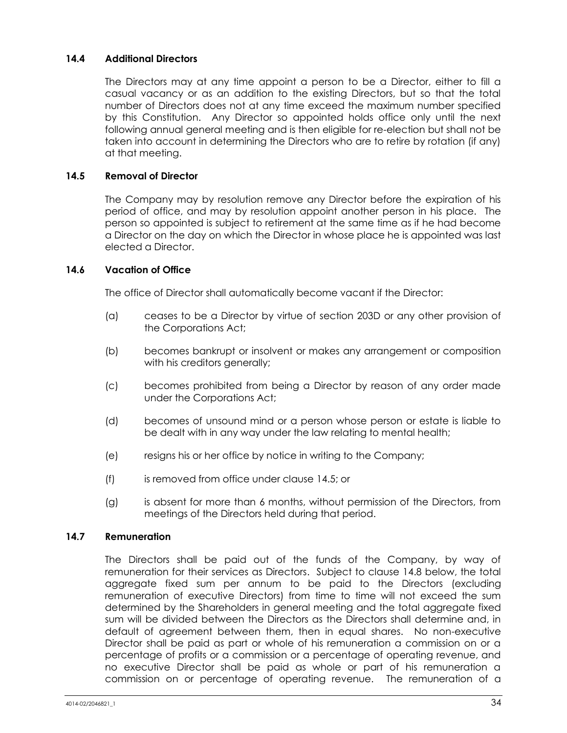## <span id="page-40-0"></span>**14.4 Additional Directors**

The Directors may at any time appoint a person to be a Director, either to fill a casual vacancy or as an addition to the existing Directors, but so that the total number of Directors does not at any time exceed the maximum number specified by this Constitution. Any Director so appointed holds office only until the next following annual general meeting and is then eligible for re-election but shall not be taken into account in determining the Directors who are to retire by rotation (if any) at that meeting.

## <span id="page-40-1"></span>**14.5 Removal of Director**

The Company may by resolution remove any Director before the expiration of his period of office, and may by resolution appoint another person in his place. The person so appointed is subject to retirement at the same time as if he had become a Director on the day on which the Director in whose place he is appointed was last elected a Director.

#### **14.6 Vacation of Office**

The office of Director shall automatically become vacant if the Director:

- (a) ceases to be a Director by virtue of section 203D or any other provision of the Corporations Act;
- (b) becomes bankrupt or insolvent or makes any arrangement or composition with his creditors generally;
- (c) becomes prohibited from being a Director by reason of any order made under the Corporations Act;
- (d) becomes of unsound mind or a person whose person or estate is liable to be dealt with in any way under the law relating to mental health;
- (e) resigns his or her office by notice in writing to the Company;
- (f) is removed from office under clause [14.5;](#page-40-1) or
- (g) is absent for more than 6 months, without permission of the Directors, from meetings of the Directors held during that period.

#### <span id="page-40-2"></span>**14.7 Remuneration**

The Directors shall be paid out of the funds of the Company, by way of remuneration for their services as Directors. Subject to clause [14.8](#page-41-0) below, the total aggregate fixed sum per annum to be paid to the Directors (excluding remuneration of executive Directors) from time to time will not exceed the sum determined by the Shareholders in general meeting and the total aggregate fixed sum will be divided between the Directors as the Directors shall determine and, in default of agreement between them, then in equal shares. No non-executive Director shall be paid as part or whole of his remuneration a commission on or a percentage of profits or a commission or a percentage of operating revenue, and no executive Director shall be paid as whole or part of his remuneration a commission on or percentage of operating revenue. The remuneration of a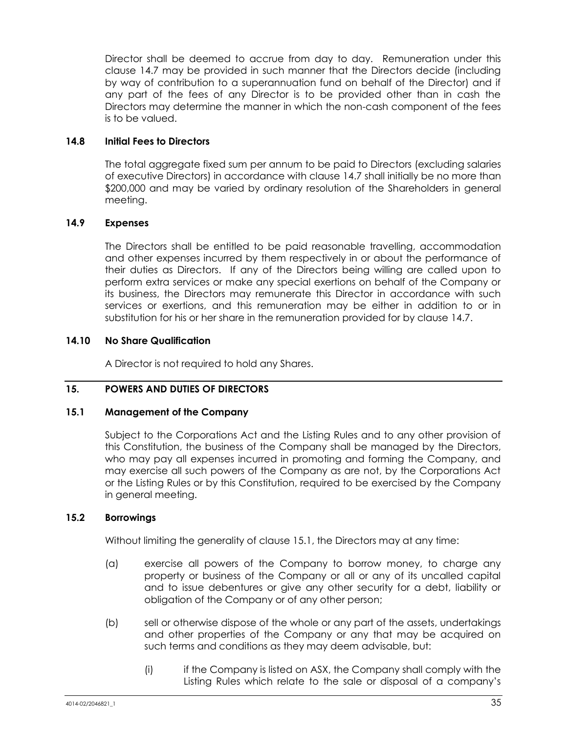Director shall be deemed to accrue from day to day. Remuneration under this clause [14.7](#page-40-2) may be provided in such manner that the Directors decide (including by way of contribution to a superannuation fund on behalf of the Director) and if any part of the fees of any Director is to be provided other than in cash the Directors may determine the manner in which the non-cash component of the fees is to be valued.

## <span id="page-41-0"></span>**14.8 Initial Fees to Directors**

The total aggregate fixed sum per annum to be paid to Directors (excluding salaries of executive Directors) in accordance with clause [14.7](#page-40-2) shall initially be no more than \$200,000 and may be varied by ordinary resolution of the Shareholders in general meeting.

## **14.9 Expenses**

The Directors shall be entitled to be paid reasonable travelling, accommodation and other expenses incurred by them respectively in or about the performance of their duties as Directors. If any of the Directors being willing are called upon to perform extra services or make any special exertions on behalf of the Company or its business, the Directors may remunerate this Director in accordance with such services or exertions, and this remuneration may be either in addition to or in substitution for his or her share in the remuneration provided for by clause [14.7.](#page-40-2)

#### **14.10 No Share Qualification**

A Director is not required to hold any Shares.

## **15. POWERS AND DUTIES OF DIRECTORS**

#### <span id="page-41-1"></span>**15.1 Management of the Company**

Subject to the Corporations Act and the Listing Rules and to any other provision of this Constitution, the business of the Company shall be managed by the Directors, who may pay all expenses incurred in promoting and forming the Company, and may exercise all such powers of the Company as are not, by the Corporations Act or the Listing Rules or by this Constitution, required to be exercised by the Company in general meeting.

## **15.2 Borrowings**

Without limiting the generality of clause [15.1,](#page-41-1) the Directors may at any time:

- (a) exercise all powers of the Company to borrow money, to charge any property or business of the Company or all or any of its uncalled capital and to issue debentures or give any other security for a debt, liability or obligation of the Company or of any other person;
- (b) sell or otherwise dispose of the whole or any part of the assets, undertakings and other properties of the Company or any that may be acquired on such terms and conditions as they may deem advisable, but:
	- (i) if the Company is listed on ASX, the Company shall comply with the Listing Rules which relate to the sale or disposal of a company's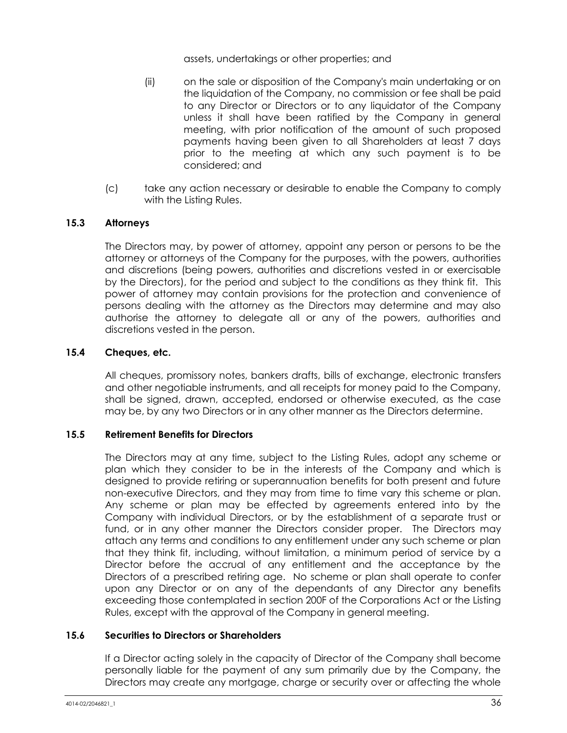assets, undertakings or other properties; and

- (ii) on the sale or disposition of the Company's main undertaking or on the liquidation of the Company, no commission or fee shall be paid to any Director or Directors or to any liquidator of the Company unless it shall have been ratified by the Company in general meeting, with prior notification of the amount of such proposed payments having been given to all Shareholders at least 7 days prior to the meeting at which any such payment is to be considered; and
- (c) take any action necessary or desirable to enable the Company to comply with the Listing Rules.

## **15.3 Attorneys**

The Directors may, by power of attorney, appoint any person or persons to be the attorney or attorneys of the Company for the purposes, with the powers, authorities and discretions (being powers, authorities and discretions vested in or exercisable by the Directors), for the period and subject to the conditions as they think fit. This power of attorney may contain provisions for the protection and convenience of persons dealing with the attorney as the Directors may determine and may also authorise the attorney to delegate all or any of the powers, authorities and discretions vested in the person.

## **15.4 Cheques, etc.**

All cheques, promissory notes, bankers drafts, bills of exchange, electronic transfers and other negotiable instruments, and all receipts for money paid to the Company, shall be signed, drawn, accepted, endorsed or otherwise executed, as the case may be, by any two Directors or in any other manner as the Directors determine.

## **15.5 Retirement Benefits for Directors**

The Directors may at any time, subject to the Listing Rules, adopt any scheme or plan which they consider to be in the interests of the Company and which is designed to provide retiring or superannuation benefits for both present and future non-executive Directors, and they may from time to time vary this scheme or plan. Any scheme or plan may be effected by agreements entered into by the Company with individual Directors, or by the establishment of a separate trust or fund, or in any other manner the Directors consider proper. The Directors may attach any terms and conditions to any entitlement under any such scheme or plan that they think fit, including, without limitation, a minimum period of service by a Director before the accrual of any entitlement and the acceptance by the Directors of a prescribed retiring age. No scheme or plan shall operate to confer upon any Director or on any of the dependants of any Director any benefits exceeding those contemplated in section 200F of the Corporations Act or the Listing Rules, except with the approval of the Company in general meeting.

#### **15.6 Securities to Directors or Shareholders**

If a Director acting solely in the capacity of Director of the Company shall become personally liable for the payment of any sum primarily due by the Company, the Directors may create any mortgage, charge or security over or affecting the whole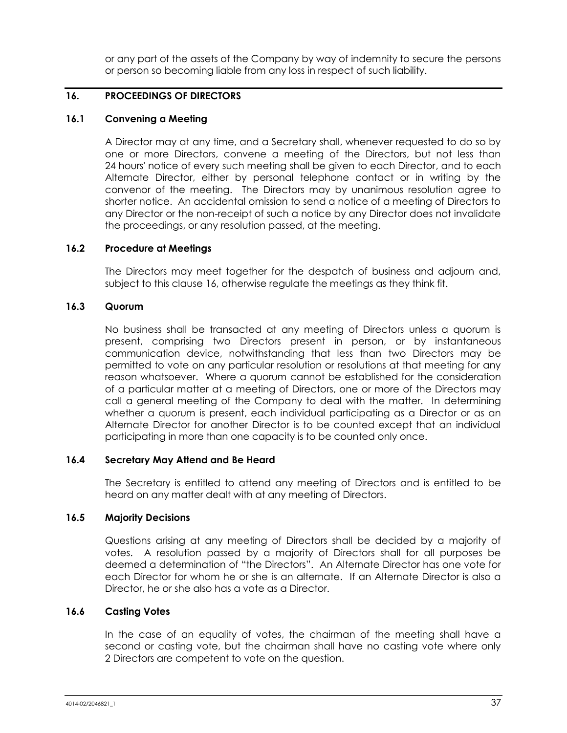or any part of the assets of the Company by way of indemnity to secure the persons or person so becoming liable from any loss in respect of such liability.

## <span id="page-43-0"></span>**16. PROCEEDINGS OF DIRECTORS**

## **16.1 Convening a Meeting**

A Director may at any time, and a Secretary shall, whenever requested to do so by one or more Directors, convene a meeting of the Directors, but not less than 24 hours' notice of every such meeting shall be given to each Director, and to each Alternate Director, either by personal telephone contact or in writing by the convenor of the meeting. The Directors may by unanimous resolution agree to shorter notice. An accidental omission to send a notice of a meeting of Directors to any Director or the non-receipt of such a notice by any Director does not invalidate the proceedings, or any resolution passed, at the meeting.

## **16.2 Procedure at Meetings**

The Directors may meet together for the despatch of business and adjourn and, subject to this clause [16,](#page-43-0) otherwise regulate the meetings as they think fit.

## **16.3 Quorum**

No business shall be transacted at any meeting of Directors unless a quorum is present, comprising two Directors present in person, or by instantaneous communication device, notwithstanding that less than two Directors may be permitted to vote on any particular resolution or resolutions at that meeting for any reason whatsoever. Where a quorum cannot be established for the consideration of a particular matter at a meeting of Directors, one or more of the Directors may call a general meeting of the Company to deal with the matter. In determining whether a quorum is present, each individual participating as a Director or as an Alternate Director for another Director is to be counted except that an individual participating in more than one capacity is to be counted only once.

## **16.4 Secretary May Attend and Be Heard**

The Secretary is entitled to attend any meeting of Directors and is entitled to be heard on any matter dealt with at any meeting of Directors.

## **16.5 Majority Decisions**

Questions arising at any meeting of Directors shall be decided by a majority of votes. A resolution passed by a majority of Directors shall for all purposes be deemed a determination of "the Directors". An Alternate Director has one vote for each Director for whom he or she is an alternate. If an Alternate Director is also a Director, he or she also has a vote as a Director.

## **16.6 Casting Votes**

In the case of an equality of votes, the chairman of the meeting shall have a second or casting vote, but the chairman shall have no casting vote where only 2 Directors are competent to vote on the question.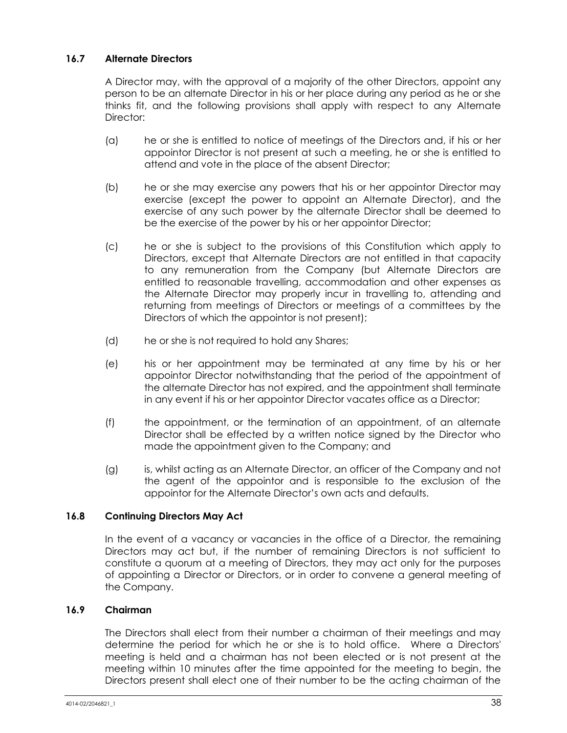## <span id="page-44-0"></span>**16.7 Alternate Directors**

A Director may, with the approval of a majority of the other Directors, appoint any person to be an alternate Director in his or her place during any period as he or she thinks fit, and the following provisions shall apply with respect to any Alternate Director:

- (a) he or she is entitled to notice of meetings of the Directors and, if his or her appointor Director is not present at such a meeting, he or she is entitled to attend and vote in the place of the absent Director;
- (b) he or she may exercise any powers that his or her appointor Director may exercise (except the power to appoint an Alternate Director), and the exercise of any such power by the alternate Director shall be deemed to be the exercise of the power by his or her appointor Director;
- (c) he or she is subject to the provisions of this Constitution which apply to Directors, except that Alternate Directors are not entitled in that capacity to any remuneration from the Company (but Alternate Directors are entitled to reasonable travelling, accommodation and other expenses as the Alternate Director may properly incur in travelling to, attending and returning from meetings of Directors or meetings of a committees by the Directors of which the appointor is not present);
- (d) he or she is not required to hold any Shares;
- (e) his or her appointment may be terminated at any time by his or her appointor Director notwithstanding that the period of the appointment of the alternate Director has not expired, and the appointment shall terminate in any event if his or her appointor Director vacates office as a Director;
- (f) the appointment, or the termination of an appointment, of an alternate Director shall be effected by a written notice signed by the Director who made the appointment given to the Company; and
- (g) is, whilst acting as an Alternate Director, an officer of the Company and not the agent of the appointor and is responsible to the exclusion of the appointor for the Alternate Director's own acts and defaults.

## **16.8 Continuing Directors May Act**

In the event of a vacancy or vacancies in the office of a Director, the remaining Directors may act but, if the number of remaining Directors is not sufficient to constitute a quorum at a meeting of Directors, they may act only for the purposes of appointing a Director or Directors, or in order to convene a general meeting of the Company.

## <span id="page-44-1"></span>**16.9 Chairman**

The Directors shall elect from their number a chairman of their meetings and may determine the period for which he or she is to hold office. Where a Directors' meeting is held and a chairman has not been elected or is not present at the meeting within 10 minutes after the time appointed for the meeting to begin, the Directors present shall elect one of their number to be the acting chairman of the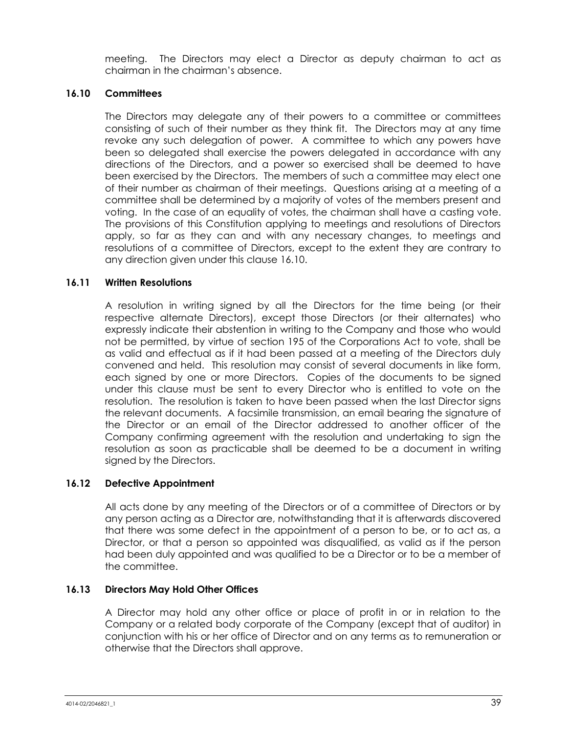meeting. The Directors may elect a Director as deputy chairman to act as chairman in the chairman's absence.

## <span id="page-45-0"></span>**16.10 Committees**

The Directors may delegate any of their powers to a committee or committees consisting of such of their number as they think fit. The Directors may at any time revoke any such delegation of power. A committee to which any powers have been so delegated shall exercise the powers delegated in accordance with any directions of the Directors, and a power so exercised shall be deemed to have been exercised by the Directors. The members of such a committee may elect one of their number as chairman of their meetings. Questions arising at a meeting of a committee shall be determined by a majority of votes of the members present and voting. In the case of an equality of votes, the chairman shall have a casting vote. The provisions of this Constitution applying to meetings and resolutions of Directors apply, so far as they can and with any necessary changes, to meetings and resolutions of a committee of Directors, except to the extent they are contrary to any direction given under this clause [16.10.](#page-45-0)

## **16.11 Written Resolutions**

A resolution in writing signed by all the Directors for the time being (or their respective alternate Directors), except those Directors (or their alternates) who expressly indicate their abstention in writing to the Company and those who would not be permitted, by virtue of section 195 of the Corporations Act to vote, shall be as valid and effectual as if it had been passed at a meeting of the Directors duly convened and held. This resolution may consist of several documents in like form, each signed by one or more Directors. Copies of the documents to be signed under this clause must be sent to every Director who is entitled to vote on the resolution. The resolution is taken to have been passed when the last Director signs the relevant documents. A facsimile transmission, an email bearing the signature of the Director or an email of the Director addressed to another officer of the Company confirming agreement with the resolution and undertaking to sign the resolution as soon as practicable shall be deemed to be a document in writing signed by the Directors.

## **16.12 Defective Appointment**

All acts done by any meeting of the Directors or of a committee of Directors or by any person acting as a Director are, notwithstanding that it is afterwards discovered that there was some defect in the appointment of a person to be, or to act as, a Director, or that a person so appointed was disqualified, as valid as if the person had been duly appointed and was qualified to be a Director or to be a member of the committee.

## **16.13 Directors May Hold Other Offices**

A Director may hold any other office or place of profit in or in relation to the Company or a related body corporate of the Company (except that of auditor) in conjunction with his or her office of Director and on any terms as to remuneration or otherwise that the Directors shall approve.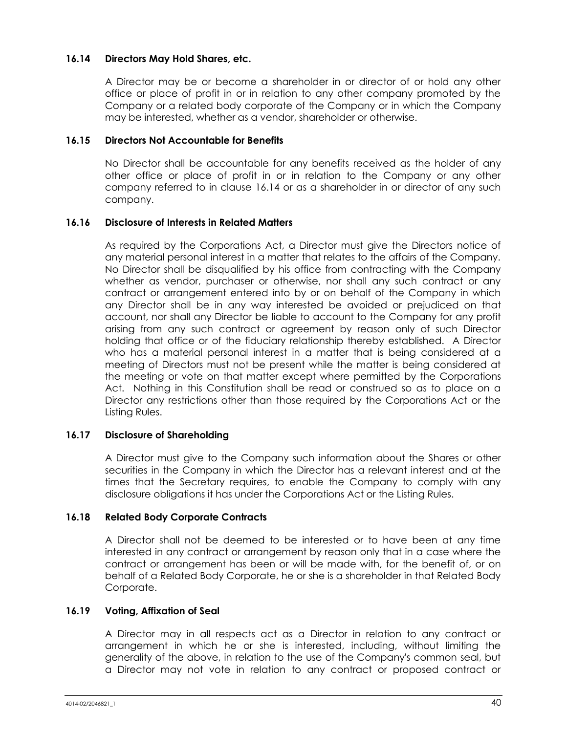## <span id="page-46-0"></span>**16.14 Directors May Hold Shares, etc.**

A Director may be or become a shareholder in or director of or hold any other office or place of profit in or in relation to any other company promoted by the Company or a related body corporate of the Company or in which the Company may be interested, whether as a vendor, shareholder or otherwise.

## **16.15 Directors Not Accountable for Benefits**

No Director shall be accountable for any benefits received as the holder of any other office or place of profit in or in relation to the Company or any other company referred to in clause [16.14](#page-46-0) or as a shareholder in or director of any such company.

#### **16.16 Disclosure of Interests in Related Matters**

As required by the Corporations Act, a Director must give the Directors notice of any material personal interest in a matter that relates to the affairs of the Company. No Director shall be disqualified by his office from contracting with the Company whether as vendor, purchaser or otherwise, nor shall any such contract or any contract or arrangement entered into by or on behalf of the Company in which any Director shall be in any way interested be avoided or prejudiced on that account, nor shall any Director be liable to account to the Company for any profit arising from any such contract or agreement by reason only of such Director holding that office or of the fiduciary relationship thereby established. A Director who has a material personal interest in a matter that is being considered at a meeting of Directors must not be present while the matter is being considered at the meeting or vote on that matter except where permitted by the Corporations Act. Nothing in this Constitution shall be read or construed so as to place on a Director any restrictions other than those required by the Corporations Act or the Listing Rules.

## **16.17 Disclosure of Shareholding**

A Director must give to the Company such information about the Shares or other securities in the Company in which the Director has a relevant interest and at the times that the Secretary requires, to enable the Company to comply with any disclosure obligations it has under the Corporations Act or the Listing Rules.

## **16.18 Related Body Corporate Contracts**

A Director shall not be deemed to be interested or to have been at any time interested in any contract or arrangement by reason only that in a case where the contract or arrangement has been or will be made with, for the benefit of, or on behalf of a Related Body Corporate, he or she is a shareholder in that Related Body Corporate.

## **16.19 Voting, Affixation of Seal**

A Director may in all respects act as a Director in relation to any contract or arrangement in which he or she is interested, including, without limiting the generality of the above, in relation to the use of the Company's common seal, but a Director may not vote in relation to any contract or proposed contract or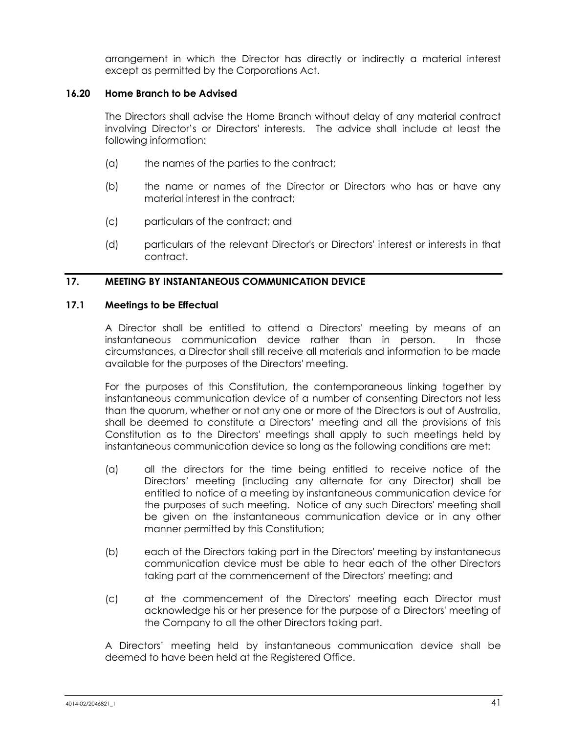arrangement in which the Director has directly or indirectly a material interest except as permitted by the Corporations Act.

## **16.20 Home Branch to be Advised**

The Directors shall advise the Home Branch without delay of any material contract involving Director's or Directors' interests. The advice shall include at least the following information:

- (a) the names of the parties to the contract;
- (b) the name or names of the Director or Directors who has or have any material interest in the contract;
- (c) particulars of the contract; and
- (d) particulars of the relevant Director's or Directors' interest or interests in that contract.

## **17. MEETING BY INSTANTANEOUS COMMUNICATION DEVICE**

## <span id="page-47-0"></span>**17.1 Meetings to be Effectual**

A Director shall be entitled to attend a Directors' meeting by means of an instantaneous communication device rather than in person. In those circumstances, a Director shall still receive all materials and information to be made available for the purposes of the Directors' meeting.

For the purposes of this Constitution, the contemporaneous linking together by instantaneous communication device of a number of consenting Directors not less than the quorum, whether or not any one or more of the Directors is out of Australia, shall be deemed to constitute a Directors' meeting and all the provisions of this Constitution as to the Directors' meetings shall apply to such meetings held by instantaneous communication device so long as the following conditions are met:

- (a) all the directors for the time being entitled to receive notice of the Directors' meeting (including any alternate for any Director) shall be entitled to notice of a meeting by instantaneous communication device for the purposes of such meeting. Notice of any such Directors' meeting shall be given on the instantaneous communication device or in any other manner permitted by this Constitution;
- (b) each of the Directors taking part in the Directors' meeting by instantaneous communication device must be able to hear each of the other Directors taking part at the commencement of the Directors' meeting; and
- (c) at the commencement of the Directors' meeting each Director must acknowledge his or her presence for the purpose of a Directors' meeting of the Company to all the other Directors taking part.

A Directors' meeting held by instantaneous communication device shall be deemed to have been held at the Registered Office.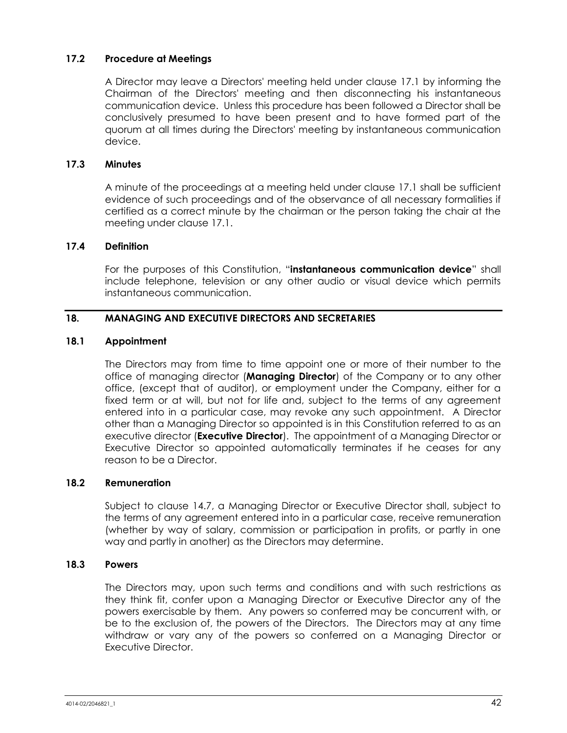## **17.2 Procedure at Meetings**

A Director may leave a Directors' meeting held under clause [17.1](#page-47-0) by informing the Chairman of the Directors' meeting and then disconnecting his instantaneous communication device. Unless this procedure has been followed a Director shall be conclusively presumed to have been present and to have formed part of the quorum at all times during the Directors' meeting by instantaneous communication device.

## **17.3 Minutes**

A minute of the proceedings at a meeting held under clause [17.1](#page-47-0) shall be sufficient evidence of such proceedings and of the observance of all necessary formalities if certified as a correct minute by the chairman or the person taking the chair at the meeting under clause [17.1.](#page-47-0)

## **17.4 Definition**

For the purposes of this Constitution, "**instantaneous communication device**" shall include telephone, television or any other audio or visual device which permits instantaneous communication.

## **18. MANAGING AND EXECUTIVE DIRECTORS AND SECRETARIES**

#### **18.1 Appointment**

The Directors may from time to time appoint one or more of their number to the office of managing director (**Managing Director**) of the Company or to any other office, (except that of auditor), or employment under the Company, either for a fixed term or at will, but not for life and, subject to the terms of any agreement entered into in a particular case, may revoke any such appointment. A Director other than a Managing Director so appointed is in this Constitution referred to as an executive director (**Executive Director**). The appointment of a Managing Director or Executive Director so appointed automatically terminates if he ceases for any reason to be a Director.

#### **18.2 Remuneration**

Subject to clause [14.7,](#page-40-2) a Managing Director or Executive Director shall, subject to the terms of any agreement entered into in a particular case, receive remuneration (whether by way of salary, commission or participation in profits, or partly in one way and partly in another) as the Directors may determine.

#### **18.3 Powers**

The Directors may, upon such terms and conditions and with such restrictions as they think fit, confer upon a Managing Director or Executive Director any of the powers exercisable by them. Any powers so conferred may be concurrent with, or be to the exclusion of, the powers of the Directors. The Directors may at any time withdraw or vary any of the powers so conferred on a Managing Director or Executive Director.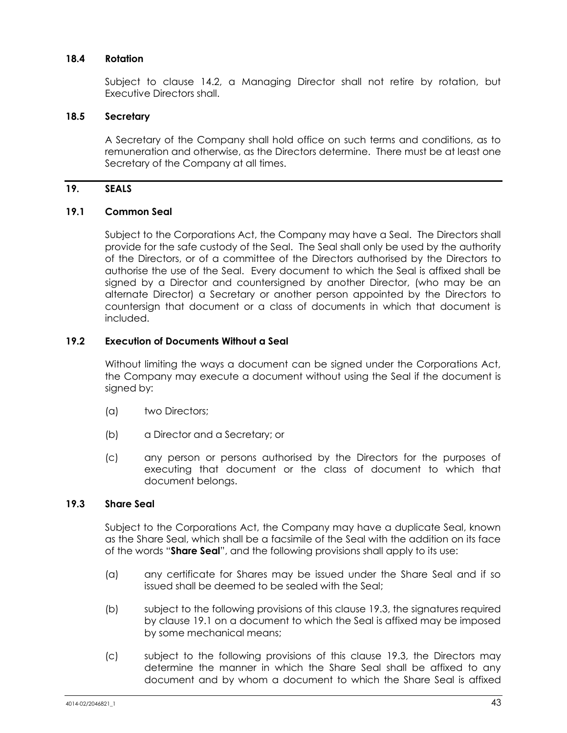## <span id="page-49-1"></span>**18.4 Rotation**

Subject to clause [14.2,](#page-39-0) a Managing Director shall not retire by rotation, but Executive Directors shall.

#### **18.5 Secretary**

A Secretary of the Company shall hold office on such terms and conditions, as to remuneration and otherwise, as the Directors determine. There must be at least one Secretary of the Company at all times.

#### **19. SEALS**

#### <span id="page-49-2"></span>**19.1 Common Seal**

Subject to the Corporations Act, the Company may have a Seal. The Directors shall provide for the safe custody of the Seal. The Seal shall only be used by the authority of the Directors, or of a committee of the Directors authorised by the Directors to authorise the use of the Seal. Every document to which the Seal is affixed shall be signed by a Director and countersigned by another Director, (who may be an alternate Director) a Secretary or another person appointed by the Directors to countersign that document or a class of documents in which that document is included.

## **19.2 Execution of Documents Without a Seal**

Without limiting the ways a document can be signed under the Corporations Act, the Company may execute a document without using the Seal if the document is signed by:

- (a) two Directors;
- (b) a Director and a Secretary; or
- (c) any person or persons authorised by the Directors for the purposes of executing that document or the class of document to which that document belongs.

#### <span id="page-49-0"></span>**19.3 Share Seal**

Subject to the Corporations Act, the Company may have a duplicate Seal, known as the Share Seal, which shall be a facsimile of the Seal with the addition on its face of the words "**Share Seal**", and the following provisions shall apply to its use:

- (a) any certificate for Shares may be issued under the Share Seal and if so issued shall be deemed to be sealed with the Seal;
- (b) subject to the following provisions of this clause [19.3,](#page-49-0) the signatures required by clause [19.1](#page-49-2) on a document to which the Seal is affixed may be imposed by some mechanical means;
- (c) subject to the following provisions of this clause [19.3,](#page-49-0) the Directors may determine the manner in which the Share Seal shall be affixed to any document and by whom a document to which the Share Seal is affixed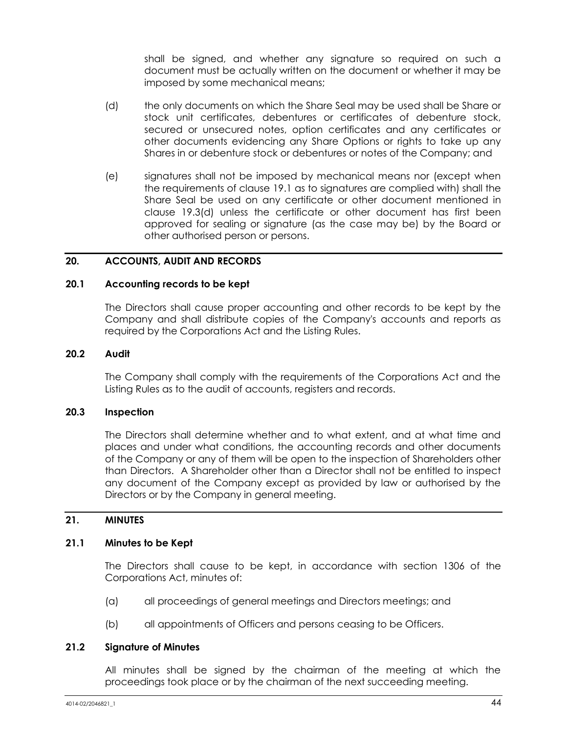shall be signed, and whether any signature so required on such a document must be actually written on the document or whether it may be imposed by some mechanical means;

- <span id="page-50-0"></span>(d) the only documents on which the Share Seal may be used shall be Share or stock unit certificates, debentures or certificates of debenture stock, secured or unsecured notes, option certificates and any certificates or other documents evidencing any Share Options or rights to take up any Shares in or debenture stock or debentures or notes of the Company; and
- (e) signatures shall not be imposed by mechanical means nor (except when the requirements of clause [19.1](#page-49-2) as to signatures are complied with) shall the Share Seal be used on any certificate or other document mentioned in clause [19.3\(d\)](#page-50-0) unless the certificate or other document has first been approved for sealing or signature (as the case may be) by the Board or other authorised person or persons.

## **20. ACCOUNTS, AUDIT AND RECORDS**

#### **20.1 Accounting records to be kept**

The Directors shall cause proper accounting and other records to be kept by the Company and shall distribute copies of the Company's accounts and reports as required by the Corporations Act and the Listing Rules.

#### **20.2 Audit**

The Company shall comply with the requirements of the Corporations Act and the Listing Rules as to the audit of accounts, registers and records.

## **20.3 Inspection**

The Directors shall determine whether and to what extent, and at what time and places and under what conditions, the accounting records and other documents of the Company or any of them will be open to the inspection of Shareholders other than Directors. A Shareholder other than a Director shall not be entitled to inspect any document of the Company except as provided by law or authorised by the Directors or by the Company in general meeting.

#### **21. MINUTES**

#### **21.1 Minutes to be Kept**

The Directors shall cause to be kept, in accordance with section 1306 of the Corporations Act, minutes of:

- (a) all proceedings of general meetings and Directors meetings; and
- (b) all appointments of Officers and persons ceasing to be Officers.

#### **21.2 Signature of Minutes**

All minutes shall be signed by the chairman of the meeting at which the proceedings took place or by the chairman of the next succeeding meeting.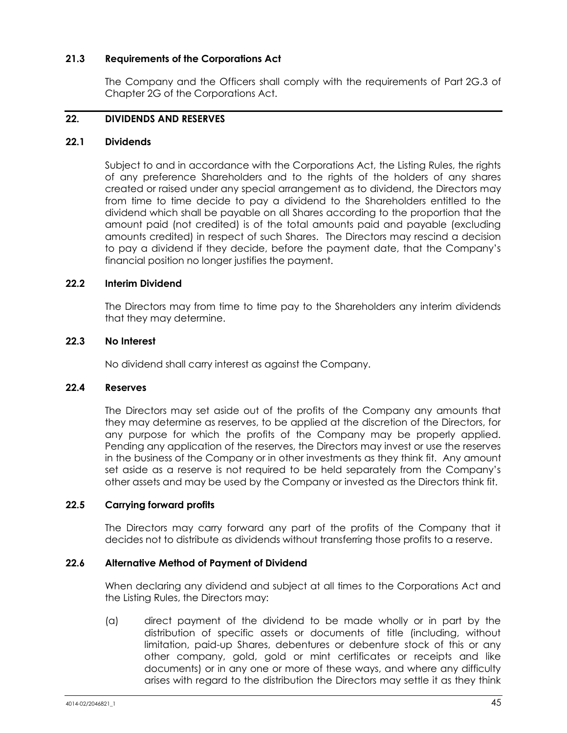## **21.3 Requirements of the Corporations Act**

The Company and the Officers shall comply with the requirements of Part 2G.3 of Chapter 2G of the Corporations Act.

## <span id="page-51-0"></span>**22. DIVIDENDS AND RESERVES**

## **22.1 Dividends**

Subject to and in accordance with the Corporations Act, the Listing Rules, the rights of any preference Shareholders and to the rights of the holders of any shares created or raised under any special arrangement as to dividend, the Directors may from time to time decide to pay a dividend to the Shareholders entitled to the dividend which shall be payable on all Shares according to the proportion that the amount paid (not credited) is of the total amounts paid and payable (excluding amounts credited) in respect of such Shares. The Directors may rescind a decision to pay a dividend if they decide, before the payment date, that the Company's financial position no longer justifies the payment.

## **22.2 Interim Dividend**

The Directors may from time to time pay to the Shareholders any interim dividends that they may determine.

## **22.3 No Interest**

No dividend shall carry interest as against the Company.

## **22.4 Reserves**

The Directors may set aside out of the profits of the Company any amounts that they may determine as reserves, to be applied at the discretion of the Directors, for any purpose for which the profits of the Company may be properly applied. Pending any application of the reserves, the Directors may invest or use the reserves in the business of the Company or in other investments as they think fit. Any amount set aside as a reserve is not required to be held separately from the Company's other assets and may be used by the Company or invested as the Directors think fit.

## **22.5 Carrying forward profits**

The Directors may carry forward any part of the profits of the Company that it decides not to distribute as dividends without transferring those profits to a reserve.

## **22.6 Alternative Method of Payment of Dividend**

When declaring any dividend and subject at all times to the Corporations Act and the Listing Rules, the Directors may:

(a) direct payment of the dividend to be made wholly or in part by the distribution of specific assets or documents of title (including, without limitation, paid-up Shares, debentures or debenture stock of this or any other company, gold, gold or mint certificates or receipts and like documents) or in any one or more of these ways, and where any difficulty arises with regard to the distribution the Directors may settle it as they think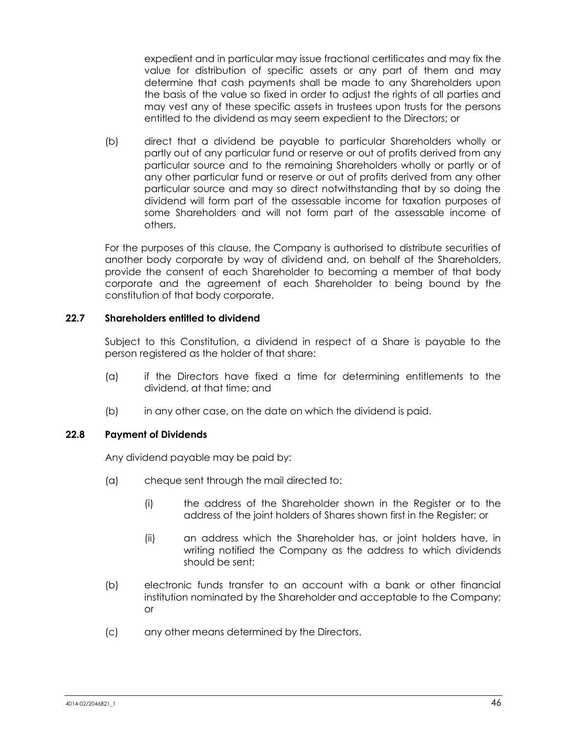expedient and in particular may issue fractional certificates and may fix the value for distribution of specific assets or any part of them and may determine that cash payments shall be made to any Shareholders upon the basis of the value so fixed in order to adjust the rights of all parties and may vest any of these specific assets in trustees upon trusts for the persons entitled to the dividend as may seem expedient to the Directors; or

(b) direct that a dividend be payable to particular Shareholders wholly or partly out of any particular fund or reserve or out of profits derived from any particular source and to the remaining Shareholders wholly or partly or of any other particular fund or reserve or out of profits derived from any other particular source and may so direct notwithstanding that by so doing the dividend will form part of the assessable income for taxation purposes of some Shareholders and will not form part of the assessable income of others.

For the purposes of this clause, the Company is authorised to distribute securities of another body corporate by way of dividend and, on behalf of the Shareholders, provide the consent of each Shareholder to becoming a member of that body corporate and the agreement of each Shareholder to being bound by the constitution of that body corporate.

## **22.7 Shareholders entitled to dividend**

Subject to this Constitution, a dividend in respect of a Share is payable to the person registered as the holder of that share:

- (a) if the Directors have fixed a time for determining entitlements to the dividend, at that time; and
- (b) in any other case, on the date on which the dividend is paid.

## **22.8 Payment of Dividends**

Any dividend payable may be paid by:

- (a) cheque sent through the mail directed to:
	- (i) the address of the Shareholder shown in the Register or to the address of the joint holders of Shares shown first in the Register; or
	- (ii) an address which the Shareholder has, or joint holders have, in writing notified the Company as the address to which dividends should be sent;
- (b) electronic funds transfer to an account with a bank or other financial institution nominated by the Shareholder and acceptable to the Company; or
- (c) any other means determined by the Directors.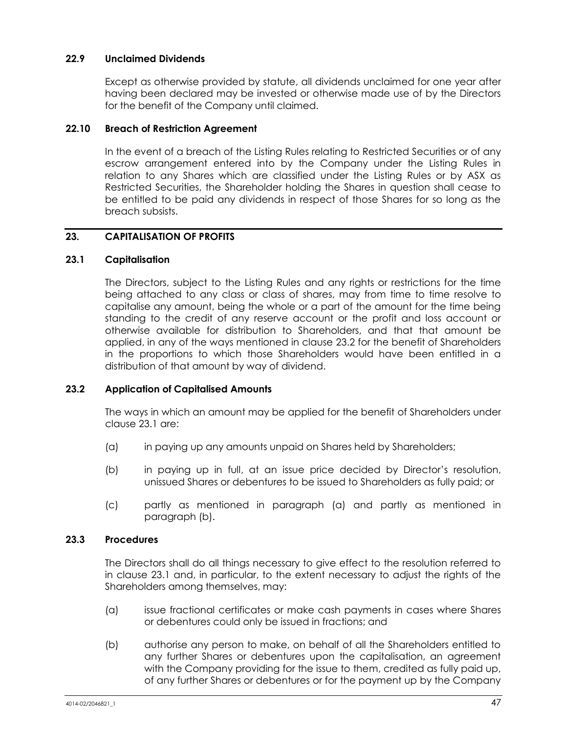## **22.9 Unclaimed Dividends**

Except as otherwise provided by statute, all dividends unclaimed for one year after having been declared may be invested or otherwise made use of by the Directors for the benefit of the Company until claimed.

## **22.10 Breach of Restriction Agreement**

In the event of a breach of the Listing Rules relating to Restricted Securities or of any escrow arrangement entered into by the Company under the Listing Rules in relation to any Shares which are classified under the Listing Rules or by ASX as Restricted Securities, the Shareholder holding the Shares in question shall cease to be entitled to be paid any dividends in respect of those Shares for so long as the breach subsists.

## **23. CAPITALISATION OF PROFITS**

#### <span id="page-53-0"></span>**23.1 Capitalisation**

The Directors, subject to the Listing Rules and any rights or restrictions for the time being attached to any class or class of shares, may from time to time resolve to capitalise any amount, being the whole or a part of the amount for the time being standing to the credit of any reserve account or the profit and loss account or otherwise available for distribution to Shareholders, and that that amount be applied, in any of the ways mentioned in clause [23.2](#page-53-1) for the benefit of Shareholders in the proportions to which those Shareholders would have been entitled in a distribution of that amount by way of dividend.

## <span id="page-53-1"></span>**23.2 Application of Capitalised Amounts**

The ways in which an amount may be applied for the benefit of Shareholders under claus[e 23.1](#page-53-0) are:

- <span id="page-53-2"></span>(a) in paying up any amounts unpaid on Shares held by Shareholders;
- <span id="page-53-3"></span>(b) in paying up in full, at an issue price decided by Director's resolution, unissued Shares or debentures to be issued to Shareholders as fully paid; or
- (c) partly as mentioned in paragraph [\(a\)](#page-53-2) and partly as mentioned in paragraph [\(b\).](#page-53-3)

## **23.3 Procedures**

The Directors shall do all things necessary to give effect to the resolution referred to in clause [23.1](#page-53-0) and, in particular, to the extent necessary to adjust the rights of the Shareholders among themselves, may:

- (a) issue fractional certificates or make cash payments in cases where Shares or debentures could only be issued in fractions; and
- <span id="page-53-4"></span>(b) authorise any person to make, on behalf of all the Shareholders entitled to any further Shares or debentures upon the capitalisation, an agreement with the Company providing for the issue to them, credited as fully paid up, of any further Shares or debentures or for the payment up by the Company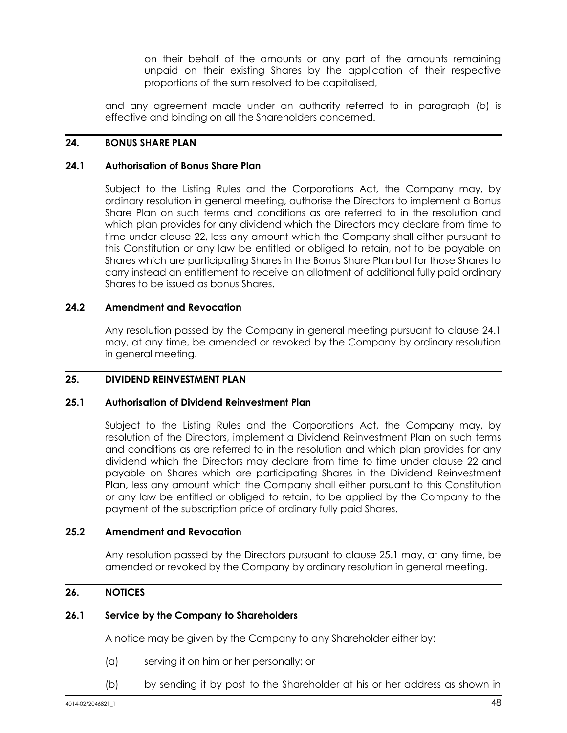on their behalf of the amounts or any part of the amounts remaining unpaid on their existing Shares by the application of their respective proportions of the sum resolved to be capitalised,

and any agreement made under an authority referred to in paragraph [\(b\)](#page-53-4) is effective and binding on all the Shareholders concerned.

## <span id="page-54-0"></span>**24. BONUS SHARE PLAN**

#### <span id="page-54-3"></span>**24.1 Authorisation of Bonus Share Plan**

Subject to the Listing Rules and the Corporations Act, the Company may, by ordinary resolution in general meeting, authorise the Directors to implement a Bonus Share Plan on such terms and conditions as are referred to in the resolution and which plan provides for any dividend which the Directors may declare from time to time under clause [22,](#page-51-0) less any amount which the Company shall either pursuant to this Constitution or any law be entitled or obliged to retain, not to be payable on Shares which are participating Shares in the Bonus Share Plan but for those Shares to carry instead an entitlement to receive an allotment of additional fully paid ordinary Shares to be issued as bonus Shares.

## **24.2 Amendment and Revocation**

Any resolution passed by the Company in general meeting pursuant to clause [24.1](#page-54-3) may, at any time, be amended or revoked by the Company by ordinary resolution in general meeting.

## <span id="page-54-1"></span>**25. DIVIDEND REINVESTMENT PLAN**

## <span id="page-54-4"></span>**25.1 Authorisation of Dividend Reinvestment Plan**

Subject to the Listing Rules and the Corporations Act, the Company may, by resolution of the Directors, implement a Dividend Reinvestment Plan on such terms and conditions as are referred to in the resolution and which plan provides for any dividend which the Directors may declare from time to time under clause [22](#page-51-0) and payable on Shares which are participating Shares in the Dividend Reinvestment Plan, less any amount which the Company shall either pursuant to this Constitution or any law be entitled or obliged to retain, to be applied by the Company to the payment of the subscription price of ordinary fully paid Shares.

#### **25.2 Amendment and Revocation**

Any resolution passed by the Directors pursuant to clause [25.1](#page-54-4) may, at any time, be amended or revoked by the Company by ordinary resolution in general meeting.

## <span id="page-54-2"></span>**26. NOTICES**

#### **26.1 Service by the Company to Shareholders**

A notice may be given by the Company to any Shareholder either by:

- (a) serving it on him or her personally; or
- (b) by sending it by post to the Shareholder at his or her address as shown in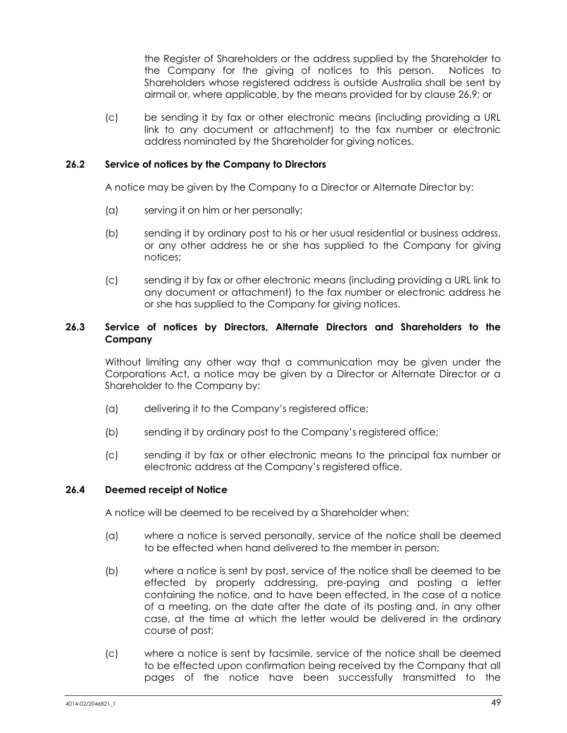the Register of Shareholders or the address supplied by the Shareholder to the Company for the giving of notices to this person. Notices to Shareholders whose registered address is outside Australia shall be sent by airmail or, where applicable, by the means provided for by clause [26.9;](#page-57-0) or

(c) be sending it by fax or other electronic means (including providing a URL link to any document or attachment) to the fax number or electronic address nominated by the Shareholder for giving notices.

## **26.2 Service of notices by the Company to Directors**

A notice may be given by the Company to a Director or Alternate Director by:

- (a) serving it on him or her personally;
- (b) sending it by ordinary post to his or her usual residential or business address, or any other address he or she has supplied to the Company for giving notices;
- (c) sending it by fax or other electronic means (including providing a URL link to any document or attachment) to the fax number or electronic address he or she has supplied to the Company for giving notices.

## **26.3 Service of notices by Directors, Alternate Directors and Shareholders to the Company**

Without limiting any other way that a communication may be given under the Corporations Act, a notice may be given by a Director or Alternate Director or a Shareholder to the Company by:

- (a) delivering it to the Company's registered office;
- (b) sending it by ordinary post to the Company's registered office;
- (c) sending it by fax or other electronic means to the principal fax number or electronic address at the Company's registered office.

#### **26.4 Deemed receipt of Notice**

A notice will be deemed to be received by a Shareholder when:

- (a) where a notice is served personally, service of the notice shall be deemed to be effected when hand delivered to the member in person;
- (b) where a notice is sent by post, service of the notice shall be deemed to be effected by properly addressing, pre-paying and posting a letter containing the notice, and to have been effected, in the case of a notice of a meeting, on the date after the date of its posting and, in any other case, at the time at which the letter would be delivered in the ordinary course of post;
- (c) where a notice is sent by facsimile, service of the notice shall be deemed to be effected upon confirmation being received by the Company that all pages of the notice have been successfully transmitted to the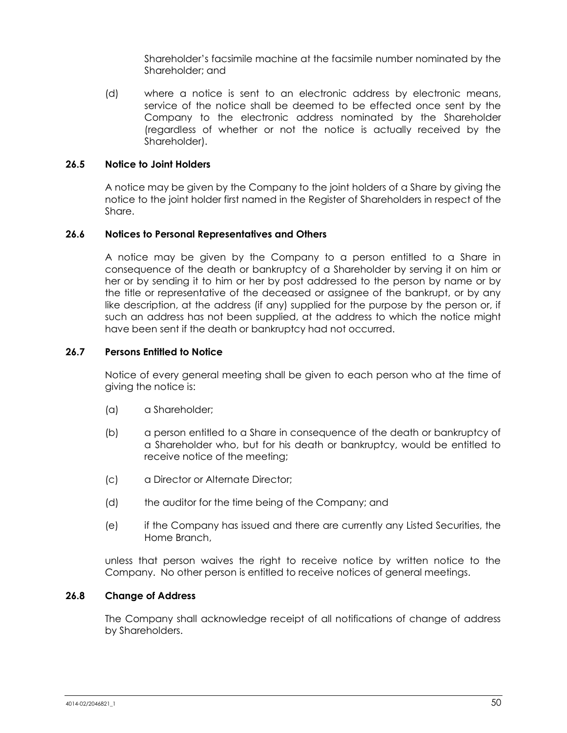Shareholder's facsimile machine at the facsimile number nominated by the Shareholder; and

(d) where a notice is sent to an electronic address by electronic means, service of the notice shall be deemed to be effected once sent by the Company to the electronic address nominated by the Shareholder (regardless of whether or not the notice is actually received by the Shareholder).

## **26.5 Notice to Joint Holders**

A notice may be given by the Company to the joint holders of a Share by giving the notice to the joint holder first named in the Register of Shareholders in respect of the Share.

#### **26.6 Notices to Personal Representatives and Others**

A notice may be given by the Company to a person entitled to a Share in consequence of the death or bankruptcy of a Shareholder by serving it on him or her or by sending it to him or her by post addressed to the person by name or by the title or representative of the deceased or assignee of the bankrupt, or by any like description, at the address (if any) supplied for the purpose by the person or, if such an address has not been supplied, at the address to which the notice might have been sent if the death or bankruptcy had not occurred.

## **26.7 Persons Entitled to Notice**

Notice of every general meeting shall be given to each person who at the time of giving the notice is:

- (a) a Shareholder;
- (b) a person entitled to a Share in consequence of the death or bankruptcy of a Shareholder who, but for his death or bankruptcy, would be entitled to receive notice of the meeting;
- (c) a Director or Alternate Director;
- (d) the auditor for the time being of the Company; and
- (e) if the Company has issued and there are currently any Listed Securities, the Home Branch,

unless that person waives the right to receive notice by written notice to the Company. No other person is entitled to receive notices of general meetings.

## **26.8 Change of Address**

The Company shall acknowledge receipt of all notifications of change of address by Shareholders.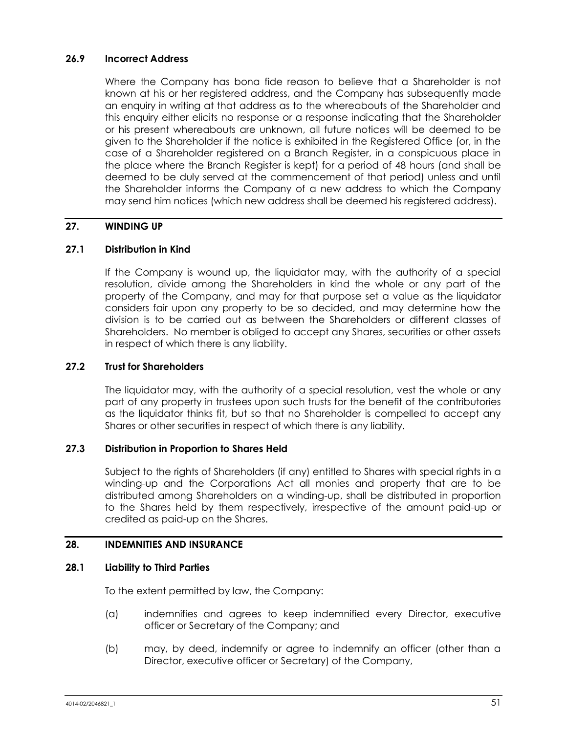## <span id="page-57-0"></span>**26.9 Incorrect Address**

Where the Company has bona fide reason to believe that a Shareholder is not known at his or her registered address, and the Company has subsequently made an enquiry in writing at that address as to the whereabouts of the Shareholder and this enquiry either elicits no response or a response indicating that the Shareholder or his present whereabouts are unknown, all future notices will be deemed to be given to the Shareholder if the notice is exhibited in the Registered Office (or, in the case of a Shareholder registered on a Branch Register, in a conspicuous place in the place where the Branch Register is kept) for a period of 48 hours (and shall be deemed to be duly served at the commencement of that period) unless and until the Shareholder informs the Company of a new address to which the Company may send him notices (which new address shall be deemed his registered address).

## **27. WINDING UP**

## **27.1 Distribution in Kind**

If the Company is wound up, the liquidator may, with the authority of a special resolution, divide among the Shareholders in kind the whole or any part of the property of the Company, and may for that purpose set a value as the liquidator considers fair upon any property to be so decided, and may determine how the division is to be carried out as between the Shareholders or different classes of Shareholders. No member is obliged to accept any Shares, securities or other assets in respect of which there is any liability.

## **27.2 Trust for Shareholders**

The liquidator may, with the authority of a special resolution, vest the whole or any part of any property in trustees upon such trusts for the benefit of the contributories as the liquidator thinks fit, but so that no Shareholder is compelled to accept any Shares or other securities in respect of which there is any liability.

## **27.3 Distribution in Proportion to Shares Held**

Subject to the rights of Shareholders (if any) entitled to Shares with special rights in a winding-up and the Corporations Act all monies and property that are to be distributed among Shareholders on a winding-up, shall be distributed in proportion to the Shares held by them respectively, irrespective of the amount paid-up or credited as paid-up on the Shares.

## <span id="page-57-1"></span>**28. INDEMNITIES AND INSURANCE**

## **28.1 Liability to Third Parties**

To the extent permitted by law, the Company:

- (a) indemnifies and agrees to keep indemnified every Director, executive officer or Secretary of the Company; and
- (b) may, by deed, indemnify or agree to indemnify an officer (other than a Director, executive officer or Secretary) of the Company,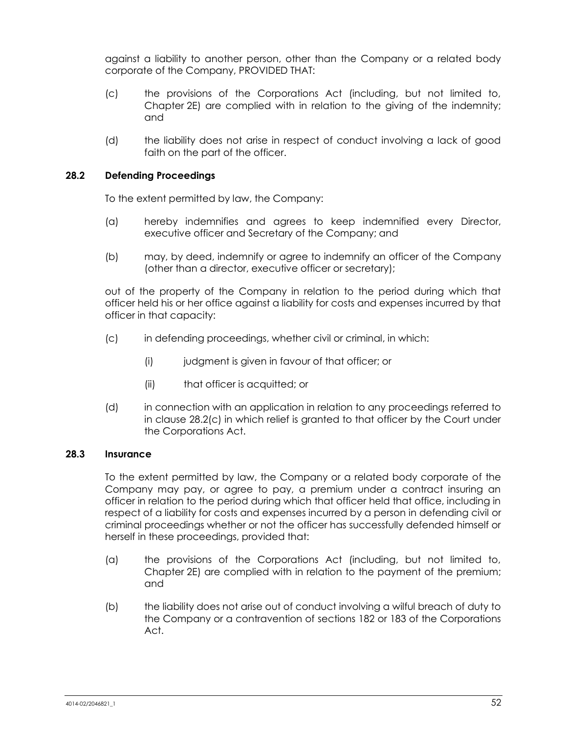against a liability to another person, other than the Company or a related body corporate of the Company, PROVIDED THAT:

- (c) the provisions of the Corporations Act (including, but not limited to, Chapter 2E) are complied with in relation to the giving of the indemnity; and
- (d) the liability does not arise in respect of conduct involving a lack of good faith on the part of the officer.

## **28.2 Defending Proceedings**

To the extent permitted by law, the Company:

- (a) hereby indemnifies and agrees to keep indemnified every Director, executive officer and Secretary of the Company; and
- (b) may, by deed, indemnify or agree to indemnify an officer of the Company (other than a director, executive officer or secretary);

out of the property of the Company in relation to the period during which that officer held his or her office against a liability for costs and expenses incurred by that officer in that capacity:

- <span id="page-58-0"></span>(c) in defending proceedings, whether civil or criminal, in which:
	- (i) judgment is given in favour of that officer; or
	- (ii) that officer is acquitted; or
- (d) in connection with an application in relation to any proceedings referred to in clause [28.2\(c\)](#page-58-0) in which relief is granted to that officer by the Court under the Corporations Act.

## **28.3 Insurance**

To the extent permitted by law, the Company or a related body corporate of the Company may pay, or agree to pay, a premium under a contract insuring an officer in relation to the period during which that officer held that office, including in respect of a liability for costs and expenses incurred by a person in defending civil or criminal proceedings whether or not the officer has successfully defended himself or herself in these proceedings, provided that:

- (a) the provisions of the Corporations Act (including, but not limited to, Chapter 2E) are complied with in relation to the payment of the premium; and
- (b) the liability does not arise out of conduct involving a wilful breach of duty to the Company or a contravention of sections 182 or 183 of the Corporations Act.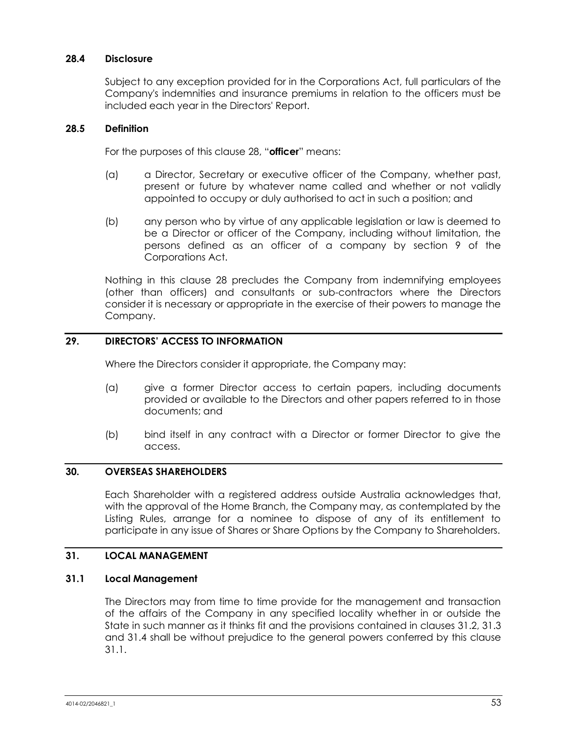## **28.4 Disclosure**

Subject to any exception provided for in the Corporations Act, full particulars of the Company's indemnities and insurance premiums in relation to the officers must be included each year in the Directors' Report.

#### **28.5 Definition**

For the purposes of this clause [28](#page-57-1), "**officer**" means:

- (a) a Director, Secretary or executive officer of the Company, whether past, present or future by whatever name called and whether or not validly appointed to occupy or duly authorised to act in such a position; and
- (b) any person who by virtue of any applicable legislation or law is deemed to be a Director or officer of the Company, including without limitation, the persons defined as an officer of a company by section 9 of the Corporations Act.

Nothing in this clause [28](#page-57-1) precludes the Company from indemnifying employees (other than officers) and consultants or sub-contractors where the Directors consider it is necessary or appropriate in the exercise of their powers to manage the Company.

## **29. DIRECTORS' ACCESS TO INFORMATION**

Where the Directors consider it appropriate, the Company may:

- (a) give a former Director access to certain papers, including documents provided or available to the Directors and other papers referred to in those documents; and
- (b) bind itself in any contract with a Director or former Director to give the access.

#### **30. OVERSEAS SHAREHOLDERS**

Each Shareholder with a registered address outside Australia acknowledges that, with the approval of the Home Branch, the Company may, as contemplated by the Listing Rules, arrange for a nominee to dispose of any of its entitlement to participate in any issue of Shares or Share Options by the Company to Shareholders.

## **31. LOCAL MANAGEMENT**

#### <span id="page-59-0"></span>**31.1 Local Management**

The Directors may from time to time provide for the management and transaction of the affairs of the Company in any specified locality whether in or outside the State in such manner as it thinks fit and the provisions contained in clauses [31.2,](#page-60-1) [31.3](#page-60-2) and [31.4](#page-60-3) shall be without prejudice to the general powers conferred by this clause [31.1.](#page-59-0)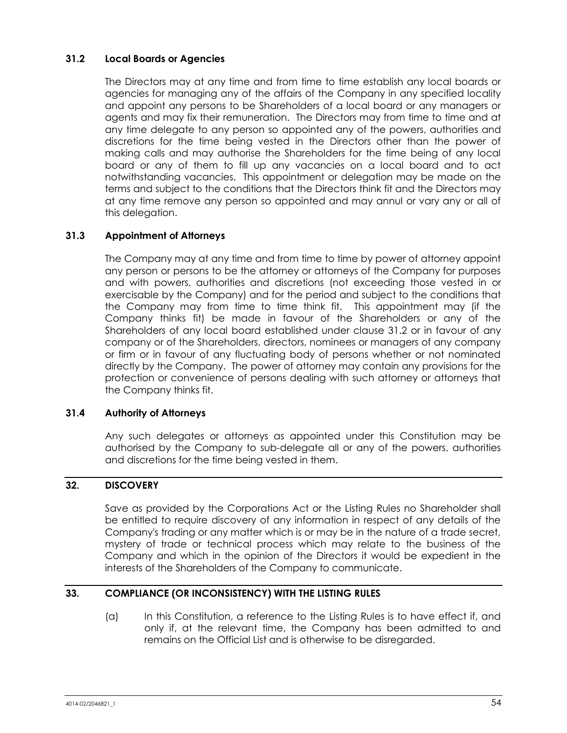## <span id="page-60-1"></span>**31.2 Local Boards or Agencies**

The Directors may at any time and from time to time establish any local boards or agencies for managing any of the affairs of the Company in any specified locality and appoint any persons to be Shareholders of a local board or any managers or agents and may fix their remuneration. The Directors may from time to time and at any time delegate to any person so appointed any of the powers, authorities and discretions for the time being vested in the Directors other than the power of making calls and may authorise the Shareholders for the time being of any local board or any of them to fill up any vacancies on a local board and to act notwithstanding vacancies. This appointment or delegation may be made on the terms and subject to the conditions that the Directors think fit and the Directors may at any time remove any person so appointed and may annul or vary any or all of this delegation.

## <span id="page-60-2"></span>**31.3 Appointment of Attorneys**

The Company may at any time and from time to time by power of attorney appoint any person or persons to be the attorney or attorneys of the Company for purposes and with powers, authorities and discretions (not exceeding those vested in or exercisable by the Company) and for the period and subject to the conditions that the Company may from time to time think fit. This appointment may (if the Company thinks fit) be made in favour of the Shareholders or any of the Shareholders of any local board established under clause [31.2](#page-60-1) or in favour of any company or of the Shareholders, directors, nominees or managers of any company or firm or in favour of any fluctuating body of persons whether or not nominated directly by the Company. The power of attorney may contain any provisions for the protection or convenience of persons dealing with such attorney or attorneys that the Company thinks fit.

## <span id="page-60-3"></span>**31.4 Authority of Attorneys**

Any such delegates or attorneys as appointed under this Constitution may be authorised by the Company to sub-delegate all or any of the powers, authorities and discretions for the time being vested in them.

## **32. DISCOVERY**

Save as provided by the Corporations Act or the Listing Rules no Shareholder shall be entitled to require discovery of any information in respect of any details of the Company's trading or any matter which is or may be in the nature of a trade secret, mystery of trade or technical process which may relate to the business of the Company and which in the opinion of the Directors it would be expedient in the interests of the Shareholders of the Company to communicate.

## <span id="page-60-0"></span>**33. COMPLIANCE (OR INCONSISTENCY) WITH THE LISTING RULES**

(a) In this Constitution, a reference to the Listing Rules is to have effect if, and only if, at the relevant time, the Company has been admitted to and remains on the Official List and is otherwise to be disregarded.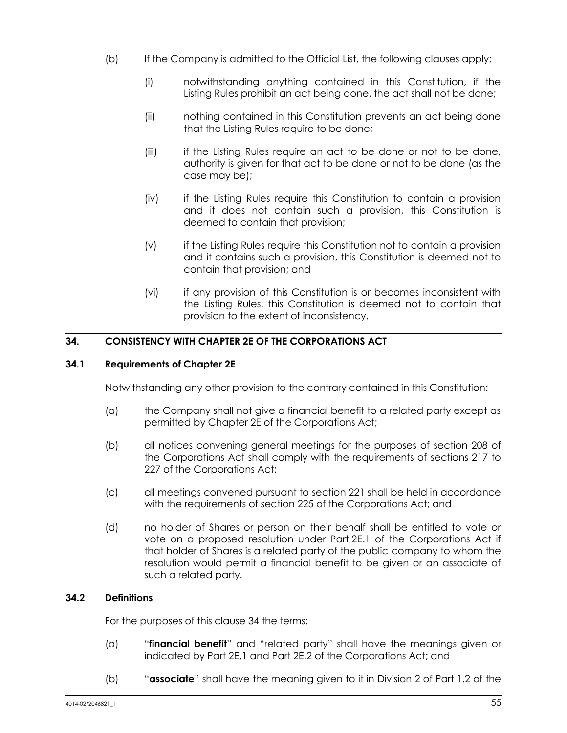- (b) If the Company is admitted to the Official List, the following clauses apply:
	- (i) notwithstanding anything contained in this Constitution, if the Listing Rules prohibit an act being done, the act shall not be done;
	- (ii) nothing contained in this Constitution prevents an act being done that the Listing Rules require to be done;
	- (iii) if the Listing Rules require an act to be done or not to be done, authority is given for that act to be done or not to be done (as the case may be);
	- (iv) if the Listing Rules require this Constitution to contain a provision and it does not contain such a provision, this Constitution is deemed to contain that provision;
	- (v) if the Listing Rules require this Constitution not to contain a provision and it contains such a provision, this Constitution is deemed not to contain that provision; and
	- (vi) if any provision of this Constitution is or becomes inconsistent with the Listing Rules, this Constitution is deemed not to contain that provision to the extent of inconsistency.

## <span id="page-61-0"></span>**34. CONSISTENCY WITH CHAPTER 2E OF THE CORPORATIONS ACT**

## **34.1 Requirements of Chapter 2E**

Notwithstanding any other provision to the contrary contained in this Constitution:

- (a) the Company shall not give a financial benefit to a related party except as permitted by Chapter 2E of the Corporations Act;
- (b) all notices convening general meetings for the purposes of section 208 of the Corporations Act shall comply with the requirements of sections 217 to 227 of the Corporations Act;
- (c) all meetings convened pursuant to section 221 shall be held in accordance with the requirements of section 225 of the Corporations Act; and
- (d) no holder of Shares or person on their behalf shall be entitled to vote or vote on a proposed resolution under Part 2E.1 of the Corporations Act if that holder of Shares is a related party of the public company to whom the resolution would permit a financial benefit to be given or an associate of such a related party.

## **34.2 Definitions**

For the purposes of this clause [34](#page-61-0) the terms:

- (a) "**financial benefit**" and "related party" shall have the meanings given or indicated by Part 2E.1 and Part 2E.2 of the Corporations Act; and
- (b) "**associate**" shall have the meaning given to it in Division 2 of Part 1.2 of the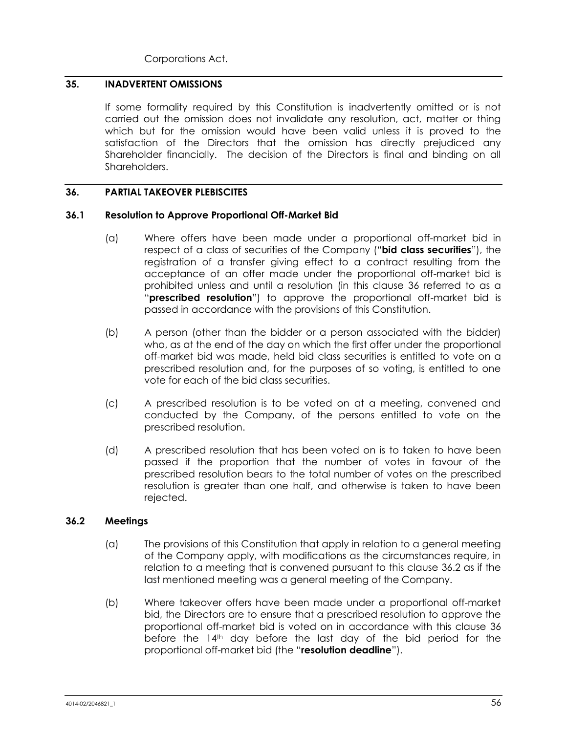Corporations Act.

## **35. INADVERTENT OMISSIONS**

If some formality required by this Constitution is inadvertently omitted or is not carried out the omission does not invalidate any resolution, act, matter or thing which but for the omission would have been valid unless it is proved to the satisfaction of the Directors that the omission has directly prejudiced any Shareholder financially. The decision of the Directors is final and binding on all Shareholders.

#### <span id="page-62-0"></span>**36. PARTIAL TAKEOVER PLEBISCITES**

#### **36.1 Resolution to Approve Proportional Off-Market Bid**

- (a) Where offers have been made under a proportional off-market bid in respect of a class of securities of the Company ("**bid class securities**"), the registration of a transfer giving effect to a contract resulting from the acceptance of an offer made under the proportional off-market bid is prohibited unless and until a resolution (in this clause [36](#page-62-0) referred to as a "**prescribed resolution**") to approve the proportional off-market bid is passed in accordance with the provisions of this Constitution.
- (b) A person (other than the bidder or a person associated with the bidder) who, as at the end of the day on which the first offer under the proportional off-market bid was made, held bid class securities is entitled to vote on a prescribed resolution and, for the purposes of so voting, is entitled to one vote for each of the bid class securities.
- (c) A prescribed resolution is to be voted on at a meeting, convened and conducted by the Company, of the persons entitled to vote on the prescribed resolution.
- (d) A prescribed resolution that has been voted on is to taken to have been passed if the proportion that the number of votes in favour of the prescribed resolution bears to the total number of votes on the prescribed resolution is greater than one half, and otherwise is taken to have been rejected.

## <span id="page-62-1"></span>**36.2 Meetings**

- (a) The provisions of this Constitution that apply in relation to a general meeting of the Company apply, with modifications as the circumstances require, in relation to a meeting that is convened pursuant to this clause [36.2](#page-62-1) as if the last mentioned meeting was a general meeting of the Company.
- (b) Where takeover offers have been made under a proportional off-market bid, the Directors are to ensure that a prescribed resolution to approve the proportional off-market bid is voted on in accordance with this clause [36](#page-62-0) before the  $14<sup>th</sup>$  day before the last day of the bid period for the proportional off-market bid (the "**resolution deadline**").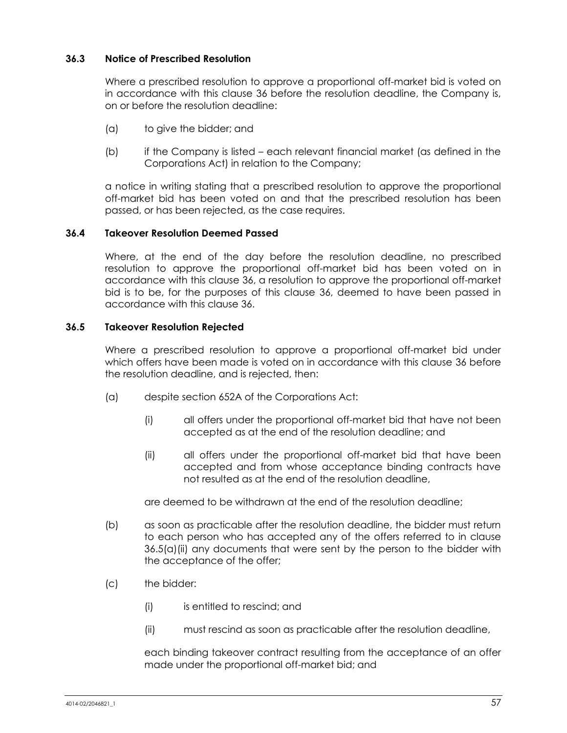## **36.3 Notice of Prescribed Resolution**

Where a prescribed resolution to approve a proportional off-market bid is voted on in accordance with this clause [36](#page-62-0) before the resolution deadline, the Company is, on or before the resolution deadline:

- (a) to give the bidder; and
- (b) if the Company is listed each relevant financial market (as defined in the Corporations Act) in relation to the Company;

a notice in writing stating that a prescribed resolution to approve the proportional off-market bid has been voted on and that the prescribed resolution has been passed, or has been rejected, as the case requires.

#### **36.4 Takeover Resolution Deemed Passed**

Where, at the end of the day before the resolution deadline, no prescribed resolution to approve the proportional off-market bid has been voted on in accordance with this clause [36,](#page-62-0) a resolution to approve the proportional off-market bid is to be, for the purposes of this clause [36,](#page-62-0) deemed to have been passed in accordance with this clause [36.](#page-62-0)

#### **36.5 Takeover Resolution Rejected**

Where a prescribed resolution to approve a proportional off-market bid under which offers have been made is voted on in accordance with this clause [36](#page-62-0) before the resolution deadline, and is rejected, then:

- <span id="page-63-0"></span>(a) despite section 652A of the Corporations Act:
	- (i) all offers under the proportional off-market bid that have not been accepted as at the end of the resolution deadline; and
	- (ii) all offers under the proportional off-market bid that have been accepted and from whose acceptance binding contracts have not resulted as at the end of the resolution deadline,

are deemed to be withdrawn at the end of the resolution deadline;

- (b) as soon as practicable after the resolution deadline, the bidder must return to each person who has accepted any of the offers referred to in clause [36.5\(a\)\(ii\)](#page-63-0) any documents that were sent by the person to the bidder with the acceptance of the offer;
- (c) the bidder:
	- (i) is entitled to rescind; and
	- (ii) must rescind as soon as practicable after the resolution deadline,

each binding takeover contract resulting from the acceptance of an offer made under the proportional off-market bid; and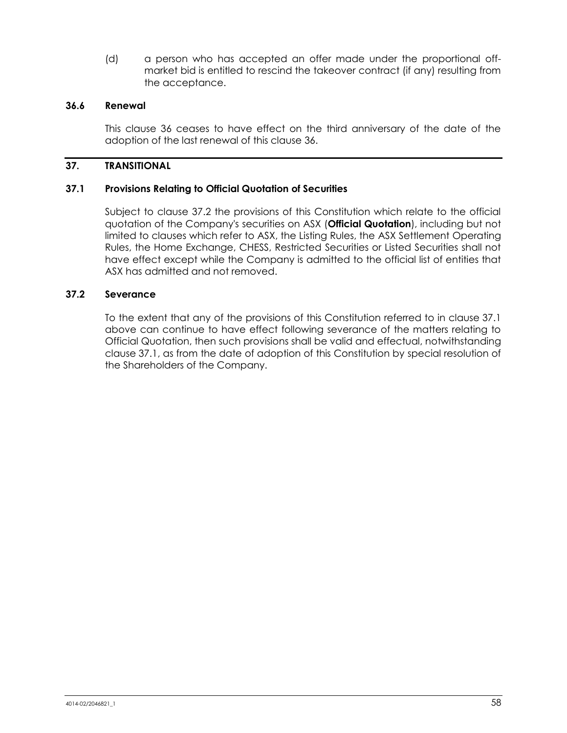(d) a person who has accepted an offer made under the proportional offmarket bid is entitled to rescind the takeover contract (if any) resulting from the acceptance.

#### **36.6 Renewal**

This clause [36](#page-62-0) ceases to have effect on the third anniversary of the date of the adoption of the last renewal of this clause [36.](#page-62-0)

## **37. TRANSITIONAL**

#### <span id="page-64-1"></span>**37.1 Provisions Relating to Official Quotation of Securities**

Subject to clause [37.2](#page-64-0) the provisions of this Constitution which relate to the official quotation of the Company's securities on ASX (**Official Quotation**), including but not limited to clauses which refer to ASX, the Listing Rules, the ASX Settlement Operating Rules, the Home Exchange, CHESS, Restricted Securities or Listed Securities shall not have effect except while the Company is admitted to the official list of entities that ASX has admitted and not removed.

#### <span id="page-64-0"></span>**37.2 Severance**

To the extent that any of the provisions of this Constitution referred to in clause [37.1](#page-64-1) above can continue to have effect following severance of the matters relating to Official Quotation, then such provisions shall be valid and effectual, notwithstanding clause [37.1,](#page-64-1) as from the date of adoption of this Constitution by special resolution of the Shareholders of the Company.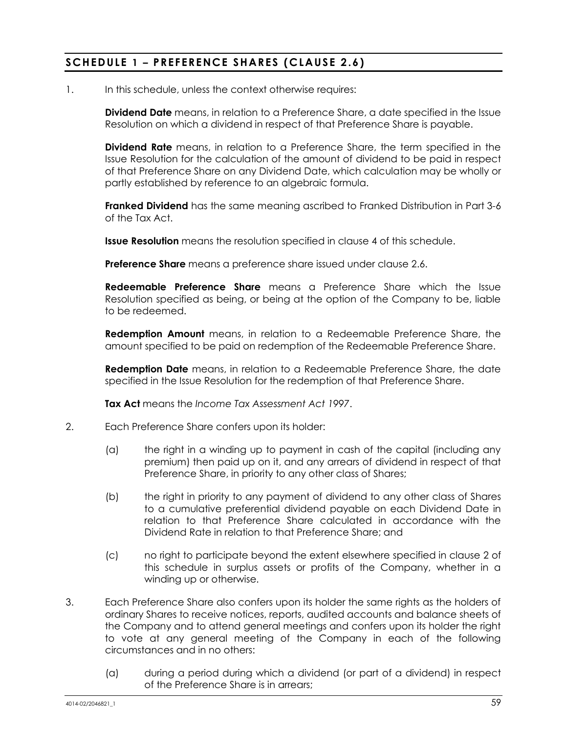## <span id="page-65-0"></span>**SCHEDULE 1 – PREFERENCE SHARES (CLAUSE [2.6](#page-12-2) )**

1. In this schedule, unless the context otherwise requires:

**Dividend Date** means, in relation to a Preference Share, a date specified in the Issue Resolution on which a dividend in respect of that Preference Share is payable.

**Dividend Rate** means, in relation to a Preference Share, the term specified in the Issue Resolution for the calculation of the amount of dividend to be paid in respect of that Preference Share on any Dividend Date, which calculation may be wholly or partly established by reference to an algebraic formula.

**Franked Dividend** has the same meaning ascribed to Franked Distribution in Part 3-6 of the Tax Act.

**Issue Resolution** means the resolution specified in clause [4](#page-66-0) of this schedule.

**Preference Share** means a preference share issued under clause [2.6.](#page-12-2)

**Redeemable Preference Share** means a Preference Share which the Issue Resolution specified as being, or being at the option of the Company to be, liable to be redeemed.

**Redemption Amount** means, in relation to a Redeemable Preference Share, the amount specified to be paid on redemption of the Redeemable Preference Share.

**Redemption Date** means, in relation to a Redeemable Preference Share, the date specified in the Issue Resolution for the redemption of that Preference Share.

**Tax Act** means the *Income Tax Assessment Act 1997*.

- <span id="page-65-1"></span>2. Each Preference Share confers upon its holder:
	- (a) the right in a winding up to payment in cash of the capital (including any premium) then paid up on it, and any arrears of dividend in respect of that Preference Share, in priority to any other class of Shares;
	- (b) the right in priority to any payment of dividend to any other class of Shares to a cumulative preferential dividend payable on each Dividend Date in relation to that Preference Share calculated in accordance with the Dividend Rate in relation to that Preference Share; and
	- (c) no right to participate beyond the extent elsewhere specified in clause [2](#page-65-1) of this schedule in surplus assets or profits of the Company, whether in a winding up or otherwise.
- <span id="page-65-2"></span>3. Each Preference Share also confers upon its holder the same rights as the holders of ordinary Shares to receive notices, reports, audited accounts and balance sheets of the Company and to attend general meetings and confers upon its holder the right to vote at any general meeting of the Company in each of the following circumstances and in no others:
	- (a) during a period during which a dividend (or part of a dividend) in respect of the Preference Share is in arrears;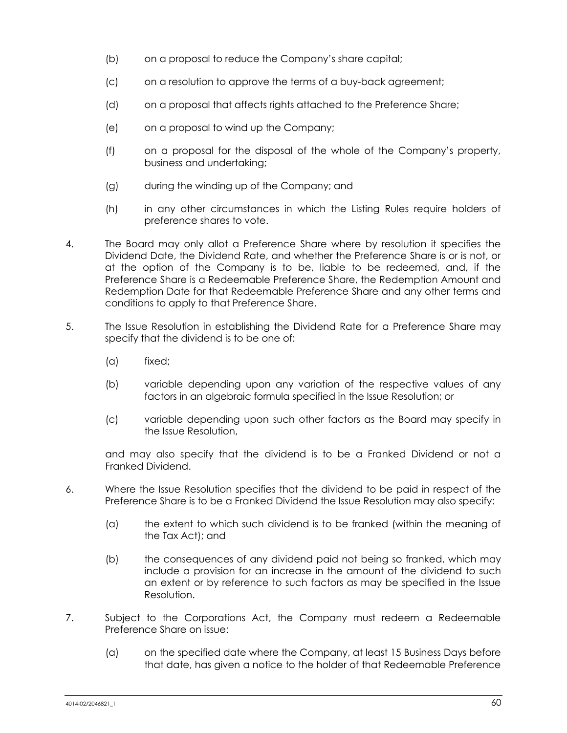- (b) on a proposal to reduce the Company's share capital;
- (c) on a resolution to approve the terms of a buy-back agreement;
- (d) on a proposal that affects rights attached to the Preference Share;
- (e) on a proposal to wind up the Company;
- (f) on a proposal for the disposal of the whole of the Company's property, business and undertaking;
- (g) during the winding up of the Company; and
- (h) in any other circumstances in which the Listing Rules require holders of preference shares to vote.
- <span id="page-66-0"></span>4. The Board may only allot a Preference Share where by resolution it specifies the Dividend Date, the Dividend Rate, and whether the Preference Share is or is not, or at the option of the Company is to be, liable to be redeemed, and, if the Preference Share is a Redeemable Preference Share, the Redemption Amount and Redemption Date for that Redeemable Preference Share and any other terms and conditions to apply to that Preference Share.
- 5. The Issue Resolution in establishing the Dividend Rate for a Preference Share may specify that the dividend is to be one of:
	- (a) fixed;
	- (b) variable depending upon any variation of the respective values of any factors in an algebraic formula specified in the Issue Resolution; or
	- (c) variable depending upon such other factors as the Board may specify in the Issue Resolution,

and may also specify that the dividend is to be a Franked Dividend or not a Franked Dividend.

- 6. Where the Issue Resolution specifies that the dividend to be paid in respect of the Preference Share is to be a Franked Dividend the Issue Resolution may also specify:
	- (a) the extent to which such dividend is to be franked (within the meaning of the Tax Act); and
	- (b) the consequences of any dividend paid not being so franked, which may include a provision for an increase in the amount of the dividend to such an extent or by reference to such factors as may be specified in the Issue Resolution.
- 7. Subject to the Corporations Act, the Company must redeem a Redeemable Preference Share on issue:
	- (a) on the specified date where the Company, at least 15 Business Days before that date, has given a notice to the holder of that Redeemable Preference